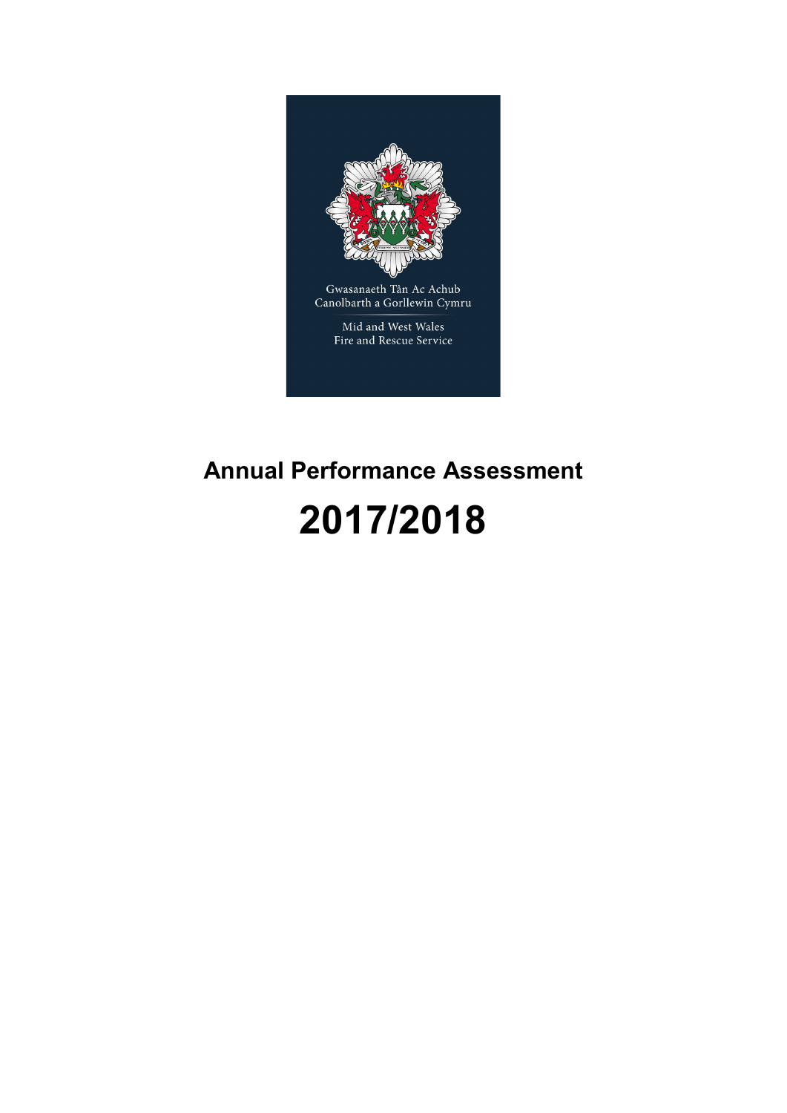

# **Annual Performance Assessment**

## **2017/2018**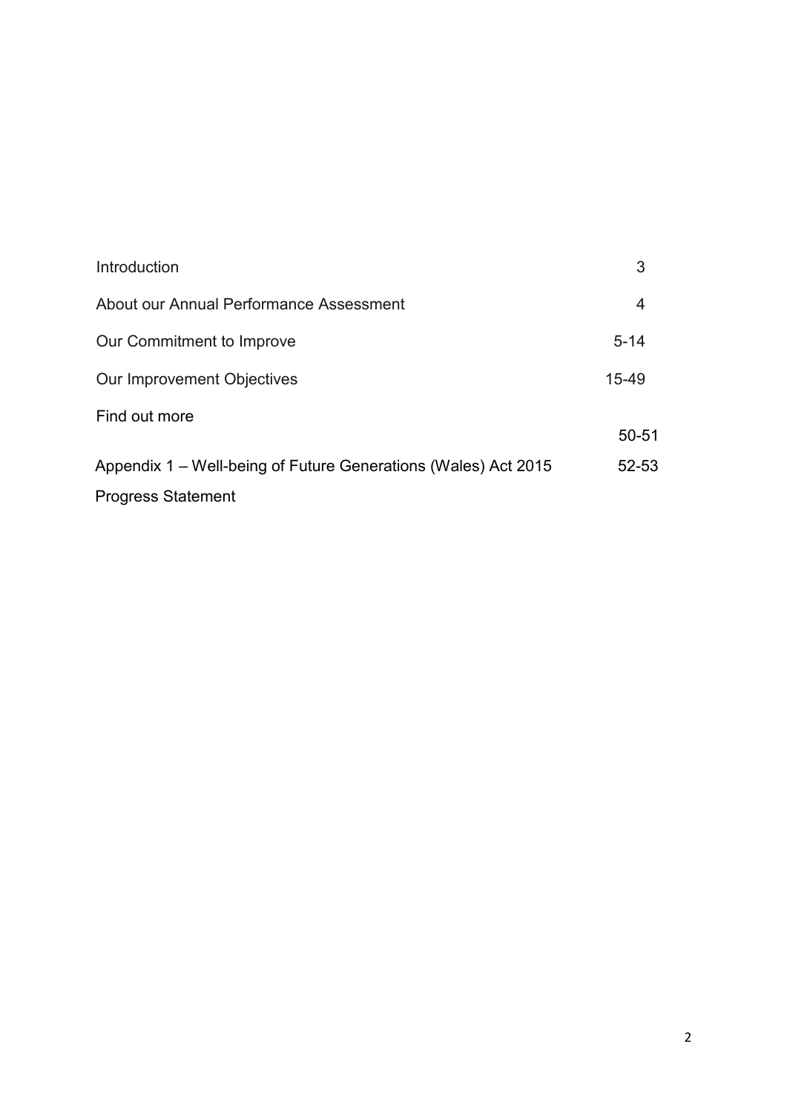| Introduction                                                   | 3         |
|----------------------------------------------------------------|-----------|
| About our Annual Performance Assessment                        | 4         |
| Our Commitment to Improve                                      | $5 - 14$  |
| Our Improvement Objectives                                     | $15 - 49$ |
| Find out more                                                  | $50 - 51$ |
| Appendix 1 – Well-being of Future Generations (Wales) Act 2015 | 52-53     |
| <b>Progress Statement</b>                                      |           |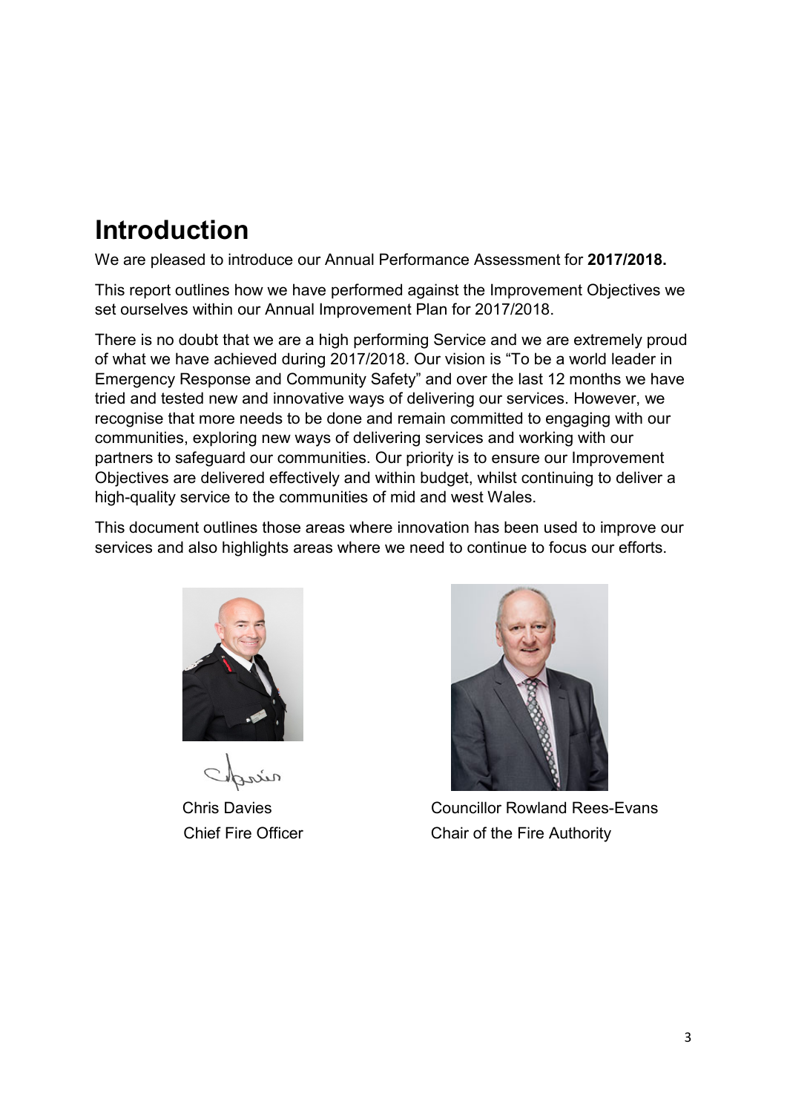### **Introduction**

We are pleased to introduce our Annual Performance Assessment for **2017/2018.**

This report outlines how we have performed against the Improvement Objectives we set ourselves within our Annual Improvement Plan for 2017/2018.

There is no doubt that we are a high performing Service and we are extremely proud of what we have achieved during 2017/2018. Our vision is "To be a world leader in Emergency Response and Community Safety" and over the last 12 months we have tried and tested new and innovative ways of delivering our services. However, we recognise that more needs to be done and remain committed to engaging with our communities, exploring new ways of delivering services and working with our partners to safeguard our communities. Our priority is to ensure our Improvement Objectives are delivered effectively and within budget, whilst continuing to deliver a high-quality service to the communities of mid and west Wales.

This document outlines those areas where innovation has been used to improve our services and also highlights areas where we need to continue to focus our efforts.





Chris Davies Councillor Rowland Rees-Evans Chief Fire Officer Chair of the Fire Authority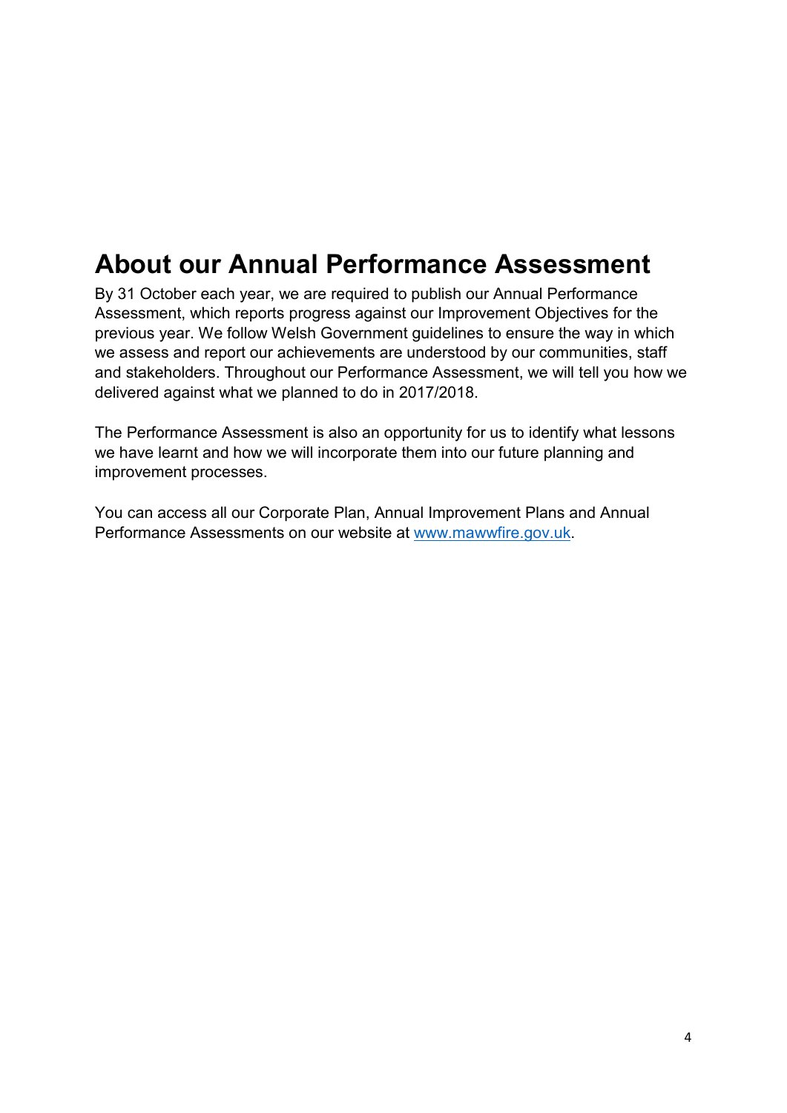### <span id="page-3-0"></span>**About our Annual Performance Assessment**

By 31 October each year, we are required to publish our Annual Performance Assessment, which reports progress against our Improvement Objectives for the previous year. We follow Welsh Government guidelines to ensure the way in which we assess and report our achievements are understood by our communities, staff and stakeholders. Throughout our Performance Assessment, we will tell you how we delivered against what we planned to do in 2017/2018.

The Performance Assessment is also an opportunity for us to identify what lessons we have learnt and how we will incorporate them into our future planning and improvement processes.

<span id="page-3-1"></span>You can access all our Corporate Plan, Annual Improvement Plans and Annual Performance Assessments on our website at [www.mawwfire.gov.uk.](http://www.mawwfire.gov.uk/)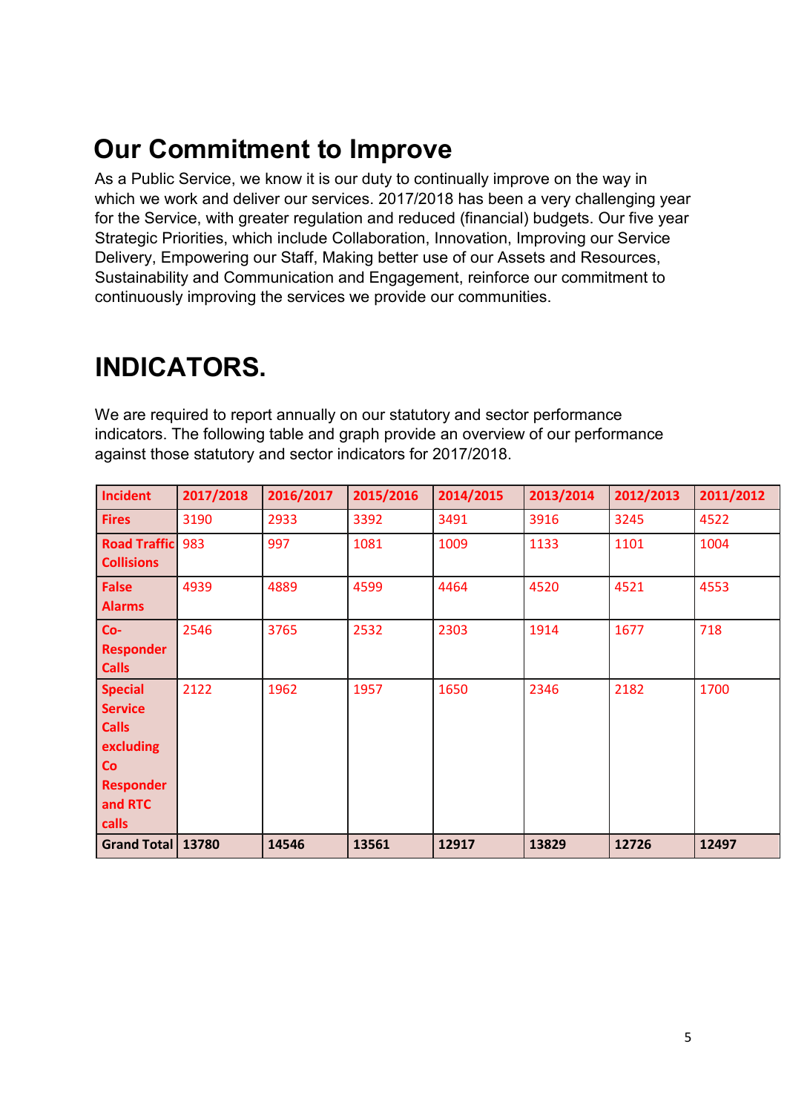### **Our Commitment to Improve**

As a Public Service, we know it is our duty to continually improve on the way in which we work and deliver our services. 2017/2018 has been a very challenging year for the Service, with greater regulation and reduced (financial) budgets. Our five year Strategic Priorities, which include Collaboration, Innovation, Improving our Service Delivery, Empowering our Staff, Making better use of our Assets and Resources, Sustainability and Communication and Engagement, reinforce our commitment to continuously improving the services we provide our communities.

### **INDICATORS.**

We are required to report annually on our statutory and sector performance indicators. The following table and graph provide an overview of our performance against those statutory and sector indicators for 2017/2018.

| <b>Incident</b>                                                                                                    | 2017/2018 | 2016/2017 | 2015/2016 | 2014/2015 | 2013/2014 | 2012/2013 | 2011/2012 |
|--------------------------------------------------------------------------------------------------------------------|-----------|-----------|-----------|-----------|-----------|-----------|-----------|
| <b>Fires</b>                                                                                                       | 3190      | 2933      | 3392      | 3491      | 3916      | 3245      | 4522      |
| <b>Road Traffic</b><br><b>Collisions</b>                                                                           | 983       | 997       | 1081      | 1009      | 1133      | 1101      | 1004      |
| <b>False</b><br><b>Alarms</b>                                                                                      | 4939      | 4889      | 4599      | 4464      | 4520      | 4521      | 4553      |
| $Co-$<br><b>Responder</b><br><b>Calls</b>                                                                          | 2546      | 3765      | 2532      | 2303      | 1914      | 1677      | 718       |
| <b>Special</b><br><b>Service</b><br><b>Calls</b><br>excluding<br>Co<br><b>Responder</b><br>and RTC<br><b>calls</b> | 2122      | 1962      | 1957      | 1650      | 2346      | 2182      | 1700      |
| Grand Total   13780                                                                                                |           | 14546     | 13561     | 12917     | 13829     | 12726     | 12497     |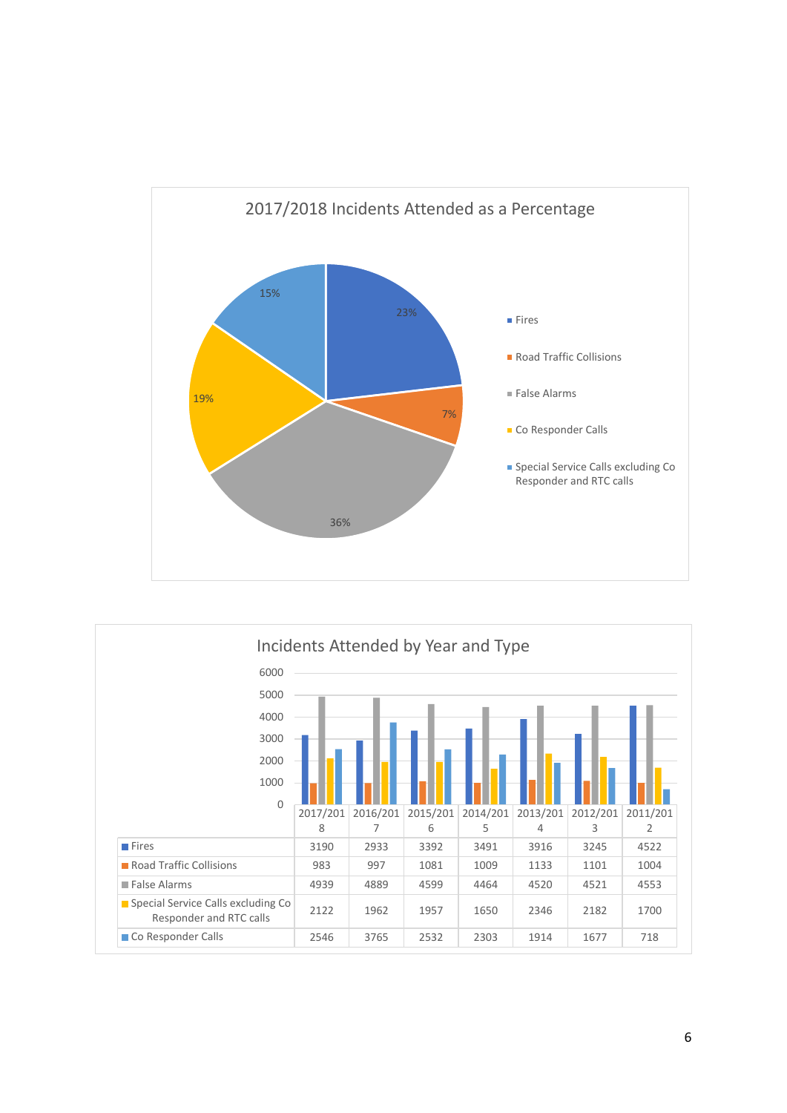

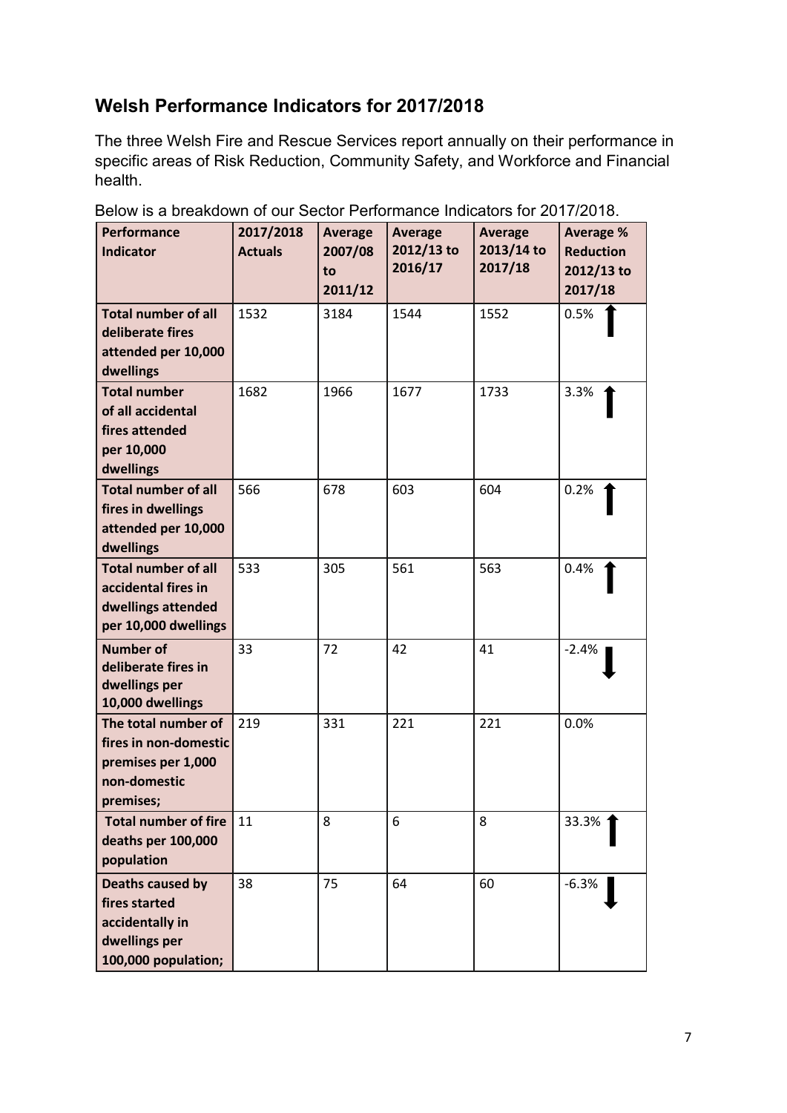### **Welsh Performance Indicators for 2017/2018**

The three Welsh Fire and Rescue Services report annually on their performance in specific areas of Risk Reduction, Community Safety, and Workforce and Financial health.

| Performance<br><b>Indicator</b>                                                                     | 2017/2018<br><b>Actuals</b> | <b>Average</b><br>2007/08<br>to<br>2011/12 | <b>Average</b><br>2012/13 to<br>2016/17 | <b>Average</b><br>2013/14 to<br>2017/18 | <b>Average %</b><br><b>Reduction</b><br>2012/13 to<br>2017/18 |
|-----------------------------------------------------------------------------------------------------|-----------------------------|--------------------------------------------|-----------------------------------------|-----------------------------------------|---------------------------------------------------------------|
| <b>Total number of all</b><br>deliberate fires<br>attended per 10,000<br>dwellings                  | 1532                        | 3184                                       | 1544                                    | 1552                                    | 0.5%                                                          |
| <b>Total number</b><br>of all accidental<br>fires attended<br>per 10,000<br>dwellings               | 1682                        | 1966                                       | 1677                                    | 1733                                    | 3.3%                                                          |
| <b>Total number of all</b><br>fires in dwellings<br>attended per 10,000<br>dwellings                | 566                         | 678                                        | 603                                     | 604                                     | 0.2%                                                          |
| <b>Total number of all</b><br>accidental fires in<br>dwellings attended<br>per 10,000 dwellings     | 533                         | 305                                        | 561                                     | 563                                     | 0.4%                                                          |
| <b>Number of</b><br>deliberate fires in<br>dwellings per<br>10,000 dwellings                        | 33                          | 72                                         | 42                                      | 41                                      | $-2.4%$                                                       |
| The total number of<br>fires in non-domestic<br>premises per 1,000<br>non-domestic<br>premises;     | 219                         | 331                                        | 221                                     | 221                                     | 0.0%                                                          |
| <b>Total number of fire</b><br>deaths per 100,000<br>population                                     | 11                          | 8                                          | 6                                       | 8                                       | 33.3%                                                         |
| <b>Deaths caused by</b><br>fires started<br>accidentally in<br>dwellings per<br>100,000 population; | 38                          | 75                                         | 64                                      | 60                                      | $-6.3%$                                                       |

Below is a breakdown of our Sector Performance Indicators for 2017/2018.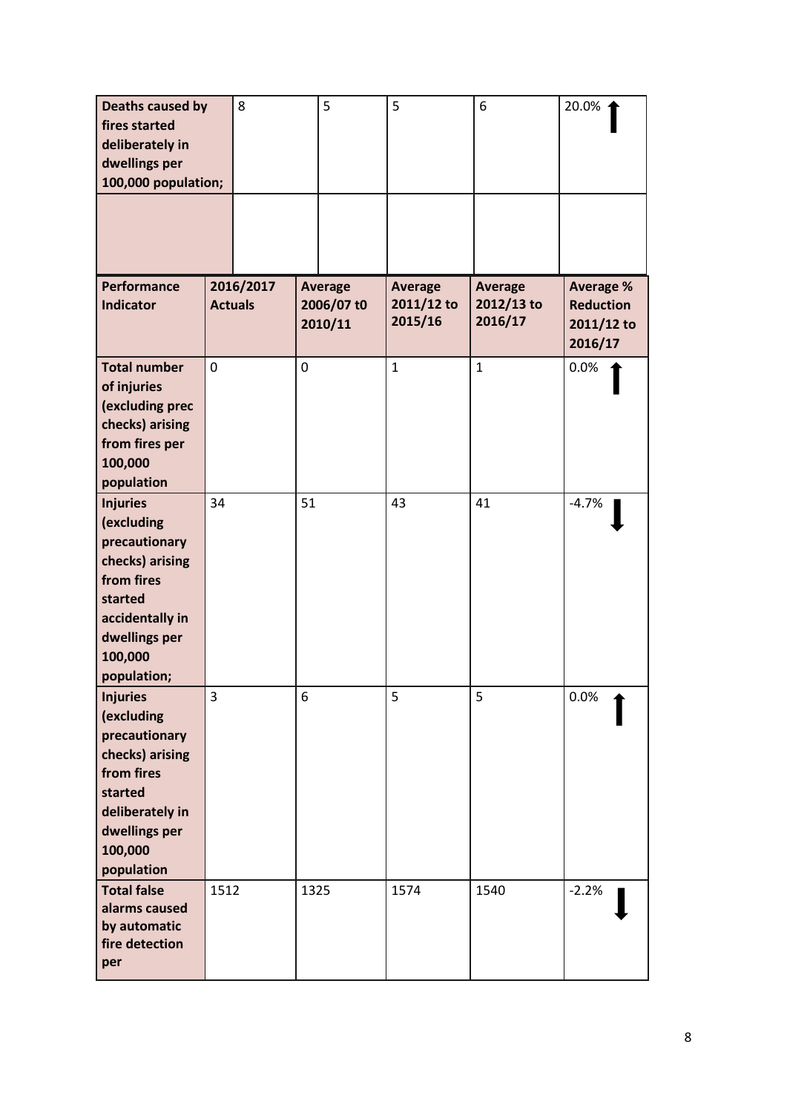| Deaths caused by<br>fires started<br>deliberately in<br>dwellings per<br>100,000 population;                                                             |      | 8                           |             | 5                                       | 5                                       | 6                                       | 20.0%                                                         |
|----------------------------------------------------------------------------------------------------------------------------------------------------------|------|-----------------------------|-------------|-----------------------------------------|-----------------------------------------|-----------------------------------------|---------------------------------------------------------------|
|                                                                                                                                                          |      |                             |             |                                         |                                         |                                         |                                                               |
| Performance<br><b>Indicator</b>                                                                                                                          |      | 2016/2017<br><b>Actuals</b> |             | <b>Average</b><br>2006/07 t0<br>2010/11 | <b>Average</b><br>2011/12 to<br>2015/16 | <b>Average</b><br>2012/13 to<br>2016/17 | <b>Average %</b><br><b>Reduction</b><br>2011/12 to<br>2016/17 |
| <b>Total number</b><br>of injuries<br>(excluding prec<br>checks) arising<br>from fires per<br>100,000<br>population                                      | 0    |                             | $\mathbf 0$ |                                         | $\mathbf{1}$                            | $\mathbf{1}$                            | 0.0%                                                          |
| <b>Injuries</b><br>(excluding<br>precautionary<br>checks) arising<br>from fires<br>started<br>accidentally in<br>dwellings per<br>100,000<br>population; | 34   |                             | 51          |                                         | 43                                      | 41                                      | $-4.7%$                                                       |
| <b>Injuries</b><br>(excluding<br>precautionary<br>checks) arising<br>from fires<br>started<br>deliberately in<br>dwellings per<br>100,000<br>population  | 3    |                             | 6           |                                         | 5                                       | 5                                       | 0.0%                                                          |
| <b>Total false</b><br>alarms caused<br>by automatic<br>fire detection<br>per                                                                             | 1512 |                             | 1325        |                                         | 1574                                    | 1540                                    | $-2.2%$                                                       |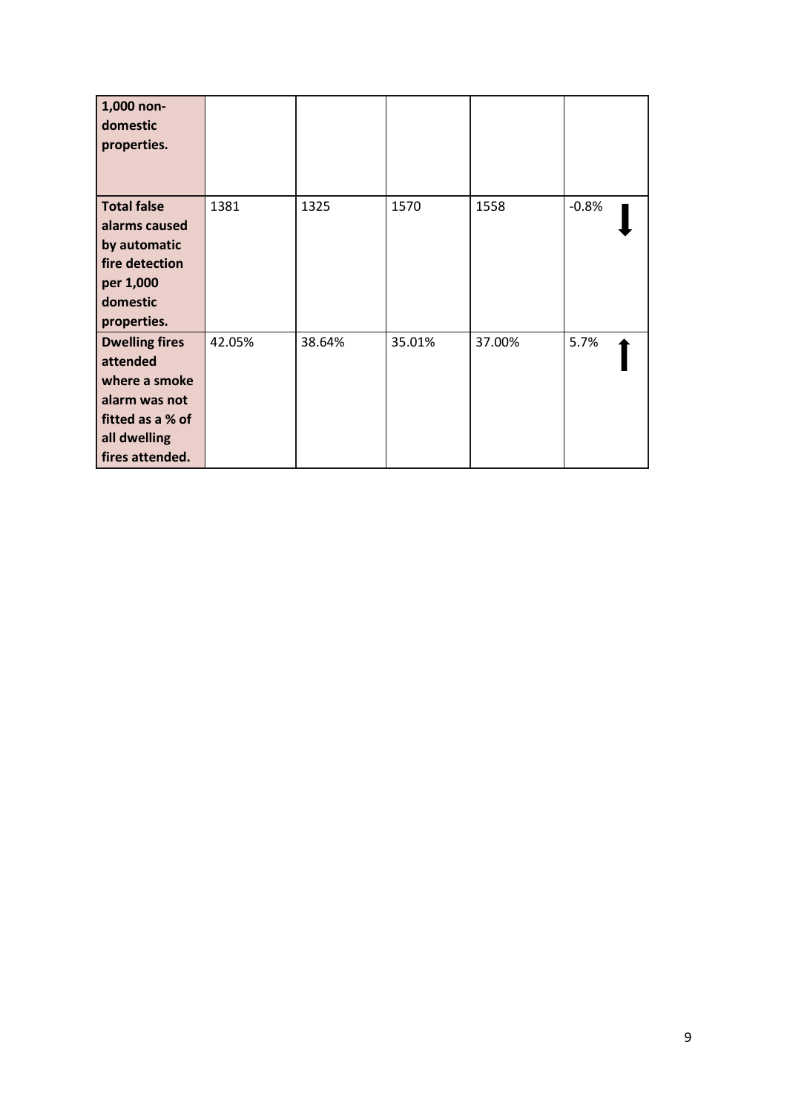| 1,000 non-<br>domestic<br>properties.                                                                                      |        |        |        |        |         |
|----------------------------------------------------------------------------------------------------------------------------|--------|--------|--------|--------|---------|
| <b>Total false</b><br>alarms caused<br>by automatic<br>fire detection<br>per 1,000<br>domestic<br>properties.              | 1381   | 1325   | 1570   | 1558   | $-0.8%$ |
| <b>Dwelling fires</b><br>attended<br>where a smoke<br>alarm was not<br>fitted as a % of<br>all dwelling<br>fires attended. | 42.05% | 38.64% | 35.01% | 37.00% | 5.7%    |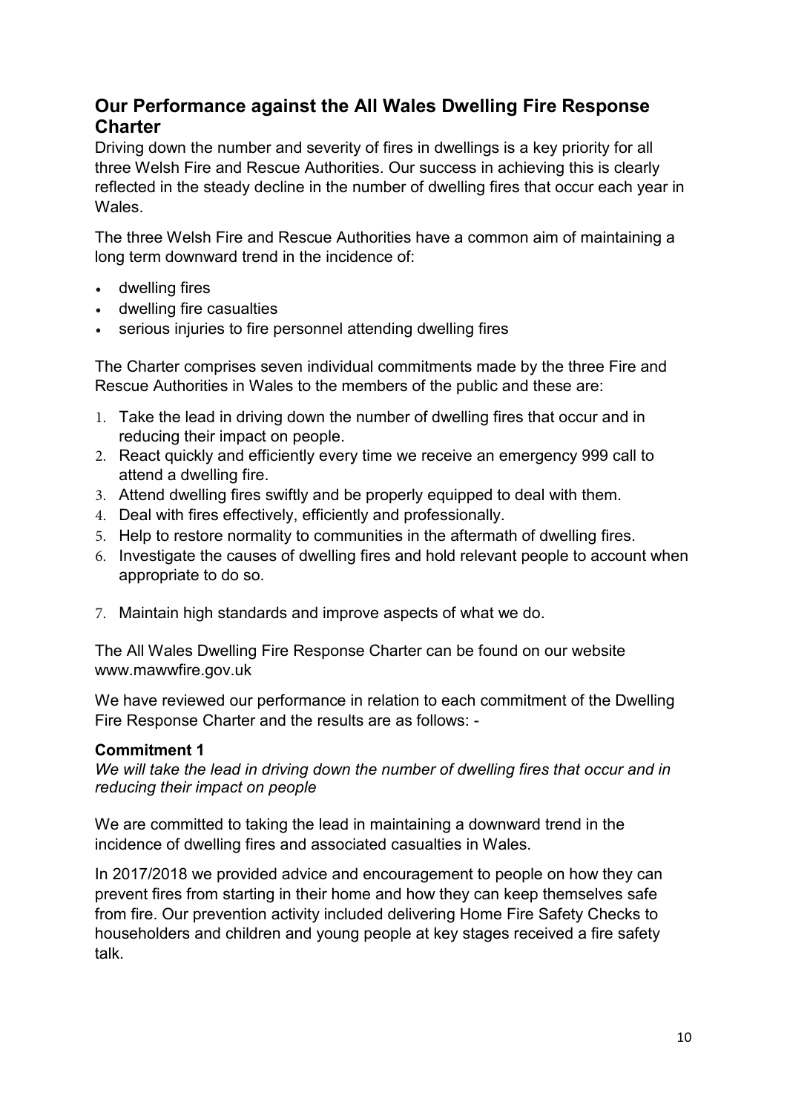### **Our Performance against the All Wales Dwelling Fire Response Charter**

Driving down the number and severity of fires in dwellings is a key priority for all three Welsh Fire and Rescue Authorities. Our success in achieving this is clearly reflected in the steady decline in the number of dwelling fires that occur each year in Wales.

The three Welsh Fire and Rescue Authorities have a common aim of maintaining a long term downward trend in the incidence of:

- dwelling fires
- dwelling fire casualties
- serious injuries to fire personnel attending dwelling fires

The Charter comprises seven individual commitments made by the three Fire and Rescue Authorities in Wales to the members of the public and these are:

- 1. Take the lead in driving down the number of dwelling fires that occur and in reducing their impact on people.
- 2. React quickly and efficiently every time we receive an emergency 999 call to attend a dwelling fire.
- 3. Attend dwelling fires swiftly and be properly equipped to deal with them.
- 4. Deal with fires effectively, efficiently and professionally.
- 5. Help to restore normality to communities in the aftermath of dwelling fires.
- 6. Investigate the causes of dwelling fires and hold relevant people to account when appropriate to do so.
- 7. Maintain high standards and improve aspects of what we do.

The All Wales Dwelling Fire Response Charter can be found on our website www.mawwfire.gov.uk

We have reviewed our performance in relation to each commitment of the Dwelling Fire Response Charter and the results are as follows: -

#### **Commitment 1**

*We will take the lead in driving down the number of dwelling fires that occur and in reducing their impact on people*

We are committed to taking the lead in maintaining a downward trend in the incidence of dwelling fires and associated casualties in Wales.

In 2017/2018 we provided advice and encouragement to people on how they can prevent fires from starting in their home and how they can keep themselves safe from fire. Our prevention activity included delivering Home Fire Safety Checks to householders and children and young people at key stages received a fire safety talk.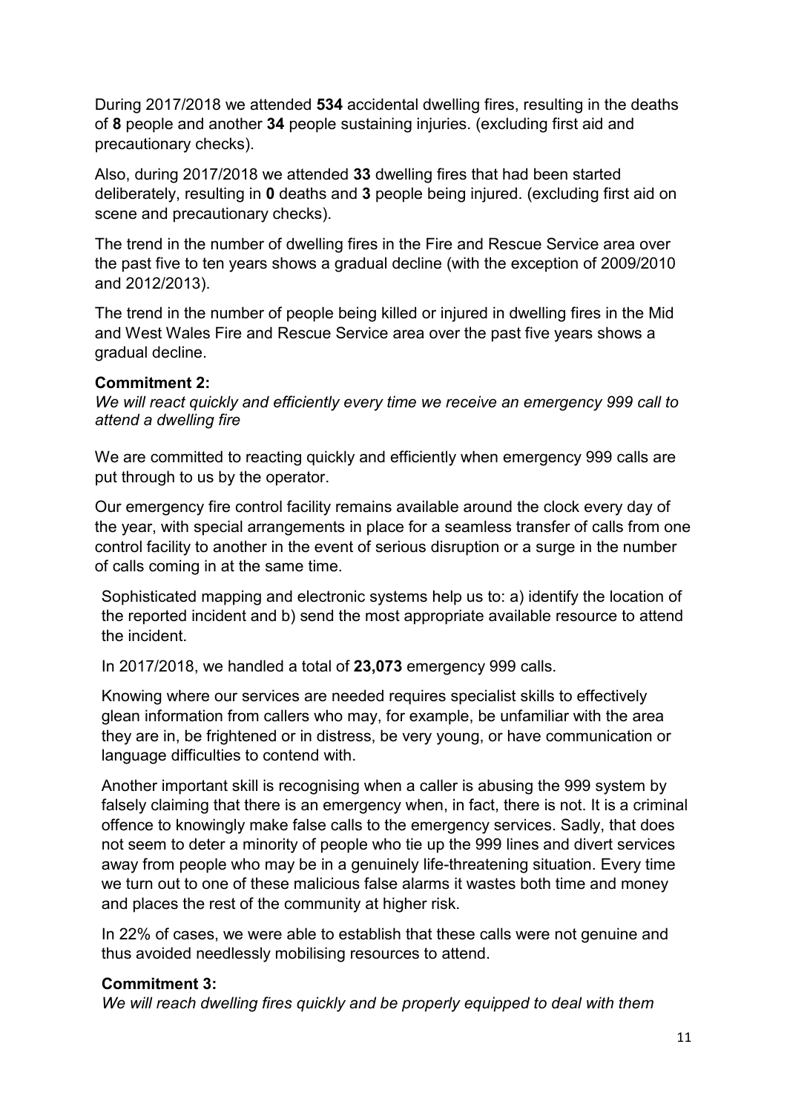During 2017/2018 we attended **534** accidental dwelling fires, resulting in the deaths of **8** people and another **34** people sustaining injuries. (excluding first aid and precautionary checks).

Also, during 2017/2018 we attended **33** dwelling fires that had been started deliberately, resulting in **0** deaths and **3** people being injured. (excluding first aid on scene and precautionary checks).

The trend in the number of dwelling fires in the Fire and Rescue Service area over the past five to ten years shows a gradual decline (with the exception of 2009/2010 and 2012/2013).

The trend in the number of people being killed or injured in dwelling fires in the Mid and West Wales Fire and Rescue Service area over the past five years shows a gradual decline.

#### **Commitment 2:**

*We will react quickly and efficiently every time we receive an emergency 999 call to attend a dwelling fire*

We are committed to reacting quickly and efficiently when emergency 999 calls are put through to us by the operator.

Our emergency fire control facility remains available around the clock every day of the year, with special arrangements in place for a seamless transfer of calls from one control facility to another in the event of serious disruption or a surge in the number of calls coming in at the same time.

Sophisticated mapping and electronic systems help us to: a) identify the location of the reported incident and b) send the most appropriate available resource to attend the incident.

In 2017/2018, we handled a total of **23,073** emergency 999 calls.

Knowing where our services are needed requires specialist skills to effectively glean information from callers who may, for example, be unfamiliar with the area they are in, be frightened or in distress, be very young, or have communication or language difficulties to contend with.

Another important skill is recognising when a caller is abusing the 999 system by falsely claiming that there is an emergency when, in fact, there is not. It is a criminal offence to knowingly make false calls to the emergency services. Sadly, that does not seem to deter a minority of people who tie up the 999 lines and divert services away from people who may be in a genuinely life-threatening situation. Every time we turn out to one of these malicious false alarms it wastes both time and money and places the rest of the community at higher risk.

In 22% of cases, we were able to establish that these calls were not genuine and thus avoided needlessly mobilising resources to attend.

#### **Commitment 3:**

*We will reach dwelling fires quickly and be properly equipped to deal with them*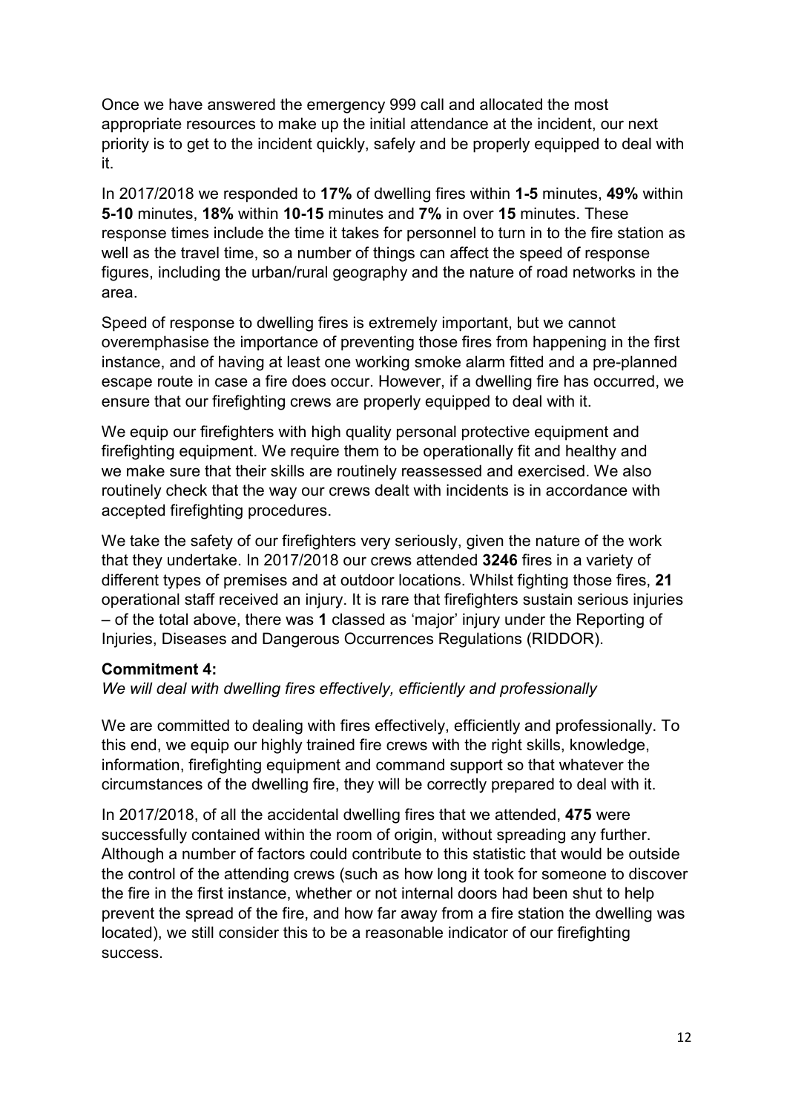Once we have answered the emergency 999 call and allocated the most appropriate resources to make up the initial attendance at the incident, our next priority is to get to the incident quickly, safely and be properly equipped to deal with it.

In 2017/2018 we responded to **17%** of dwelling fires within **1-5** minutes, **49%** within **5-10** minutes, **18%** within **10-15** minutes and **7%** in over **15** minutes. These response times include the time it takes for personnel to turn in to the fire station as well as the travel time, so a number of things can affect the speed of response figures, including the urban/rural geography and the nature of road networks in the area.

Speed of response to dwelling fires is extremely important, but we cannot overemphasise the importance of preventing those fires from happening in the first instance, and of having at least one working smoke alarm fitted and a pre-planned escape route in case a fire does occur. However, if a dwelling fire has occurred, we ensure that our firefighting crews are properly equipped to deal with it.

We equip our firefighters with high quality personal protective equipment and firefighting equipment. We require them to be operationally fit and healthy and we make sure that their skills are routinely reassessed and exercised. We also routinely check that the way our crews dealt with incidents is in accordance with accepted firefighting procedures.

We take the safety of our firefighters very seriously, given the nature of the work that they undertake. In 2017/2018 our crews attended **3246** fires in a variety of different types of premises and at outdoor locations. Whilst fighting those fires, **21**  operational staff received an injury. It is rare that firefighters sustain serious injuries – of the total above, there was **1** classed as 'major' injury under the Reporting of Injuries, Diseases and Dangerous Occurrences Regulations (RIDDOR).

#### **Commitment 4:**

*We will deal with dwelling fires effectively, efficiently and professionally*

We are committed to dealing with fires effectively, efficiently and professionally. To this end, we equip our highly trained fire crews with the right skills, knowledge, information, firefighting equipment and command support so that whatever the circumstances of the dwelling fire, they will be correctly prepared to deal with it.

In 2017/2018, of all the accidental dwelling fires that we attended, **475** were successfully contained within the room of origin, without spreading any further. Although a number of factors could contribute to this statistic that would be outside the control of the attending crews (such as how long it took for someone to discover the fire in the first instance, whether or not internal doors had been shut to help prevent the spread of the fire, and how far away from a fire station the dwelling was located), we still consider this to be a reasonable indicator of our firefighting success.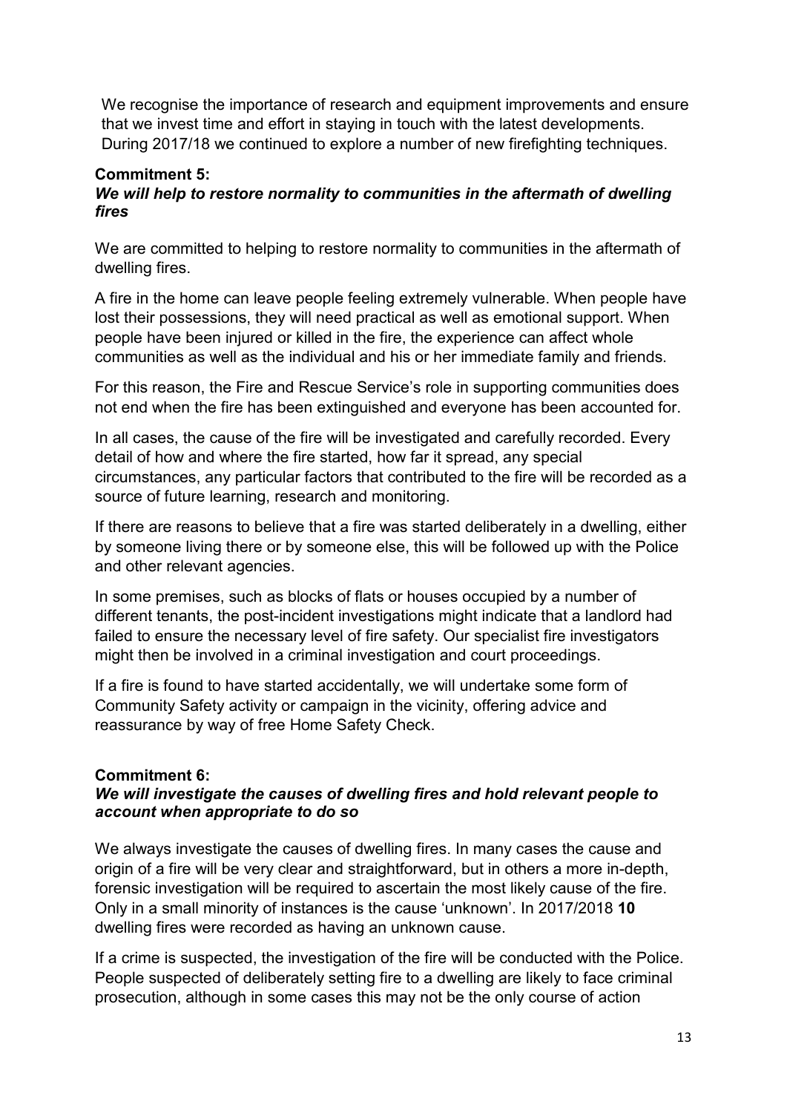We recognise the importance of research and equipment improvements and ensure that we invest time and effort in staying in touch with the latest developments. During 2017/18 we continued to explore a number of new firefighting techniques.

### **Commitment 5:**

#### *We will help to restore normality to communities in the aftermath of dwelling fires*

We are committed to helping to restore normality to communities in the aftermath of dwelling fires.

A fire in the home can leave people feeling extremely vulnerable. When people have lost their possessions, they will need practical as well as emotional support. When people have been injured or killed in the fire, the experience can affect whole communities as well as the individual and his or her immediate family and friends.

For this reason, the Fire and Rescue Service's role in supporting communities does not end when the fire has been extinguished and everyone has been accounted for.

In all cases, the cause of the fire will be investigated and carefully recorded. Every detail of how and where the fire started, how far it spread, any special circumstances, any particular factors that contributed to the fire will be recorded as a source of future learning, research and monitoring.

If there are reasons to believe that a fire was started deliberately in a dwelling, either by someone living there or by someone else, this will be followed up with the Police and other relevant agencies.

In some premises, such as blocks of flats or houses occupied by a number of different tenants, the post-incident investigations might indicate that a landlord had failed to ensure the necessary level of fire safety. Our specialist fire investigators might then be involved in a criminal investigation and court proceedings.

If a fire is found to have started accidentally, we will undertake some form of Community Safety activity or campaign in the vicinity, offering advice and reassurance by way of free Home Safety Check.

#### **Commitment 6:**

#### *We will investigate the causes of dwelling fires and hold relevant people to account when appropriate to do so*

We always investigate the causes of dwelling fires. In many cases the cause and origin of a fire will be very clear and straightforward, but in others a more in-depth, forensic investigation will be required to ascertain the most likely cause of the fire. Only in a small minority of instances is the cause 'unknown'. In 2017/2018 **10**  dwelling fires were recorded as having an unknown cause.

If a crime is suspected, the investigation of the fire will be conducted with the Police. People suspected of deliberately setting fire to a dwelling are likely to face criminal prosecution, although in some cases this may not be the only course of action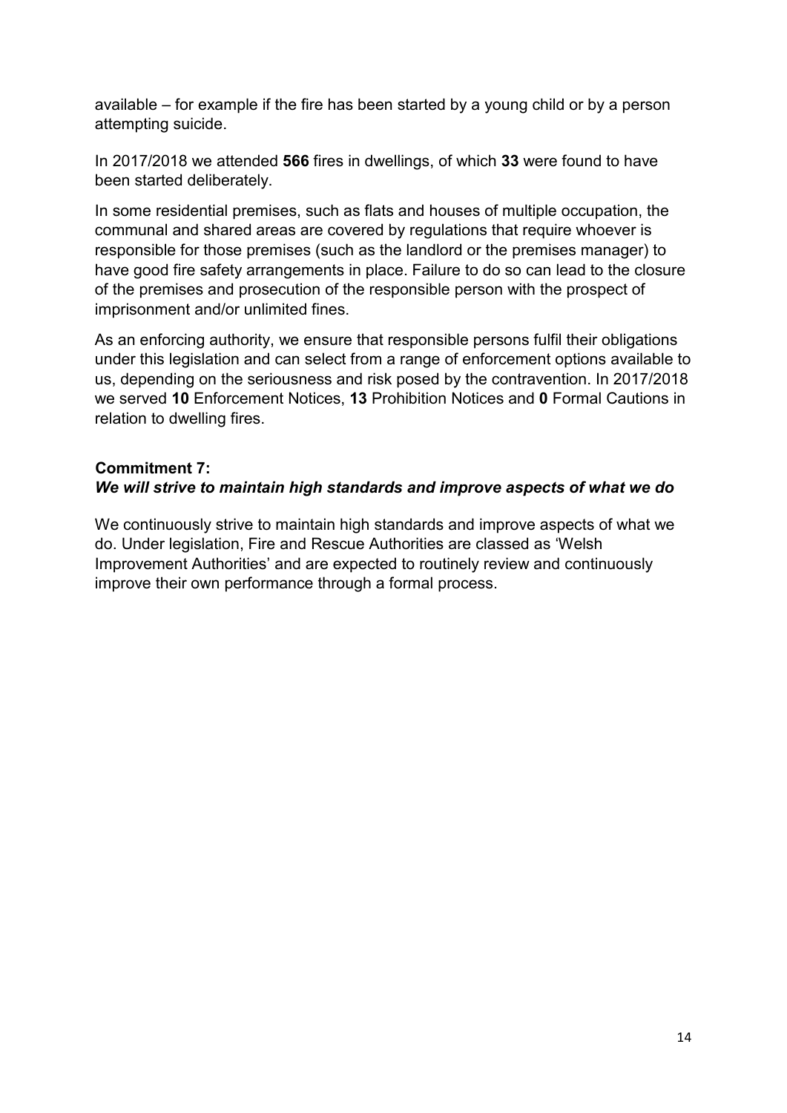available – for example if the fire has been started by a young child or by a person attempting suicide.

In 2017/2018 we attended **566** fires in dwellings, of which **33** were found to have been started deliberately.

In some residential premises, such as flats and houses of multiple occupation, the communal and shared areas are covered by regulations that require whoever is responsible for those premises (such as the landlord or the premises manager) to have good fire safety arrangements in place. Failure to do so can lead to the closure of the premises and prosecution of the responsible person with the prospect of imprisonment and/or unlimited fines.

As an enforcing authority, we ensure that responsible persons fulfil their obligations under this legislation and can select from a range of enforcement options available to us, depending on the seriousness and risk posed by the contravention. In 2017/2018 we served **10** Enforcement Notices, **13** Prohibition Notices and **0** Formal Cautions in relation to dwelling fires.

### **Commitment 7:**  *We will strive to maintain high standards and improve aspects of what we do*

We continuously strive to maintain high standards and improve aspects of what we do. Under legislation, Fire and Rescue Authorities are classed as 'Welsh Improvement Authorities' and are expected to routinely review and continuously improve their own performance through a formal process.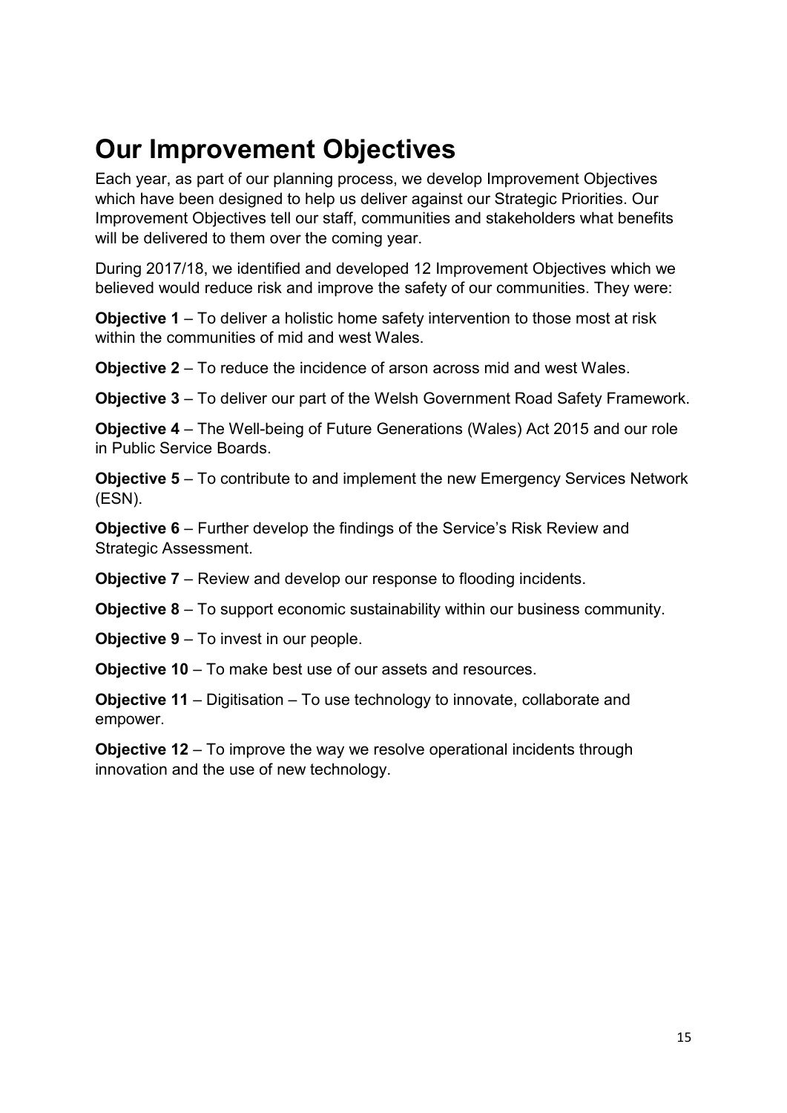### **Our Improvement Objectives**

Each year, as part of our planning process, we develop Improvement Objectives which have been designed to help us deliver against our Strategic Priorities. Our Improvement Objectives tell our staff, communities and stakeholders what benefits will be delivered to them over the coming year.

During 2017/18, we identified and developed 12 Improvement Objectives which we believed would reduce risk and improve the safety of our communities. They were:

**Objective 1** – To deliver a holistic home safety intervention to those most at risk within the communities of mid and west Wales.

**Objective 2** – To reduce the incidence of arson across mid and west Wales.

**Objective 3** – To deliver our part of the Welsh Government Road Safety Framework.

**Objective 4** – The Well-being of Future Generations (Wales) Act 2015 and our role in Public Service Boards.

**Objective 5** – To contribute to and implement the new Emergency Services Network (ESN).

**Objective 6** – Further develop the findings of the Service's Risk Review and Strategic Assessment.

**Objective 7** – Review and develop our response to flooding incidents.

**Objective 8** – To support economic sustainability within our business community.

**Objective 9** – To invest in our people.

**Objective 10** – To make best use of our assets and resources.

**Objective 11** – Digitisation – To use technology to innovate, collaborate and empower.

**Objective 12** – To improve the way we resolve operational incidents through innovation and the use of new technology.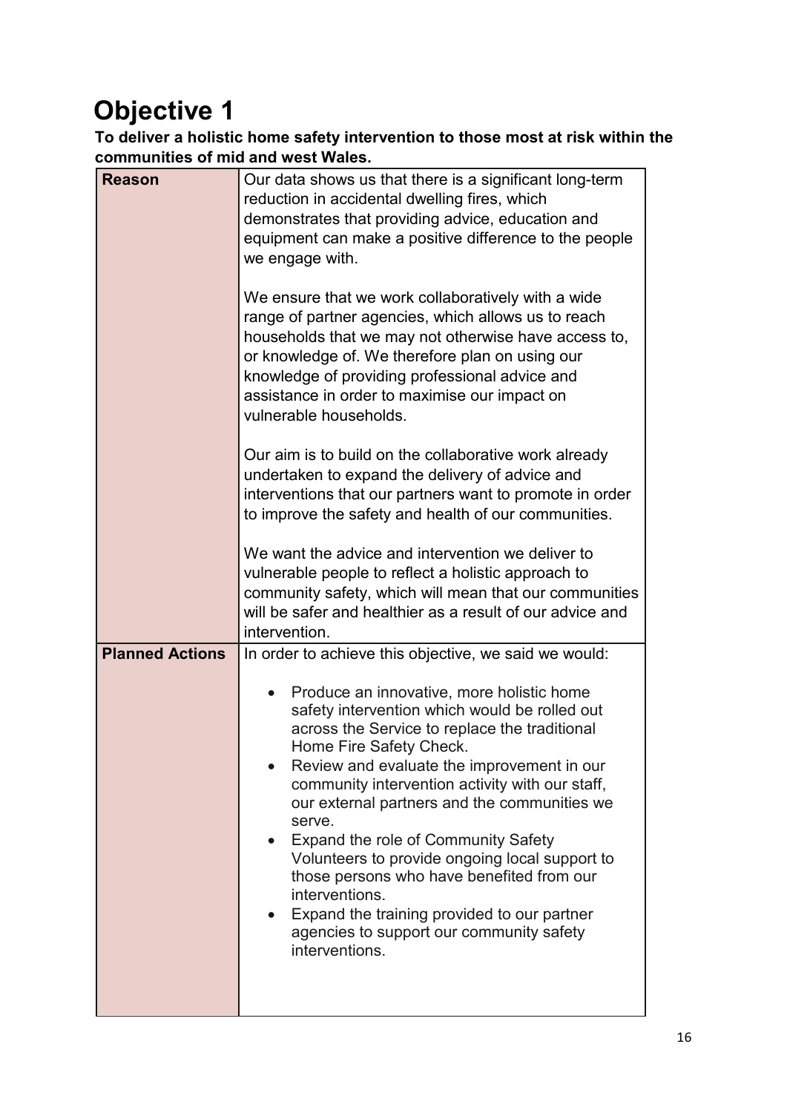### **Objective 1**

**To deliver a holistic home safety intervention to those most at risk within the communities of mid and west Wales.** 

| Our data shows us that there is a significant long-term<br>reduction in accidental dwelling fires, which<br>demonstrates that providing advice, education and<br>equipment can make a positive difference to the people<br>we engage with.                                                                                                                                                                                                                                                                                                                                                             |  |  |
|--------------------------------------------------------------------------------------------------------------------------------------------------------------------------------------------------------------------------------------------------------------------------------------------------------------------------------------------------------------------------------------------------------------------------------------------------------------------------------------------------------------------------------------------------------------------------------------------------------|--|--|
| We ensure that we work collaboratively with a wide<br>range of partner agencies, which allows us to reach<br>households that we may not otherwise have access to,<br>or knowledge of. We therefore plan on using our<br>knowledge of providing professional advice and<br>assistance in order to maximise our impact on<br>vulnerable households.                                                                                                                                                                                                                                                      |  |  |
| Our aim is to build on the collaborative work already<br>undertaken to expand the delivery of advice and<br>interventions that our partners want to promote in order<br>to improve the safety and health of our communities.                                                                                                                                                                                                                                                                                                                                                                           |  |  |
| We want the advice and intervention we deliver to<br>vulnerable people to reflect a holistic approach to<br>community safety, which will mean that our communities<br>will be safer and healthier as a result of our advice and<br>intervention.                                                                                                                                                                                                                                                                                                                                                       |  |  |
| In order to achieve this objective, we said we would:                                                                                                                                                                                                                                                                                                                                                                                                                                                                                                                                                  |  |  |
| Produce an innovative, more holistic home<br>safety intervention which would be rolled out<br>across the Service to replace the traditional<br>Home Fire Safety Check.<br>Review and evaluate the improvement in our<br>community intervention activity with our staff,<br>our external partners and the communities we<br>serve.<br>Expand the role of Community Safety<br>Volunteers to provide ongoing local support to<br>those persons who have benefited from our<br>interventions.<br>Expand the training provided to our partner<br>agencies to support our community safety<br>interventions. |  |  |
|                                                                                                                                                                                                                                                                                                                                                                                                                                                                                                                                                                                                        |  |  |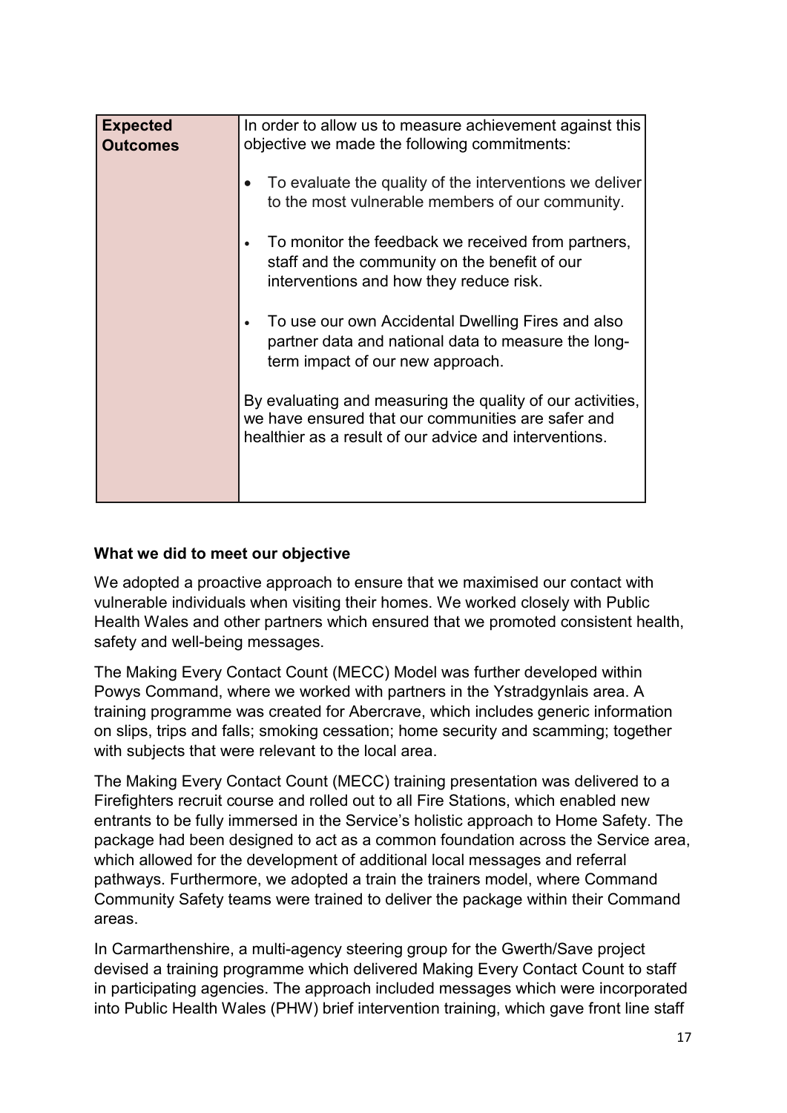| <b>Expected</b><br><b>Outcomes</b> | In order to allow us to measure achievement against this<br>objective we made the following commitments:                                                                   |  |
|------------------------------------|----------------------------------------------------------------------------------------------------------------------------------------------------------------------------|--|
|                                    | To evaluate the quality of the interventions we deliver<br>to the most vulnerable members of our community.                                                                |  |
|                                    | To monitor the feedback we received from partners,<br>staff and the community on the benefit of our<br>interventions and how they reduce risk.                             |  |
|                                    | To use our own Accidental Dwelling Fires and also<br>partner data and national data to measure the long-<br>term impact of our new approach.                               |  |
|                                    | By evaluating and measuring the quality of our activities,<br>we have ensured that our communities are safer and<br>healthier as a result of our advice and interventions. |  |
|                                    |                                                                                                                                                                            |  |

### **What we did to meet our objective**

We adopted a proactive approach to ensure that we maximised our contact with vulnerable individuals when visiting their homes. We worked closely with Public Health Wales and other partners which ensured that we promoted consistent health, safety and well-being messages.

The Making Every Contact Count (MECC) Model was further developed within Powys Command, where we worked with partners in the Ystradgynlais area. A training programme was created for Abercrave, which includes generic information on slips, trips and falls; smoking cessation; home security and scamming; together with subjects that were relevant to the local area.

The Making Every Contact Count (MECC) training presentation was delivered to a Firefighters recruit course and rolled out to all Fire Stations, which enabled new entrants to be fully immersed in the Service's holistic approach to Home Safety. The package had been designed to act as a common foundation across the Service area, which allowed for the development of additional local messages and referral pathways. Furthermore, we adopted a train the trainers model, where Command Community Safety teams were trained to deliver the package within their Command areas.

In Carmarthenshire, a multi-agency steering group for the Gwerth/Save project devised a training programme which delivered Making Every Contact Count to staff in participating agencies. The approach included messages which were incorporated into Public Health Wales (PHW) brief intervention training, which gave front line staff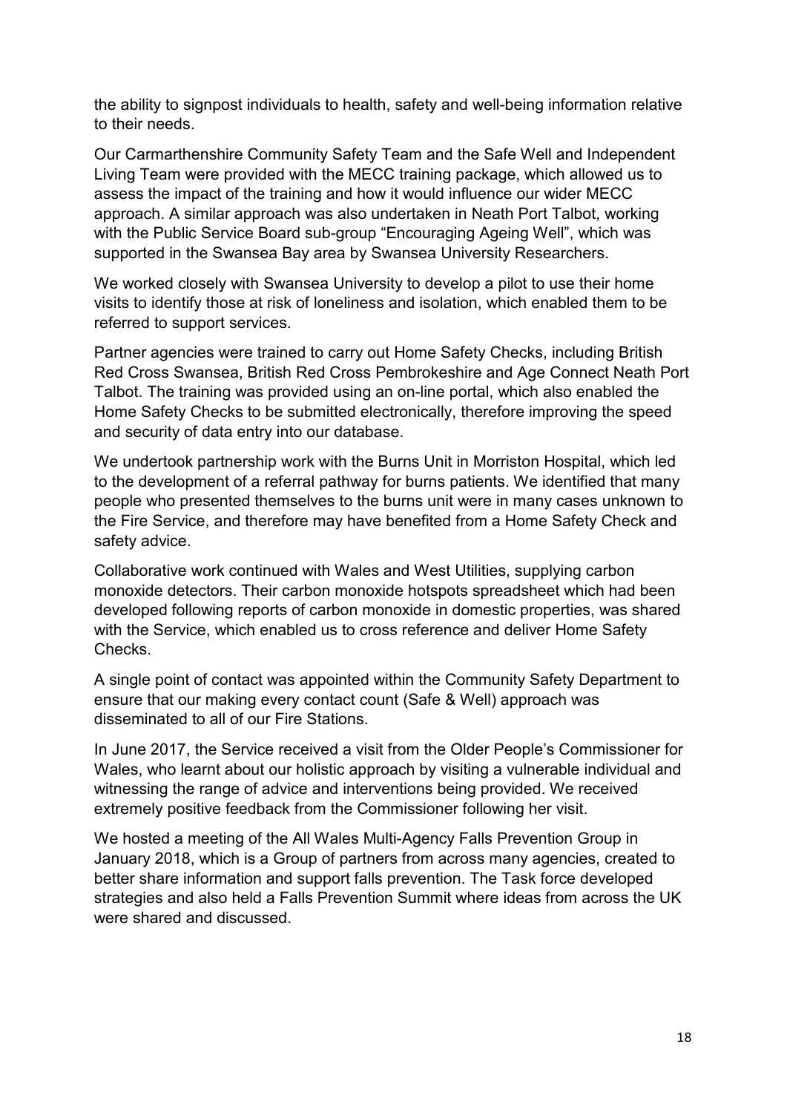the ability to signpost individuals to health, safety and well-being information relative to their needs.

Our Carmarthenshire Community Safety Team and the Safe Well and Independent Living Team were provided with the MECC training package, which allowed us to assess the impact of the training and how it would influence our wider MECC approach. A similar approach was also undertaken in Neath Port Talbot, working with the Public Service Board sub-group "Encouraging Ageing Well", which was supported in the Swansea Bay area by Swansea University Researchers.

We worked closely with Swansea University to develop a pilot to use their home visits to identify those at risk of loneliness and isolation, which enabled them to be referred to support services.

Partner agencies were trained to carry out Home Safety Checks, including British Red Cross Swansea, British Red Cross Pembrokeshire and Age Connect Neath Port Talbot. The training was provided using an on-line portal, which also enabled the Home Safety Checks to be submitted electronically, therefore improving the speed and security of data entry into our database.

We undertook partnership work with the Burns Unit in Morriston Hospital, which led to the development of a referral pathway for burns patients. We identified that many people who presented themselves to the burns unit were in many cases unknown to the Fire Service, and therefore may have benefited from a Home Safety Check and safety advice.

Collaborative work continued with Wales and West Utilities, supplying carbon monoxide detectors. Their carbon monoxide hotspots spreadsheet which had been developed following reports of carbon monoxide in domestic properties, was shared with the Service, which enabled us to cross reference and deliver Home Safety Checks.

A single point of contact was appointed within the Community Safety Department to ensure that our making every contact count (Safe & Well) approach was disseminated to all of our Fire Stations.

In June 2017, the Service received a visit from the Older People's Commissioner for Wales, who learnt about our holistic approach by visiting a vulnerable individual and witnessing the range of advice and interventions being provided. We received extremely positive feedback from the Commissioner following her visit.

We hosted a meeting of the All Wales Multi-Agency Falls Prevention Group in January 2018, which is a Group of partners from across many agencies, created to better share information and support falls prevention. The Task force developed strategies and also held a Falls Prevention Summit where ideas from across the UK were shared and discussed.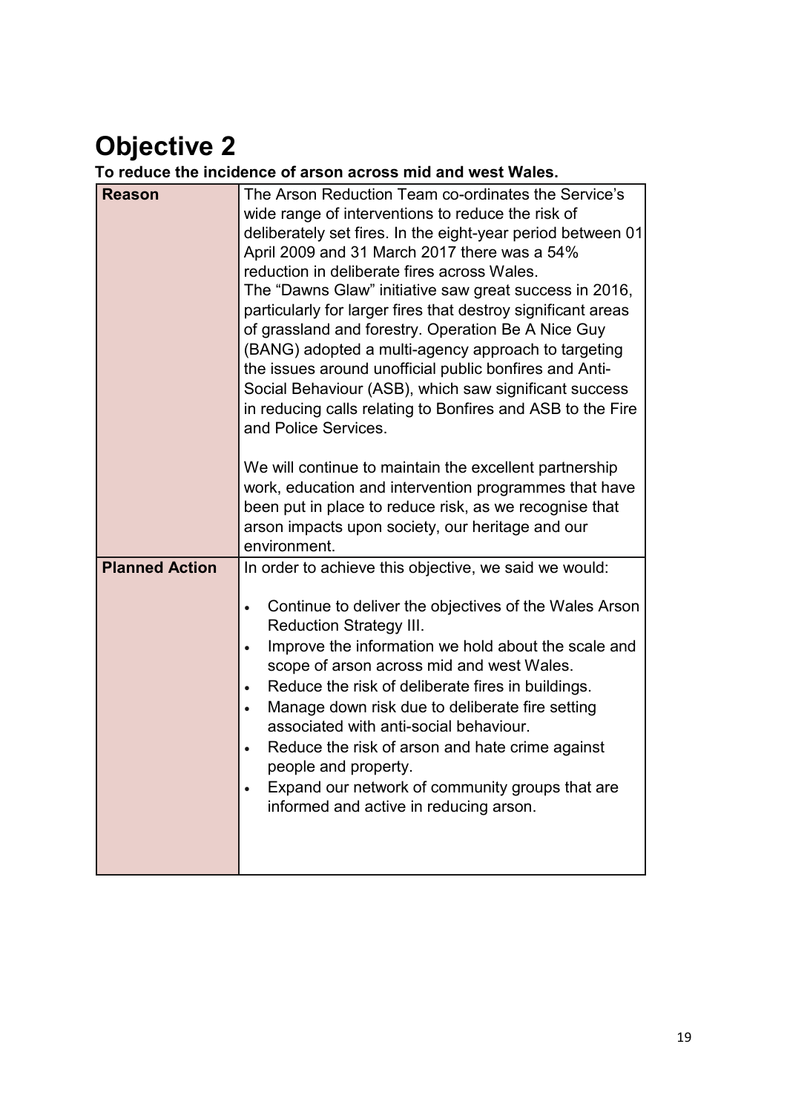### **Objective 2**

**To reduce the incidence of arson across mid and west Wales.** 

| <b>Reason</b>         | The Arson Reduction Team co-ordinates the Service's<br>wide range of interventions to reduce the risk of<br>deliberately set fires. In the eight-year period between 01<br>April 2009 and 31 March 2017 there was a 54%<br>reduction in deliberate fires across Wales.<br>The "Dawns Glaw" initiative saw great success in 2016,<br>particularly for larger fires that destroy significant areas<br>of grassland and forestry. Operation Be A Nice Guy<br>(BANG) adopted a multi-agency approach to targeting<br>the issues around unofficial public bonfires and Anti-<br>Social Behaviour (ASB), which saw significant success<br>in reducing calls relating to Bonfires and ASB to the Fire<br>and Police Services.<br>We will continue to maintain the excellent partnership<br>work, education and intervention programmes that have<br>been put in place to reduce risk, as we recognise that<br>arson impacts upon society, our heritage and our<br>environment. |
|-----------------------|-------------------------------------------------------------------------------------------------------------------------------------------------------------------------------------------------------------------------------------------------------------------------------------------------------------------------------------------------------------------------------------------------------------------------------------------------------------------------------------------------------------------------------------------------------------------------------------------------------------------------------------------------------------------------------------------------------------------------------------------------------------------------------------------------------------------------------------------------------------------------------------------------------------------------------------------------------------------------|
| <b>Planned Action</b> | In order to achieve this objective, we said we would:<br>Continue to deliver the objectives of the Wales Arson<br><b>Reduction Strategy III.</b><br>Improve the information we hold about the scale and<br>$\bullet$<br>scope of arson across mid and west Wales.<br>Reduce the risk of deliberate fires in buildings.<br>$\bullet$<br>Manage down risk due to deliberate fire setting<br>associated with anti-social behaviour.<br>Reduce the risk of arson and hate crime against<br>people and property.<br>Expand our network of community groups that are<br>informed and active in reducing arson.                                                                                                                                                                                                                                                                                                                                                                |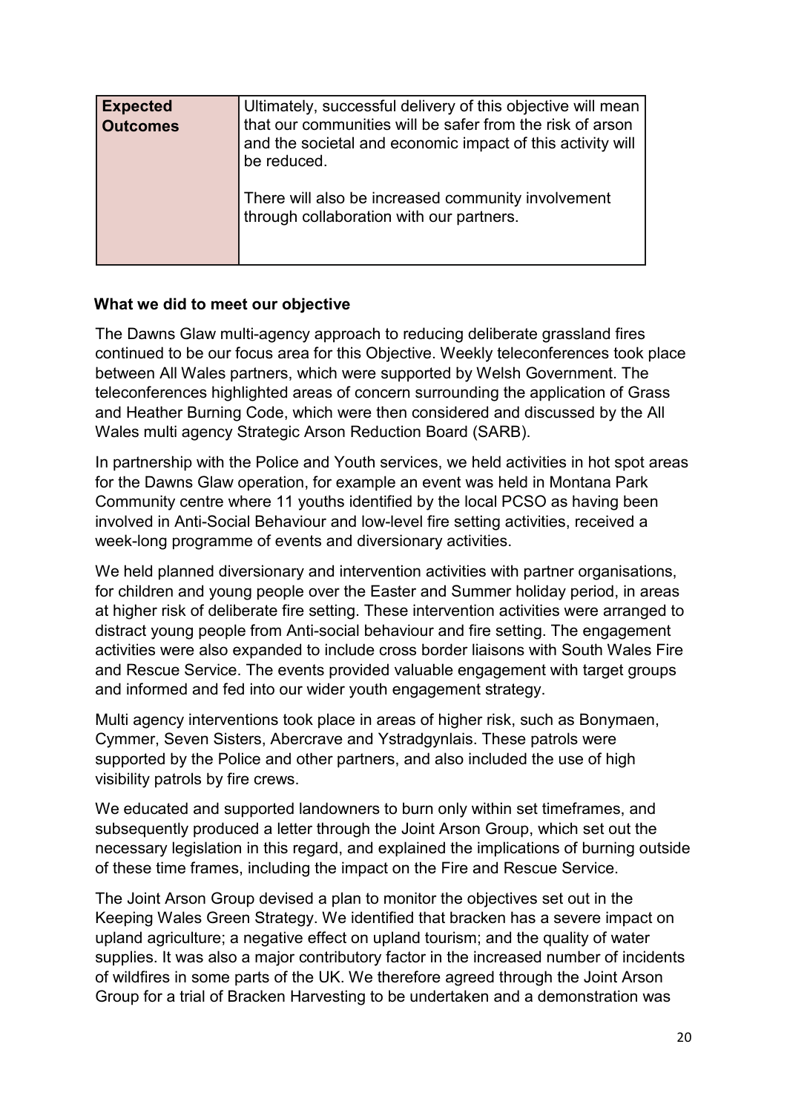| <b>Expected</b><br><b>Outcomes</b> | Ultimately, successful delivery of this objective will mean<br>that our communities will be safer from the risk of arson<br>and the societal and economic impact of this activity will<br>be reduced. |
|------------------------------------|-------------------------------------------------------------------------------------------------------------------------------------------------------------------------------------------------------|
|                                    | There will also be increased community involvement<br>through collaboration with our partners.                                                                                                        |

#### **What we did to meet our objective**

The Dawns Glaw multi-agency approach to reducing deliberate grassland fires continued to be our focus area for this Objective. Weekly teleconferences took place between All Wales partners, which were supported by Welsh Government. The teleconferences highlighted areas of concern surrounding the application of Grass and Heather Burning Code, which were then considered and discussed by the All Wales multi agency Strategic Arson Reduction Board (SARB).

In partnership with the Police and Youth services, we held activities in hot spot areas for the Dawns Glaw operation, for example an event was held in Montana Park Community centre where 11 youths identified by the local PCSO as having been involved in Anti-Social Behaviour and low-level fire setting activities, received a week-long programme of events and diversionary activities.

We held planned diversionary and intervention activities with partner organisations, for children and young people over the Easter and Summer holiday period, in areas at higher risk of deliberate fire setting. These intervention activities were arranged to distract young people from Anti-social behaviour and fire setting. The engagement activities were also expanded to include cross border liaisons with South Wales Fire and Rescue Service. The events provided valuable engagement with target groups and informed and fed into our wider youth engagement strategy.

Multi agency interventions took place in areas of higher risk, such as Bonymaen, Cymmer, Seven Sisters, Abercrave and Ystradgynlais. These patrols were supported by the Police and other partners, and also included the use of high visibility patrols by fire crews.

We educated and supported landowners to burn only within set timeframes, and subsequently produced a letter through the Joint Arson Group, which set out the necessary legislation in this regard, and explained the implications of burning outside of these time frames, including the impact on the Fire and Rescue Service.

The Joint Arson Group devised a plan to monitor the objectives set out in the Keeping Wales Green Strategy. We identified that bracken has a severe impact on upland agriculture; a negative effect on upland tourism; and the quality of water supplies. It was also a major contributory factor in the increased number of incidents of wildfires in some parts of the UK. We therefore agreed through the Joint Arson Group for a trial of Bracken Harvesting to be undertaken and a demonstration was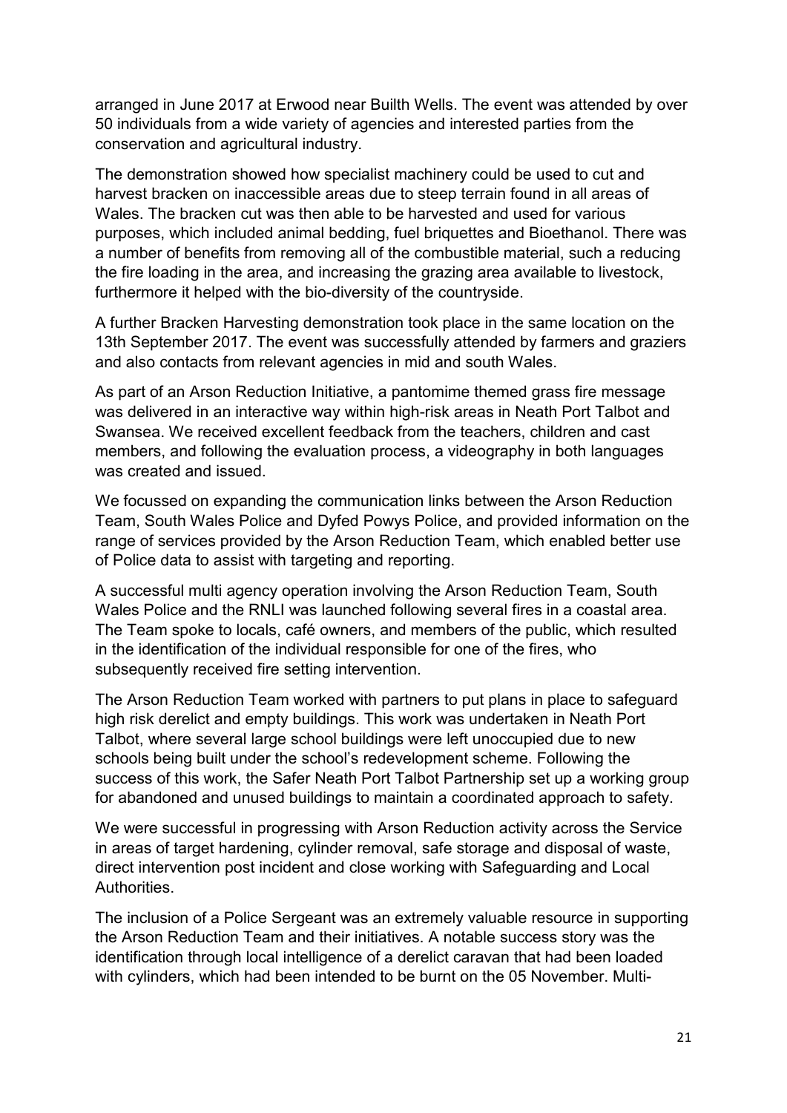arranged in June 2017 at Erwood near Builth Wells. The event was attended by over 50 individuals from a wide variety of agencies and interested parties from the conservation and agricultural industry.

The demonstration showed how specialist machinery could be used to cut and harvest bracken on inaccessible areas due to steep terrain found in all areas of Wales. The bracken cut was then able to be harvested and used for various purposes, which included animal bedding, fuel briquettes and Bioethanol. There was a number of benefits from removing all of the combustible material, such a reducing the fire loading in the area, and increasing the grazing area available to livestock, furthermore it helped with the bio-diversity of the countryside.

A further Bracken Harvesting demonstration took place in the same location on the 13th September 2017. The event was successfully attended by farmers and graziers and also contacts from relevant agencies in mid and south Wales.

As part of an Arson Reduction Initiative, a pantomime themed grass fire message was delivered in an interactive way within high-risk areas in Neath Port Talbot and Swansea. We received excellent feedback from the teachers, children and cast members, and following the evaluation process, a videography in both languages was created and issued.

We focussed on expanding the communication links between the Arson Reduction Team, South Wales Police and Dyfed Powys Police, and provided information on the range of services provided by the Arson Reduction Team, which enabled better use of Police data to assist with targeting and reporting.

A successful multi agency operation involving the Arson Reduction Team, South Wales Police and the RNLI was launched following several fires in a coastal area. The Team spoke to locals, café owners, and members of the public, which resulted in the identification of the individual responsible for one of the fires, who subsequently received fire setting intervention.

The Arson Reduction Team worked with partners to put plans in place to safeguard high risk derelict and empty buildings. This work was undertaken in Neath Port Talbot, where several large school buildings were left unoccupied due to new schools being built under the school's redevelopment scheme. Following the success of this work, the Safer Neath Port Talbot Partnership set up a working group for abandoned and unused buildings to maintain a coordinated approach to safety.

We were successful in progressing with Arson Reduction activity across the Service in areas of target hardening, cylinder removal, safe storage and disposal of waste, direct intervention post incident and close working with Safeguarding and Local **Authorities** 

The inclusion of a Police Sergeant was an extremely valuable resource in supporting the Arson Reduction Team and their initiatives. A notable success story was the identification through local intelligence of a derelict caravan that had been loaded with cylinders, which had been intended to be burnt on the 05 November. Multi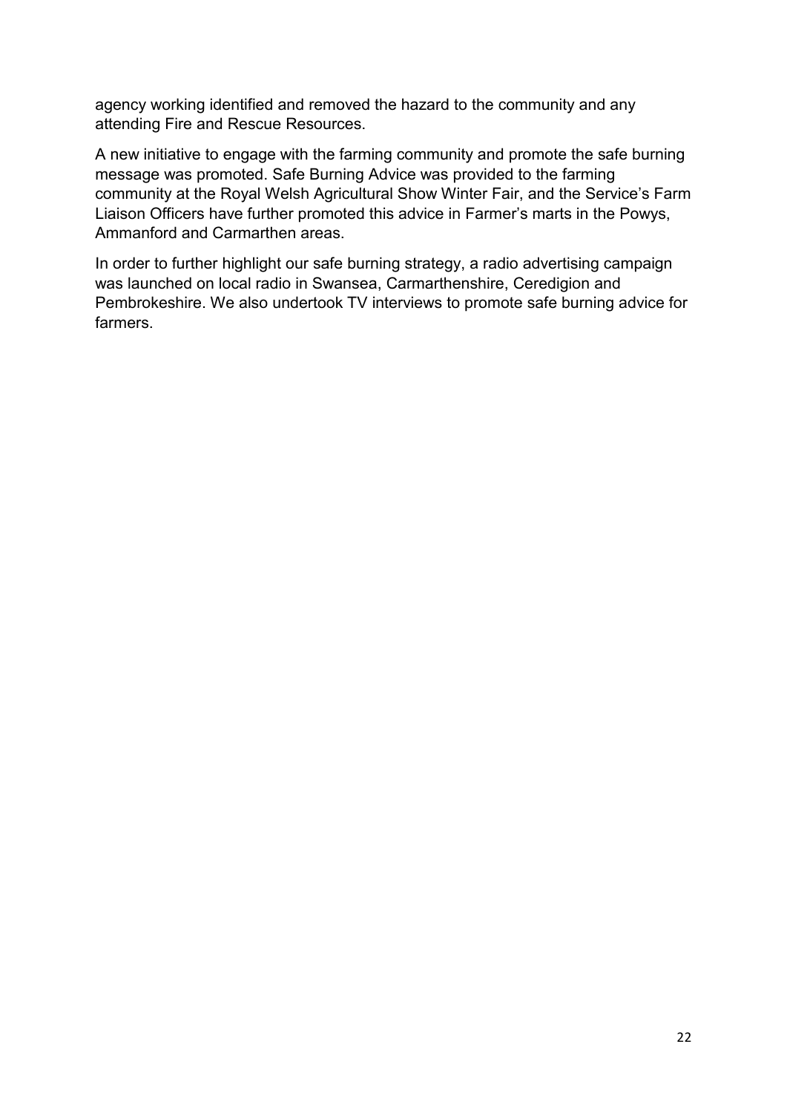agency working identified and removed the hazard to the community and any attending Fire and Rescue Resources.

A new initiative to engage with the farming community and promote the safe burning message was promoted. Safe Burning Advice was provided to the farming community at the Royal Welsh Agricultural Show Winter Fair, and the Service's Farm Liaison Officers have further promoted this advice in Farmer's marts in the Powys, Ammanford and Carmarthen areas.

In order to further highlight our safe burning strategy, a radio advertising campaign was launched on local radio in Swansea, Carmarthenshire, Ceredigion and Pembrokeshire. We also undertook TV interviews to promote safe burning advice for farmers.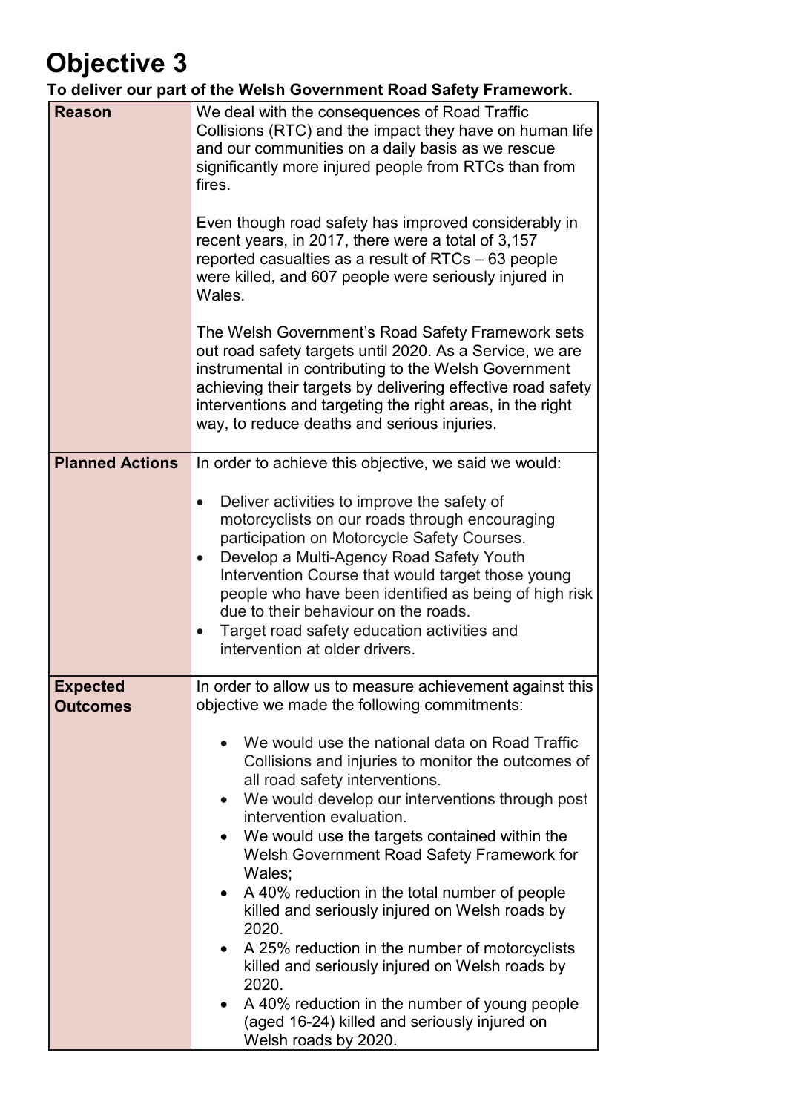### **Objective 3**

**To deliver our part of the Welsh Government Road Safety Framework.** 

| <b>Reason</b>                      | We deal with the consequences of Road Traffic<br>Collisions (RTC) and the impact they have on human life<br>and our communities on a daily basis as we rescue<br>significantly more injured people from RTCs than from<br>fires.<br>Even though road safety has improved considerably in<br>recent years, in 2017, there were a total of 3,157<br>reported casualties as a result of RTCs – 63 people<br>were killed, and 607 people were seriously injured in<br>Wales.<br>The Welsh Government's Road Safety Framework sets<br>out road safety targets until 2020. As a Service, we are<br>instrumental in contributing to the Welsh Government<br>achieving their targets by delivering effective road safety<br>interventions and targeting the right areas, in the right<br>way, to reduce deaths and serious injuries. |
|------------------------------------|------------------------------------------------------------------------------------------------------------------------------------------------------------------------------------------------------------------------------------------------------------------------------------------------------------------------------------------------------------------------------------------------------------------------------------------------------------------------------------------------------------------------------------------------------------------------------------------------------------------------------------------------------------------------------------------------------------------------------------------------------------------------------------------------------------------------------|
| <b>Planned Actions</b>             | In order to achieve this objective, we said we would:<br>Deliver activities to improve the safety of<br>motorcyclists on our roads through encouraging<br>participation on Motorcycle Safety Courses.<br>Develop a Multi-Agency Road Safety Youth<br>Intervention Course that would target those young<br>people who have been identified as being of high risk<br>due to their behaviour on the roads.<br>Target road safety education activities and<br>$\bullet$<br>intervention at older drivers.                                                                                                                                                                                                                                                                                                                        |
| <b>Expected</b><br><b>Outcomes</b> | In order to allow us to measure achievement against this<br>objective we made the following commitments:<br>We would use the national data on Road Traffic<br>$\bullet$<br>Collisions and injuries to monitor the outcomes of<br>all road safety interventions.<br>We would develop our interventions through post<br>$\bullet$<br>intervention evaluation.<br>We would use the targets contained within the<br>Welsh Government Road Safety Framework for<br>Wales;<br>A 40% reduction in the total number of people<br>killed and seriously injured on Welsh roads by<br>2020.<br>A 25% reduction in the number of motorcyclists<br>killed and seriously injured on Welsh roads by<br>2020.<br>A 40% reduction in the number of young people<br>٠<br>(aged 16-24) killed and seriously injured on<br>Welsh roads by 2020.  |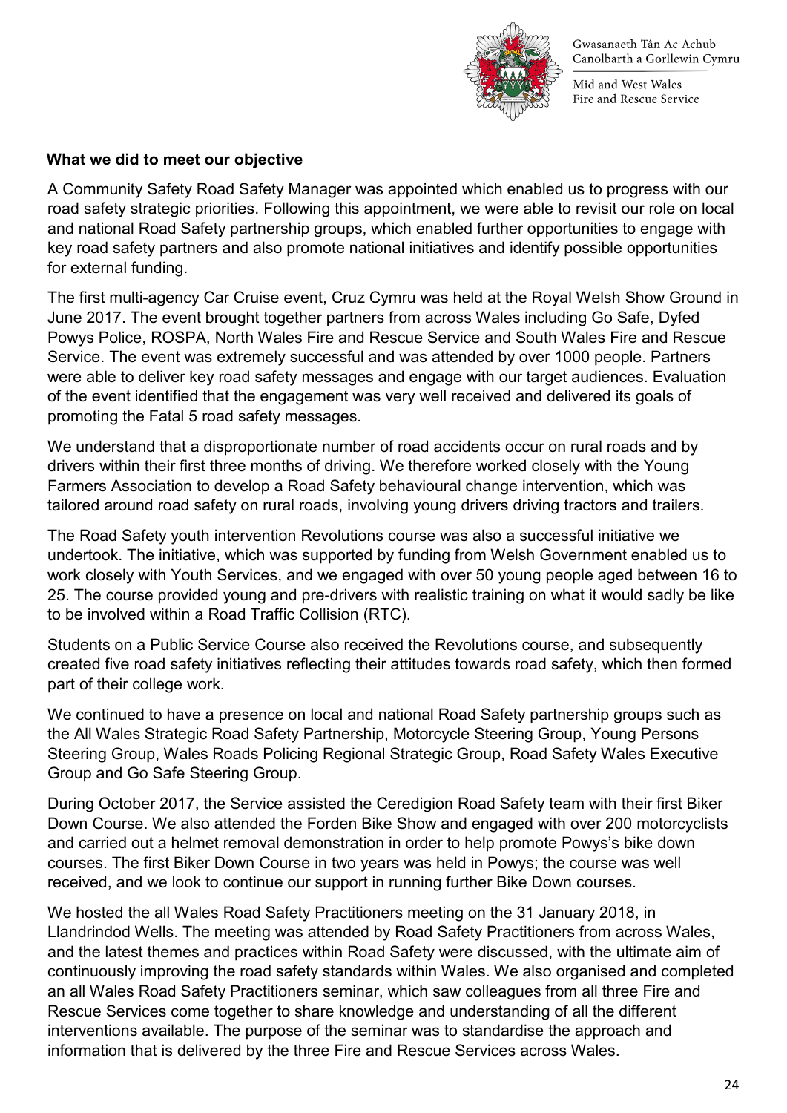

Mid and West Wales Fire and Rescue Service

#### **What we did to meet our objective**

A Community Safety Road Safety Manager was appointed which enabled us to progress with our road safety strategic priorities. Following this appointment, we were able to revisit our role on local and national Road Safety partnership groups, which enabled further opportunities to engage with key road safety partners and also promote national initiatives and identify possible opportunities for external funding.

The first multi-agency Car Cruise event, Cruz Cymru was held at the Royal Welsh Show Ground in June 2017. The event brought together partners from across Wales including Go Safe, Dyfed Powys Police, ROSPA, North Wales Fire and Rescue Service and South Wales Fire and Rescue Service. The event was extremely successful and was attended by over 1000 people. Partners were able to deliver key road safety messages and engage with our target audiences. Evaluation of the event identified that the engagement was very well received and delivered its goals of promoting the Fatal 5 road safety messages.

We understand that a disproportionate number of road accidents occur on rural roads and by drivers within their first three months of driving. We therefore worked closely with the Young Farmers Association to develop a Road Safety behavioural change intervention, which was tailored around road safety on rural roads, involving young drivers driving tractors and trailers.

The Road Safety youth intervention Revolutions course was also a successful initiative we undertook. The initiative, which was supported by funding from Welsh Government enabled us to work closely with Youth Services, and we engaged with over 50 young people aged between 16 to 25. The course provided young and pre-drivers with realistic training on what it would sadly be like to be involved within a Road Traffic Collision (RTC).

Students on a Public Service Course also received the Revolutions course, and subsequently created five road safety initiatives reflecting their attitudes towards road safety, which then formed part of their college work.

We continued to have a presence on local and national Road Safety partnership groups such as the All Wales Strategic Road Safety Partnership, Motorcycle Steering Group, Young Persons Steering Group, Wales Roads Policing Regional Strategic Group, Road Safety Wales Executive Group and Go Safe Steering Group.

During October 2017, the Service assisted the Ceredigion Road Safety team with their first Biker Down Course. We also attended the Forden Bike Show and engaged with over 200 motorcyclists and carried out a helmet removal demonstration in order to help promote Powys's bike down courses. The first Biker Down Course in two years was held in Powys; the course was well received, and we look to continue our support in running further Bike Down courses.

We hosted the all Wales Road Safety Practitioners meeting on the 31 January 2018, in Llandrindod Wells. The meeting was attended by Road Safety Practitioners from across Wales, and the latest themes and practices within Road Safety were discussed, with the ultimate aim of continuously improving the road safety standards within Wales. We also organised and completed an all Wales Road Safety Practitioners seminar, which saw colleagues from all three Fire and Rescue Services come together to share knowledge and understanding of all the different interventions available. The purpose of the seminar was to standardise the approach and information that is delivered by the three Fire and Rescue Services across Wales.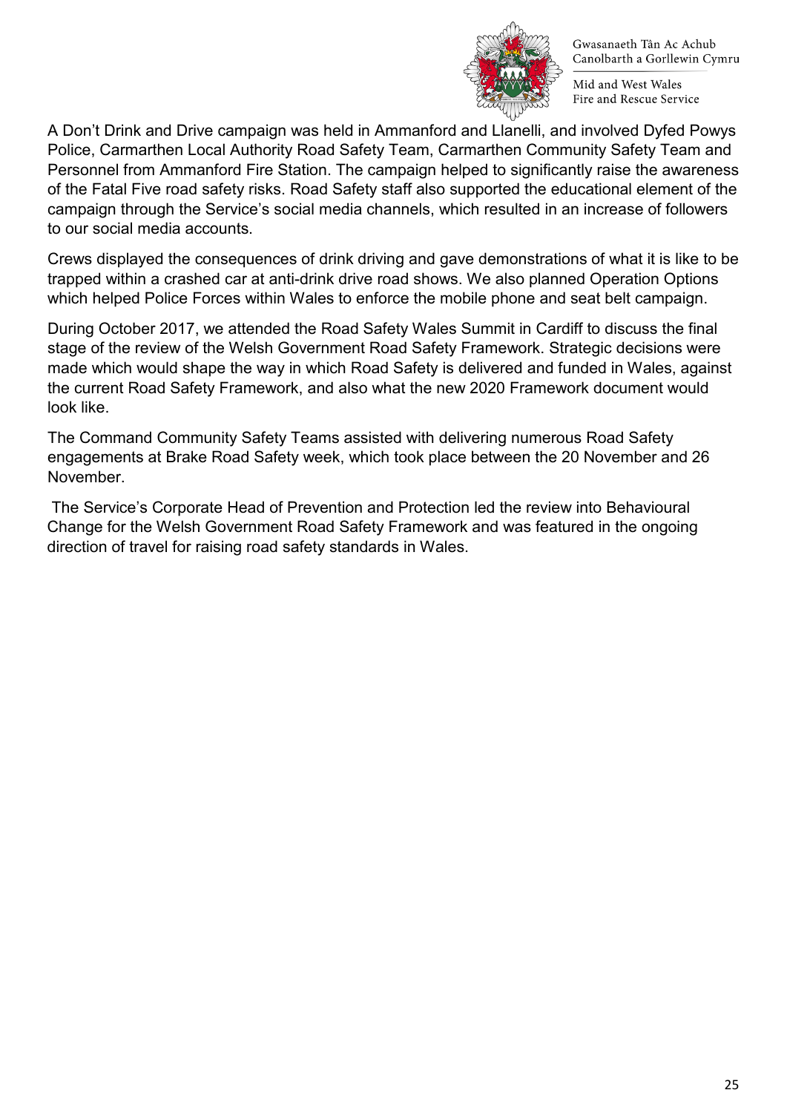

Mid and West Wales Fire and Rescue Service

A Don't Drink and Drive campaign was held in Ammanford and Llanelli, and involved Dyfed Powys Police, Carmarthen Local Authority Road Safety Team, Carmarthen Community Safety Team and Personnel from Ammanford Fire Station. The campaign helped to significantly raise the awareness of the Fatal Five road safety risks. Road Safety staff also supported the educational element of the campaign through the Service's social media channels, which resulted in an increase of followers to our social media accounts.

Crews displayed the consequences of drink driving and gave demonstrations of what it is like to be trapped within a crashed car at anti-drink drive road shows. We also planned Operation Options which helped Police Forces within Wales to enforce the mobile phone and seat belt campaign.

During October 2017, we attended the Road Safety Wales Summit in Cardiff to discuss the final stage of the review of the Welsh Government Road Safety Framework. Strategic decisions were made which would shape the way in which Road Safety is delivered and funded in Wales, against the current Road Safety Framework, and also what the new 2020 Framework document would look like.

The Command Community Safety Teams assisted with delivering numerous Road Safety engagements at Brake Road Safety week, which took place between the 20 November and 26 November.

The Service's Corporate Head of Prevention and Protection led the review into Behavioural Change for the Welsh Government Road Safety Framework and was featured in the ongoing direction of travel for raising road safety standards in Wales.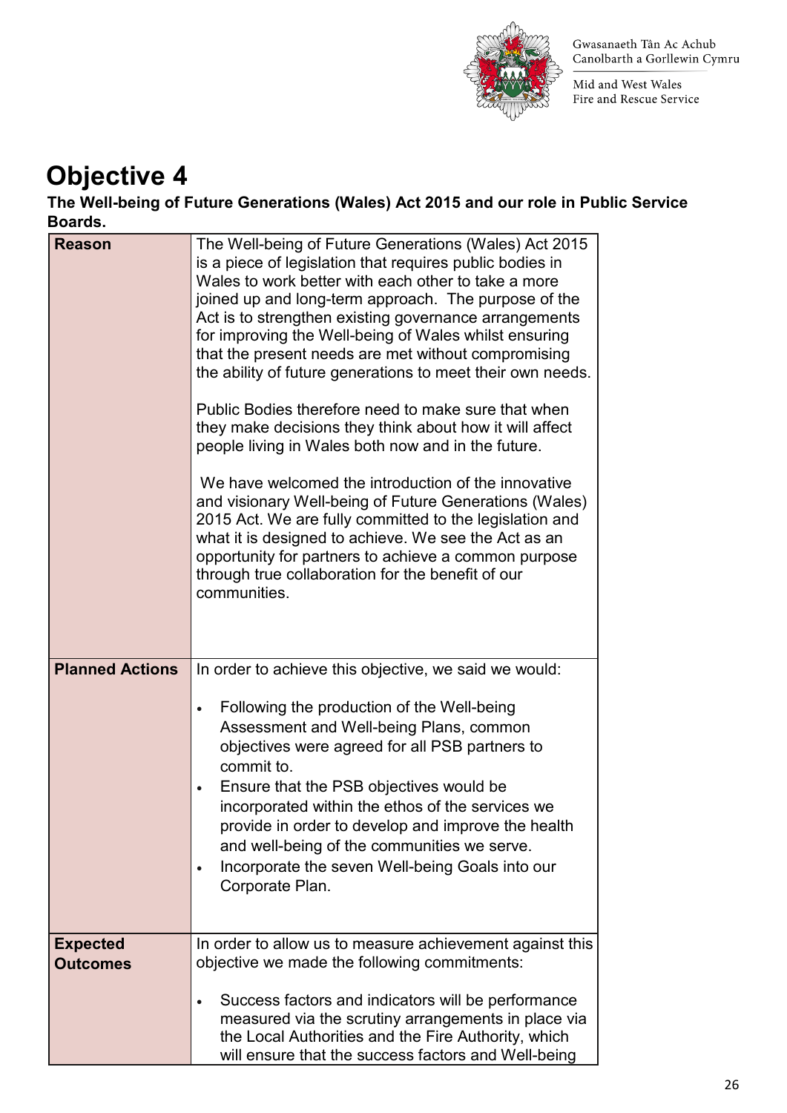

Mid and West Wales Fire and Rescue Service

### **Objective 4**

**The Well-being of Future Generations (Wales) Act 2015 and our role in Public Service Boards.** 

| DUAI US.               |                                                                                                                                                                                                                                                                                                                                                                                                                                                                                                                                                                                                                                                                                                                                                                                                                                                                                                                                                                                                                  |
|------------------------|------------------------------------------------------------------------------------------------------------------------------------------------------------------------------------------------------------------------------------------------------------------------------------------------------------------------------------------------------------------------------------------------------------------------------------------------------------------------------------------------------------------------------------------------------------------------------------------------------------------------------------------------------------------------------------------------------------------------------------------------------------------------------------------------------------------------------------------------------------------------------------------------------------------------------------------------------------------------------------------------------------------|
| <b>Reason</b>          | The Well-being of Future Generations (Wales) Act 2015<br>is a piece of legislation that requires public bodies in<br>Wales to work better with each other to take a more<br>joined up and long-term approach. The purpose of the<br>Act is to strengthen existing governance arrangements<br>for improving the Well-being of Wales whilst ensuring<br>that the present needs are met without compromising<br>the ability of future generations to meet their own needs.<br>Public Bodies therefore need to make sure that when<br>they make decisions they think about how it will affect<br>people living in Wales both now and in the future.<br>We have welcomed the introduction of the innovative<br>and visionary Well-being of Future Generations (Wales)<br>2015 Act. We are fully committed to the legislation and<br>what it is designed to achieve. We see the Act as an<br>opportunity for partners to achieve a common purpose<br>through true collaboration for the benefit of our<br>communities. |
| <b>Planned Actions</b> | In order to achieve this objective, we said we would:                                                                                                                                                                                                                                                                                                                                                                                                                                                                                                                                                                                                                                                                                                                                                                                                                                                                                                                                                            |
|                        | Following the production of the Well-being<br>$\bullet$<br>Assessment and Well-being Plans, common<br>objectives were agreed for all PSB partners to<br>commit to.<br>Ensure that the PSB objectives would be<br>incorporated within the ethos of the services we<br>provide in order to develop and improve the health<br>and well-being of the communities we serve.<br>Incorporate the seven Well-being Goals into our<br>Corporate Plan.                                                                                                                                                                                                                                                                                                                                                                                                                                                                                                                                                                     |
| <b>Expected</b>        | In order to allow us to measure achievement against this                                                                                                                                                                                                                                                                                                                                                                                                                                                                                                                                                                                                                                                                                                                                                                                                                                                                                                                                                         |
| <b>Outcomes</b>        | objective we made the following commitments:                                                                                                                                                                                                                                                                                                                                                                                                                                                                                                                                                                                                                                                                                                                                                                                                                                                                                                                                                                     |
|                        | Success factors and indicators will be performance<br>$\bullet$<br>measured via the scrutiny arrangements in place via<br>the Local Authorities and the Fire Authority, which<br>will ensure that the success factors and Well-being                                                                                                                                                                                                                                                                                                                                                                                                                                                                                                                                                                                                                                                                                                                                                                             |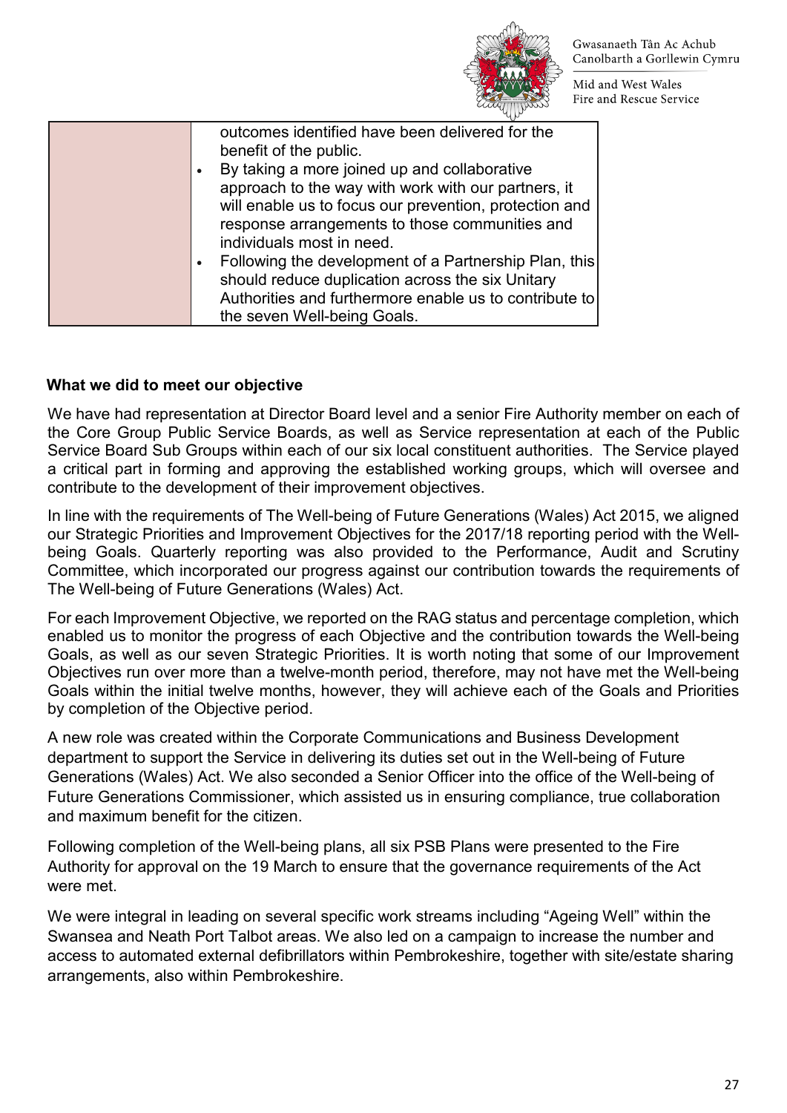

Mid and West Wales Fire and Rescue Service

| outcomes identified have been delivered for the<br>benefit of the public.<br>By taking a more joined up and collaborative<br>approach to the way with work with our partners, it<br>will enable us to focus our prevention, protection and |
|--------------------------------------------------------------------------------------------------------------------------------------------------------------------------------------------------------------------------------------------|
| response arrangements to those communities and<br>individuals most in need.                                                                                                                                                                |
| Following the development of a Partnership Plan, this<br>should reduce duplication across the six Unitary<br>Authorities and furthermore enable us to contribute to                                                                        |
| the seven Well-being Goals.                                                                                                                                                                                                                |

#### **What we did to meet our objective**

We have had representation at Director Board level and a senior Fire Authority member on each of the Core Group Public Service Boards, as well as Service representation at each of the Public Service Board Sub Groups within each of our six local constituent authorities. The Service played a critical part in forming and approving the established working groups, which will oversee and contribute to the development of their improvement objectives.

In line with the requirements of The Well-being of Future Generations (Wales) Act 2015, we aligned our Strategic Priorities and Improvement Objectives for the 2017/18 reporting period with the Wellbeing Goals. Quarterly reporting was also provided to the Performance, Audit and Scrutiny Committee, which incorporated our progress against our contribution towards the requirements of The Well-being of Future Generations (Wales) Act.

For each Improvement Objective, we reported on the RAG status and percentage completion, which enabled us to monitor the progress of each Objective and the contribution towards the Well-being Goals, as well as our seven Strategic Priorities. It is worth noting that some of our Improvement Objectives run over more than a twelve-month period, therefore, may not have met the Well-being Goals within the initial twelve months, however, they will achieve each of the Goals and Priorities by completion of the Objective period.

A new role was created within the Corporate Communications and Business Development department to support the Service in delivering its duties set out in the Well-being of Future Generations (Wales) Act. We also seconded a Senior Officer into the office of the Well-being of Future Generations Commissioner, which assisted us in ensuring compliance, true collaboration and maximum benefit for the citizen.

Following completion of the Well-being plans, all six PSB Plans were presented to the Fire Authority for approval on the 19 March to ensure that the governance requirements of the Act were met.

We were integral in leading on several specific work streams including "Ageing Well" within the Swansea and Neath Port Talbot areas. We also led on a campaign to increase the number and access to automated external defibrillators within Pembrokeshire, together with site/estate sharing arrangements, also within Pembrokeshire.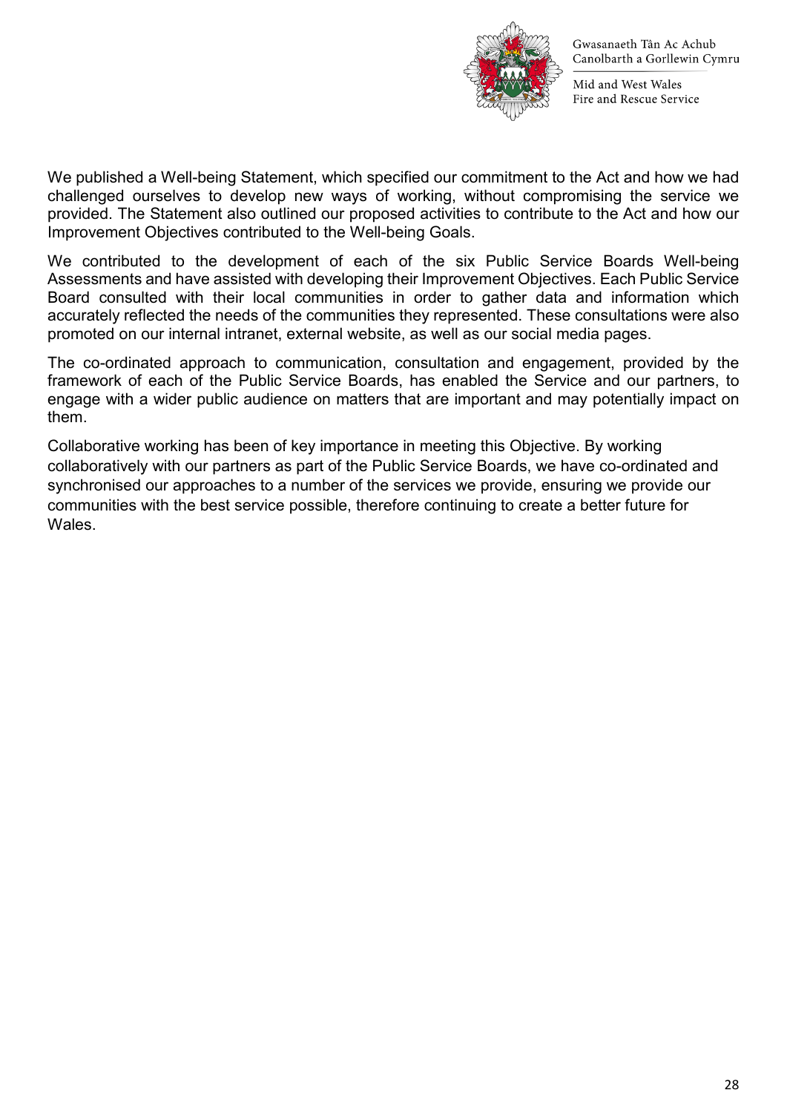

Mid and West Wales Fire and Rescue Service

We published a Well-being Statement, which specified our commitment to the Act and how we had challenged ourselves to develop new ways of working, without compromising the service we provided. The Statement also outlined our proposed activities to contribute to the Act and how our Improvement Objectives contributed to the Well-being Goals.

We contributed to the development of each of the six Public Service Boards Well-being Assessments and have assisted with developing their Improvement Objectives. Each Public Service Board consulted with their local communities in order to gather data and information which accurately reflected the needs of the communities they represented. These consultations were also promoted on our internal intranet, external website, as well as our social media pages.

The co-ordinated approach to communication, consultation and engagement, provided by the framework of each of the Public Service Boards, has enabled the Service and our partners, to engage with a wider public audience on matters that are important and may potentially impact on them.

Collaborative working has been of key importance in meeting this Objective. By working collaboratively with our partners as part of the Public Service Boards, we have co-ordinated and synchronised our approaches to a number of the services we provide, ensuring we provide our communities with the best service possible, therefore continuing to create a better future for Wales.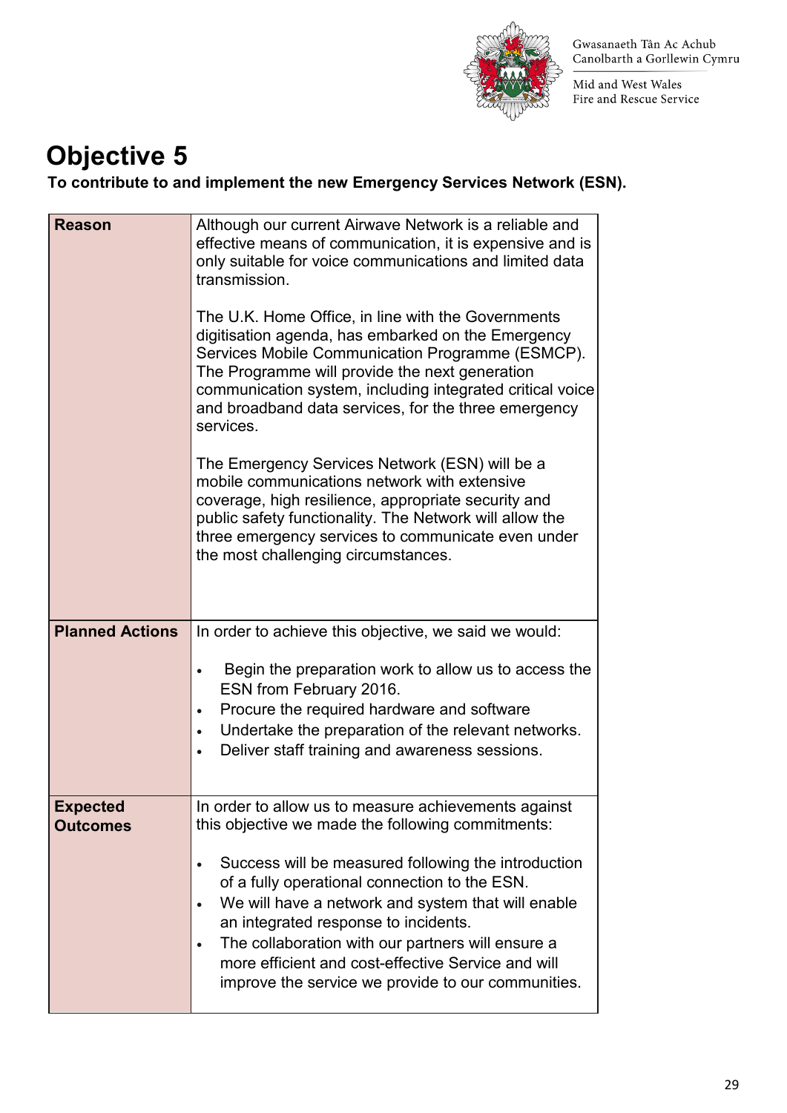

Mid and West Wales Fire and Rescue Service

### **Objective 5**

**To contribute to and implement the new Emergency Services Network (ESN).** 

| <b>Reason</b>          | Although our current Airwave Network is a reliable and                                                                                                                                                                                                                                                                                           |
|------------------------|--------------------------------------------------------------------------------------------------------------------------------------------------------------------------------------------------------------------------------------------------------------------------------------------------------------------------------------------------|
|                        | effective means of communication, it is expensive and is<br>only suitable for voice communications and limited data<br>transmission.                                                                                                                                                                                                             |
|                        | The U.K. Home Office, in line with the Governments<br>digitisation agenda, has embarked on the Emergency<br>Services Mobile Communication Programme (ESMCP).<br>The Programme will provide the next generation<br>communication system, including integrated critical voice<br>and broadband data services, for the three emergency<br>services. |
|                        | The Emergency Services Network (ESN) will be a<br>mobile communications network with extensive<br>coverage, high resilience, appropriate security and<br>public safety functionality. The Network will allow the<br>three emergency services to communicate even under<br>the most challenging circumstances.                                    |
| <b>Planned Actions</b> | In order to achieve this objective, we said we would:                                                                                                                                                                                                                                                                                            |
|                        |                                                                                                                                                                                                                                                                                                                                                  |
|                        | Begin the preparation work to allow us to access the<br>$\bullet$<br>ESN from February 2016.                                                                                                                                                                                                                                                     |
|                        | Procure the required hardware and software<br>$\bullet$                                                                                                                                                                                                                                                                                          |
|                        | Undertake the preparation of the relevant networks.<br>$\bullet$<br>Deliver staff training and awareness sessions.<br>$\bullet$                                                                                                                                                                                                                  |
| <b>Expected</b>        | In order to allow us to measure achievements against                                                                                                                                                                                                                                                                                             |
| <b>Outcomes</b>        | this objective we made the following commitments:                                                                                                                                                                                                                                                                                                |
|                        | Success will be measured following the introduction<br>$\bullet$<br>of a fully operational connection to the ESN.                                                                                                                                                                                                                                |
|                        | We will have a network and system that will enable<br>$\bullet$                                                                                                                                                                                                                                                                                  |
|                        | an integrated response to incidents.<br>The collaboration with our partners will ensure a<br>$\bullet$                                                                                                                                                                                                                                           |
|                        | more efficient and cost-effective Service and will<br>improve the service we provide to our communities.                                                                                                                                                                                                                                         |
|                        |                                                                                                                                                                                                                                                                                                                                                  |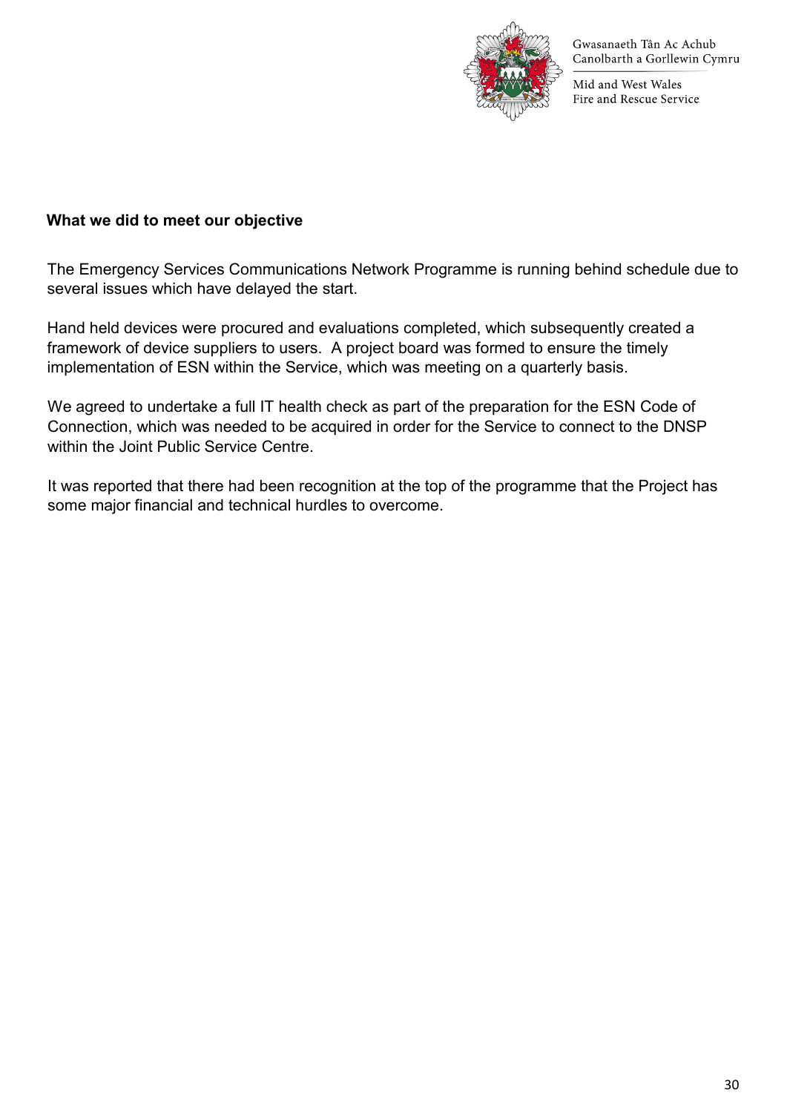

Mid and West Wales Fire and Rescue Service

#### **What we did to meet our objective**

The Emergency Services Communications Network Programme is running behind schedule due to several issues which have delayed the start.

Hand held devices were procured and evaluations completed, which subsequently created a framework of device suppliers to users. A project board was formed to ensure the timely implementation of ESN within the Service, which was meeting on a quarterly basis.

We agreed to undertake a full IT health check as part of the preparation for the ESN Code of Connection, which was needed to be acquired in order for the Service to connect to the DNSP within the Joint Public Service Centre.

It was reported that there had been recognition at the top of the programme that the Project has some major financial and technical hurdles to overcome.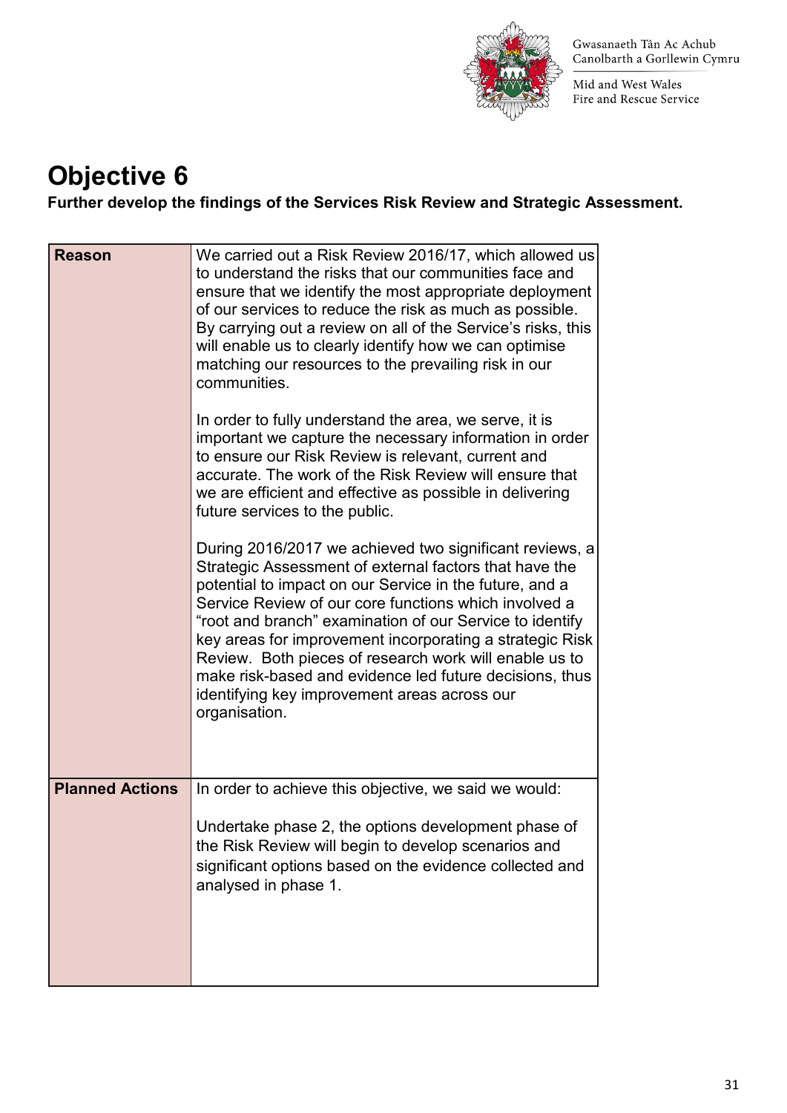

Mid and West Wales Fire and Rescue Service

## **Objective 6**

**Further develop the findings of the Services Risk Review and Strategic Assessment.** 

| <b>Reason</b>          | We carried out a Risk Review 2016/17, which allowed us<br>to understand the risks that our communities face and<br>ensure that we identify the most appropriate deployment<br>of our services to reduce the risk as much as possible.<br>By carrying out a review on all of the Service's risks, this<br>will enable us to clearly identify how we can optimise<br>matching our resources to the prevailing risk in our<br>communities.<br>In order to fully understand the area, we serve, it is<br>important we capture the necessary information in order<br>to ensure our Risk Review is relevant, current and<br>accurate. The work of the Risk Review will ensure that<br>we are efficient and effective as possible in delivering<br>future services to the public.<br>During 2016/2017 we achieved two significant reviews, a<br>Strategic Assessment of external factors that have the<br>potential to impact on our Service in the future, and a<br>Service Review of our core functions which involved a<br>"root and branch" examination of our Service to identify<br>key areas for improvement incorporating a strategic Risk<br>Review. Both pieces of research work will enable us to<br>make risk-based and evidence led future decisions, thus<br>identifying key improvement areas across our<br>organisation. |
|------------------------|-----------------------------------------------------------------------------------------------------------------------------------------------------------------------------------------------------------------------------------------------------------------------------------------------------------------------------------------------------------------------------------------------------------------------------------------------------------------------------------------------------------------------------------------------------------------------------------------------------------------------------------------------------------------------------------------------------------------------------------------------------------------------------------------------------------------------------------------------------------------------------------------------------------------------------------------------------------------------------------------------------------------------------------------------------------------------------------------------------------------------------------------------------------------------------------------------------------------------------------------------------------------------------------------------------------------------------------|
| <b>Planned Actions</b> | In order to achieve this objective, we said we would:<br>Undertake phase 2, the options development phase of<br>the Risk Review will begin to develop scenarios and<br>significant options based on the evidence collected and<br>analysed in phase 1.                                                                                                                                                                                                                                                                                                                                                                                                                                                                                                                                                                                                                                                                                                                                                                                                                                                                                                                                                                                                                                                                            |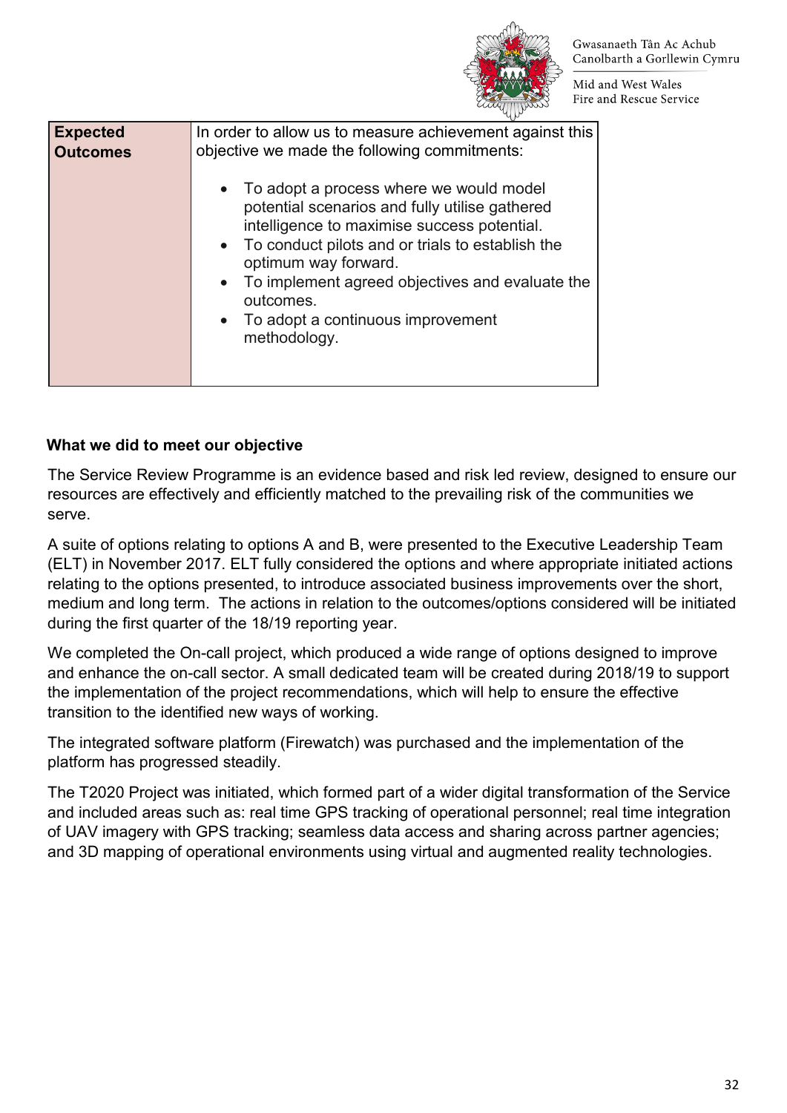

Mid and West Wales Fire and Rescue Service

| <b>Expected</b><br><b>Outcomes</b> | In order to allow us to measure achievement against this<br>objective we made the following commitments:<br>• To adopt a process where we would model<br>potential scenarios and fully utilise gathered<br>intelligence to maximise success potential.<br>• To conduct pilots and or trials to establish the<br>optimum way forward.<br>To implement agreed objectives and evaluate the<br>$\bullet$ |
|------------------------------------|------------------------------------------------------------------------------------------------------------------------------------------------------------------------------------------------------------------------------------------------------------------------------------------------------------------------------------------------------------------------------------------------------|
|                                    | outcomes.<br>• To adopt a continuous improvement<br>methodology.                                                                                                                                                                                                                                                                                                                                     |

### **What we did to meet our objective**

The Service Review Programme is an evidence based and risk led review, designed to ensure our resources are effectively and efficiently matched to the prevailing risk of the communities we serve.

A suite of options relating to options A and B, were presented to the Executive Leadership Team (ELT) in November 2017. ELT fully considered the options and where appropriate initiated actions relating to the options presented, to introduce associated business improvements over the short, medium and long term. The actions in relation to the outcomes/options considered will be initiated during the first quarter of the 18/19 reporting year.

We completed the On-call project, which produced a wide range of options designed to improve and enhance the on-call sector. A small dedicated team will be created during 2018/19 to support the implementation of the project recommendations, which will help to ensure the effective transition to the identified new ways of working.

The integrated software platform (Firewatch) was purchased and the implementation of the platform has progressed steadily.

The T2020 Project was initiated, which formed part of a wider digital transformation of the Service and included areas such as: real time GPS tracking of operational personnel; real time integration of UAV imagery with GPS tracking; seamless data access and sharing across partner agencies; and 3D mapping of operational environments using virtual and augmented reality technologies.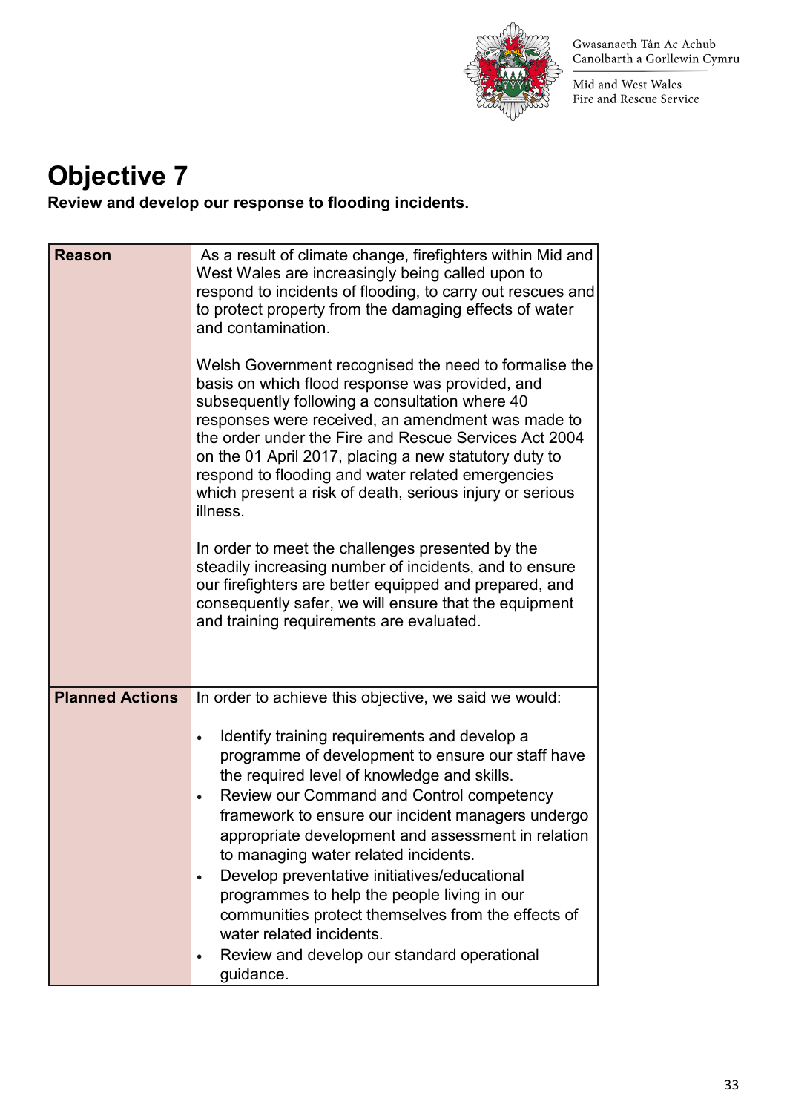

Mid and West Wales Fire and Rescue Service

### **Objective 7**

**Review and develop our response to flooding incidents.** 

| <b>Reason</b>          | As a result of climate change, firefighters within Mid and<br>West Wales are increasingly being called upon to<br>respond to incidents of flooding, to carry out rescues and<br>to protect property from the damaging effects of water<br>and contamination.<br>Welsh Government recognised the need to formalise the<br>basis on which flood response was provided, and<br>subsequently following a consultation where 40<br>responses were received, an amendment was made to<br>the order under the Fire and Rescue Services Act 2004<br>on the 01 April 2017, placing a new statutory duty to<br>respond to flooding and water related emergencies<br>which present a risk of death, serious injury or serious<br>illness.<br>In order to meet the challenges presented by the<br>steadily increasing number of incidents, and to ensure<br>our firefighters are better equipped and prepared, and<br>consequently safer, we will ensure that the equipment<br>and training requirements are evaluated. |
|------------------------|-------------------------------------------------------------------------------------------------------------------------------------------------------------------------------------------------------------------------------------------------------------------------------------------------------------------------------------------------------------------------------------------------------------------------------------------------------------------------------------------------------------------------------------------------------------------------------------------------------------------------------------------------------------------------------------------------------------------------------------------------------------------------------------------------------------------------------------------------------------------------------------------------------------------------------------------------------------------------------------------------------------|
| <b>Planned Actions</b> | In order to achieve this objective, we said we would:<br>Identify training requirements and develop a<br>$\bullet$<br>programme of development to ensure our staff have<br>the required level of knowledge and skills.<br>Review our Command and Control competency<br>$\bullet$<br>framework to ensure our incident managers undergo<br>appropriate development and assessment in relation<br>to managing water related incidents.<br>Develop preventative initiatives/educational<br>$\bullet$<br>programmes to help the people living in our<br>communities protect themselves from the effects of                                                                                                                                                                                                                                                                                                                                                                                                       |
|                        | water related incidents.<br>Review and develop our standard operational<br>$\bullet$<br>guidance.                                                                                                                                                                                                                                                                                                                                                                                                                                                                                                                                                                                                                                                                                                                                                                                                                                                                                                           |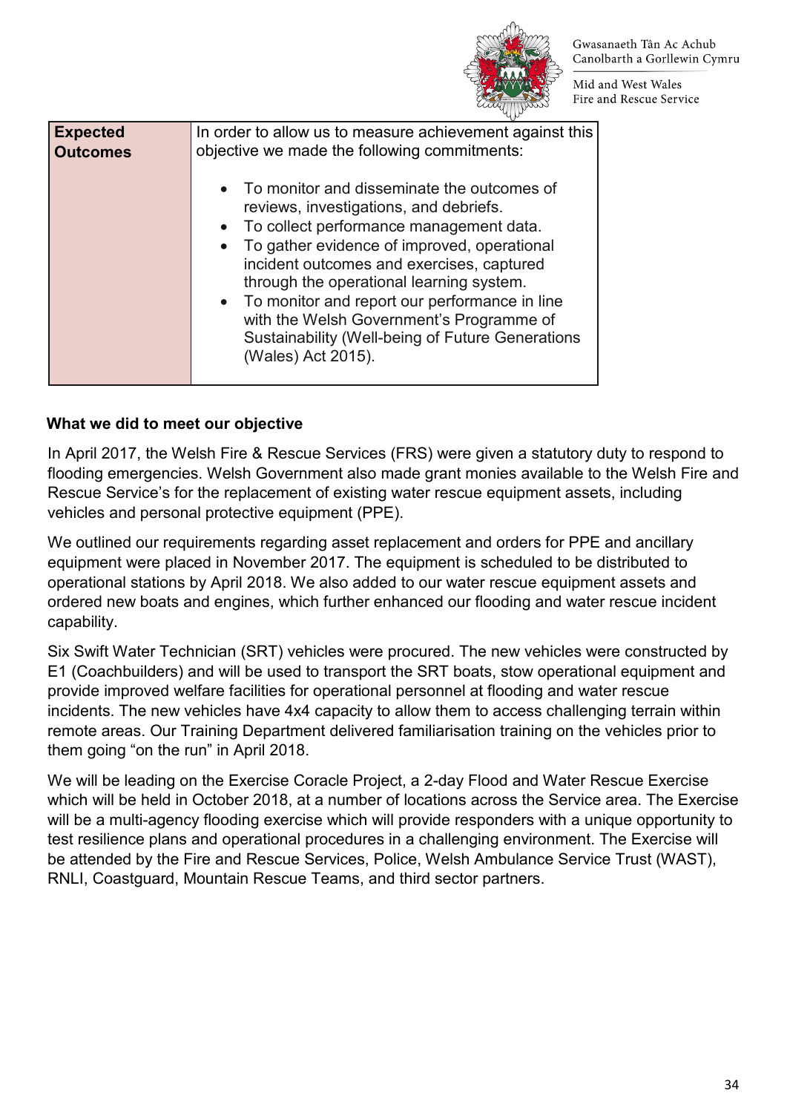

Mid and West Wales Fire and Rescue Service

| <b>Expected</b> | In order to allow us to measure achievement against this                                                                                                                                                                                                                                                                                                                                                                                               |
|-----------------|--------------------------------------------------------------------------------------------------------------------------------------------------------------------------------------------------------------------------------------------------------------------------------------------------------------------------------------------------------------------------------------------------------------------------------------------------------|
| <b>Outcomes</b> | objective we made the following commitments:                                                                                                                                                                                                                                                                                                                                                                                                           |
|                 | • To monitor and disseminate the outcomes of<br>reviews, investigations, and debriefs.<br>• To collect performance management data.<br>• To gather evidence of improved, operational<br>incident outcomes and exercises, captured<br>through the operational learning system.<br>• To monitor and report our performance in line<br>with the Welsh Government's Programme of<br>Sustainability (Well-being of Future Generations<br>(Wales) Act 2015). |

### **What we did to meet our objective**

In April 2017, the Welsh Fire & Rescue Services (FRS) were given a statutory duty to respond to flooding emergencies. Welsh Government also made grant monies available to the Welsh Fire and Rescue Service's for the replacement of existing water rescue equipment assets, including vehicles and personal protective equipment (PPE).

We outlined our requirements regarding asset replacement and orders for PPE and ancillary equipment were placed in November 2017. The equipment is scheduled to be distributed to operational stations by April 2018. We also added to our water rescue equipment assets and ordered new boats and engines, which further enhanced our flooding and water rescue incident capability.

Six Swift Water Technician (SRT) vehicles were procured. The new vehicles were constructed by E1 (Coachbuilders) and will be used to transport the SRT boats, stow operational equipment and provide improved welfare facilities for operational personnel at flooding and water rescue incidents. The new vehicles have 4x4 capacity to allow them to access challenging terrain within remote areas. Our Training Department delivered familiarisation training on the vehicles prior to them going "on the run" in April 2018.

We will be leading on the Exercise Coracle Project, a 2-day Flood and Water Rescue Exercise which will be held in October 2018, at a number of locations across the Service area. The Exercise will be a multi-agency flooding exercise which will provide responders with a unique opportunity to test resilience plans and operational procedures in a challenging environment. The Exercise will be attended by the Fire and Rescue Services, Police, Welsh Ambulance Service Trust (WAST), RNLI, Coastguard, Mountain Rescue Teams, and third sector partners.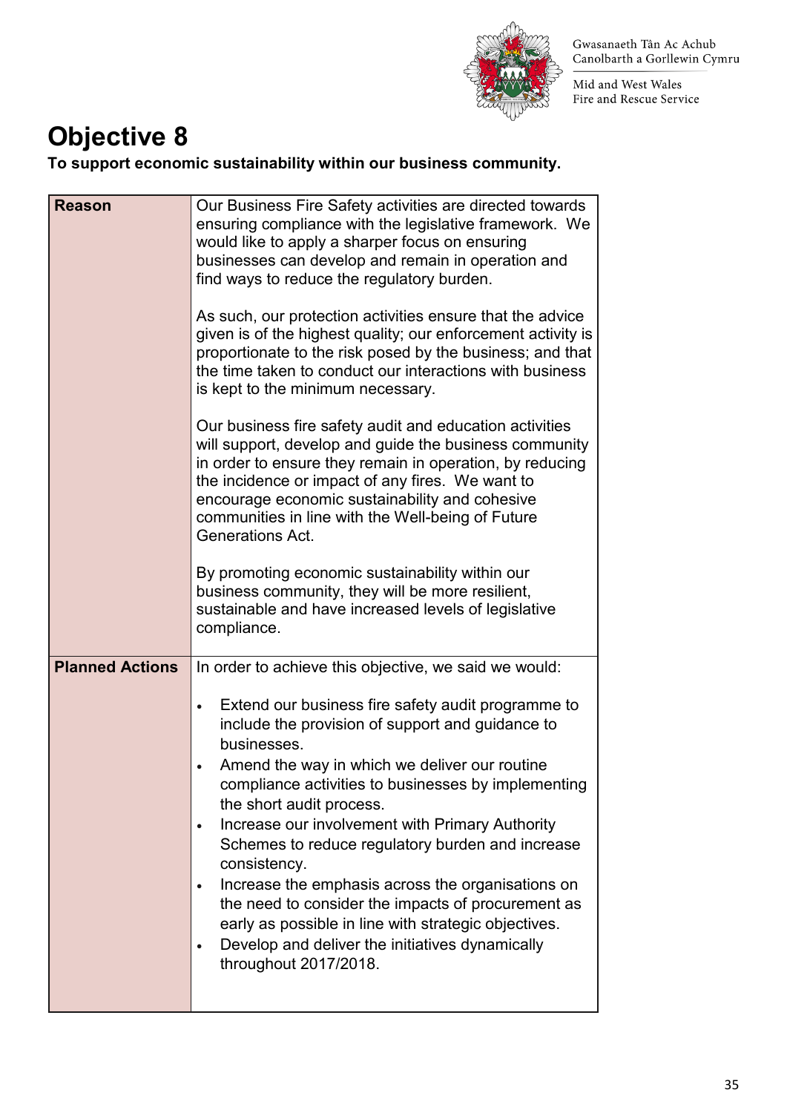

Mid and West Wales Fire and Rescue Service

### **Objective 8**

**To support economic sustainability within our business community.** 

| <b>Reason</b>          | Our Business Fire Safety activities are directed towards<br>ensuring compliance with the legislative framework. We<br>would like to apply a sharper focus on ensuring<br>businesses can develop and remain in operation and<br>find ways to reduce the regulatory burden.<br>As such, our protection activities ensure that the advice<br>given is of the highest quality; our enforcement activity is<br>proportionate to the risk posed by the business; and that<br>the time taken to conduct our interactions with business<br>is kept to the minimum necessary.<br>Our business fire safety audit and education activities<br>will support, develop and guide the business community<br>in order to ensure they remain in operation, by reducing<br>the incidence or impact of any fires. We want to<br>encourage economic sustainability and cohesive<br>communities in line with the Well-being of Future<br>Generations Act.<br>By promoting economic sustainability within our<br>business community, they will be more resilient,<br>sustainable and have increased levels of legislative<br>compliance. |
|------------------------|--------------------------------------------------------------------------------------------------------------------------------------------------------------------------------------------------------------------------------------------------------------------------------------------------------------------------------------------------------------------------------------------------------------------------------------------------------------------------------------------------------------------------------------------------------------------------------------------------------------------------------------------------------------------------------------------------------------------------------------------------------------------------------------------------------------------------------------------------------------------------------------------------------------------------------------------------------------------------------------------------------------------------------------------------------------------------------------------------------------------|
| <b>Planned Actions</b> | In order to achieve this objective, we said we would:                                                                                                                                                                                                                                                                                                                                                                                                                                                                                                                                                                                                                                                                                                                                                                                                                                                                                                                                                                                                                                                              |
|                        | Extend our business fire safety audit programme to<br>include the provision of support and guidance to<br>businesses.<br>Amend the way in which we deliver our routine<br>compliance activities to businesses by implementing<br>the short audit process.<br>Increase our involvement with Primary Authority<br>$\bullet$<br>Schemes to reduce regulatory burden and increase<br>consistency.<br>Increase the emphasis across the organisations on<br>the need to consider the impacts of procurement as<br>early as possible in line with strategic objectives.<br>Develop and deliver the initiatives dynamically<br>$\bullet$<br>throughout 2017/2018.                                                                                                                                                                                                                                                                                                                                                                                                                                                          |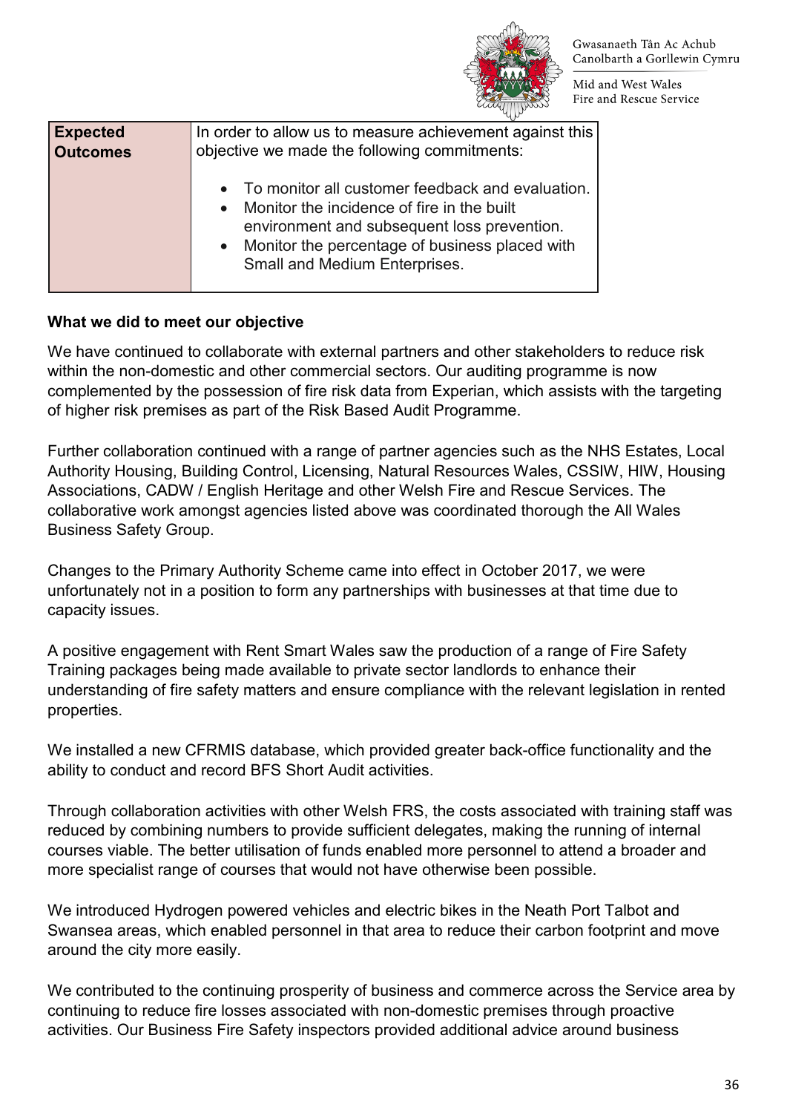

Mid and West Wales Fire and Rescue Service

| <b>Expected</b> | In order to allow us to measure achievement against this                                                                                                                                                                                          |
|-----------------|---------------------------------------------------------------------------------------------------------------------------------------------------------------------------------------------------------------------------------------------------|
| <b>Outcomes</b> | objective we made the following commitments:                                                                                                                                                                                                      |
|                 | • To monitor all customer feedback and evaluation.<br>Monitor the incidence of fire in the built<br>$\bullet$<br>environment and subsequent loss prevention.<br>• Monitor the percentage of business placed with<br>Small and Medium Enterprises. |

#### **What we did to meet our objective**

We have continued to collaborate with external partners and other stakeholders to reduce risk within the non-domestic and other commercial sectors. Our auditing programme is now complemented by the possession of fire risk data from Experian, which assists with the targeting of higher risk premises as part of the Risk Based Audit Programme.

Further collaboration continued with a range of partner agencies such as the NHS Estates, Local Authority Housing, Building Control, Licensing, Natural Resources Wales, CSSIW, HIW, Housing Associations, CADW / English Heritage and other Welsh Fire and Rescue Services. The collaborative work amongst agencies listed above was coordinated thorough the All Wales Business Safety Group.

Changes to the Primary Authority Scheme came into effect in October 2017, we were unfortunately not in a position to form any partnerships with businesses at that time due to capacity issues.

A positive engagement with Rent Smart Wales saw the production of a range of Fire Safety Training packages being made available to private sector landlords to enhance their understanding of fire safety matters and ensure compliance with the relevant legislation in rented properties.

We installed a new CFRMIS database, which provided greater back-office functionality and the ability to conduct and record BFS Short Audit activities.

Through collaboration activities with other Welsh FRS, the costs associated with training staff was reduced by combining numbers to provide sufficient delegates, making the running of internal courses viable. The better utilisation of funds enabled more personnel to attend a broader and more specialist range of courses that would not have otherwise been possible.

We introduced Hydrogen powered vehicles and electric bikes in the Neath Port Talbot and Swansea areas, which enabled personnel in that area to reduce their carbon footprint and move around the city more easily.

We contributed to the continuing prosperity of business and commerce across the Service area by continuing to reduce fire losses associated with non-domestic premises through proactive activities. Our Business Fire Safety inspectors provided additional advice around business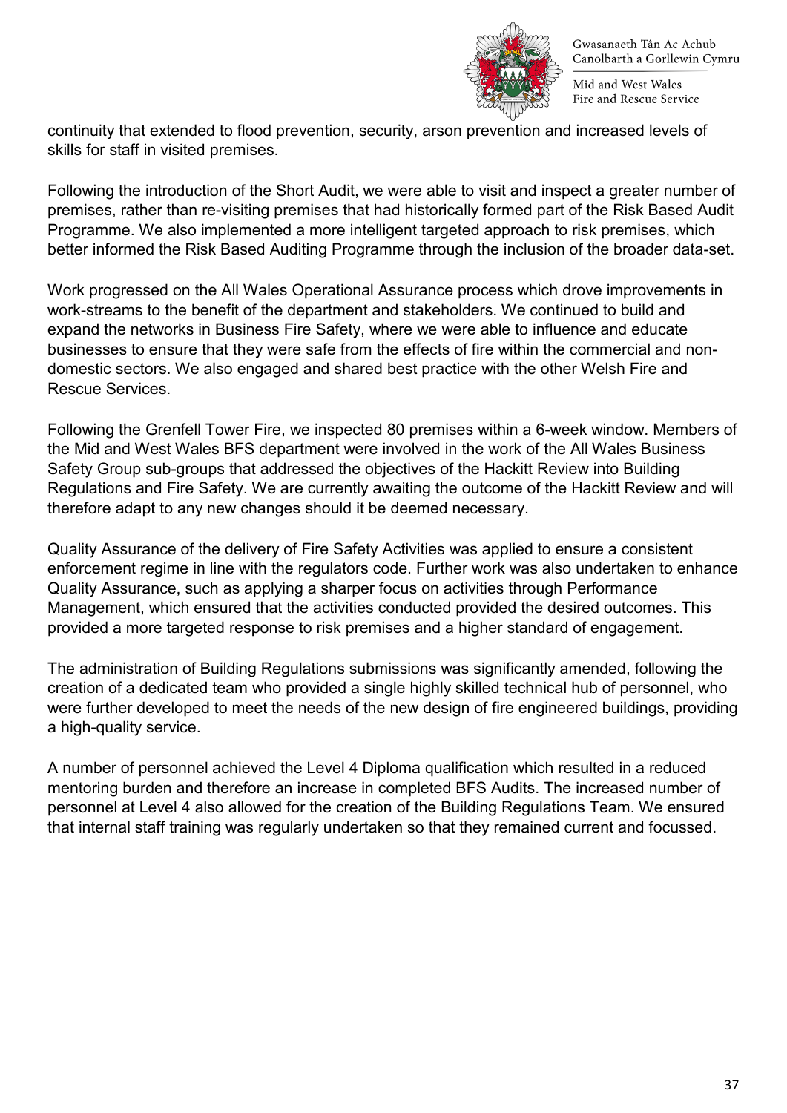

Mid and West Wales Fire and Rescue Service

continuity that extended to flood prevention, security, arson prevention and increased levels of skills for staff in visited premises.

Following the introduction of the Short Audit, we were able to visit and inspect a greater number of premises, rather than re-visiting premises that had historically formed part of the Risk Based Audit Programme. We also implemented a more intelligent targeted approach to risk premises, which better informed the Risk Based Auditing Programme through the inclusion of the broader data-set.

Work progressed on the All Wales Operational Assurance process which drove improvements in work-streams to the benefit of the department and stakeholders. We continued to build and expand the networks in Business Fire Safety, where we were able to influence and educate businesses to ensure that they were safe from the effects of fire within the commercial and nondomestic sectors. We also engaged and shared best practice with the other Welsh Fire and Rescue Services.

Following the Grenfell Tower Fire, we inspected 80 premises within a 6-week window. Members of the Mid and West Wales BFS department were involved in the work of the All Wales Business Safety Group sub-groups that addressed the objectives of the Hackitt Review into Building Regulations and Fire Safety. We are currently awaiting the outcome of the Hackitt Review and will therefore adapt to any new changes should it be deemed necessary.

Quality Assurance of the delivery of Fire Safety Activities was applied to ensure a consistent enforcement regime in line with the regulators code. Further work was also undertaken to enhance Quality Assurance, such as applying a sharper focus on activities through Performance Management, which ensured that the activities conducted provided the desired outcomes. This provided a more targeted response to risk premises and a higher standard of engagement.

The administration of Building Regulations submissions was significantly amended, following the creation of a dedicated team who provided a single highly skilled technical hub of personnel, who were further developed to meet the needs of the new design of fire engineered buildings, providing a high-quality service.

A number of personnel achieved the Level 4 Diploma qualification which resulted in a reduced mentoring burden and therefore an increase in completed BFS Audits. The increased number of personnel at Level 4 also allowed for the creation of the Building Regulations Team. We ensured that internal staff training was regularly undertaken so that they remained current and focussed.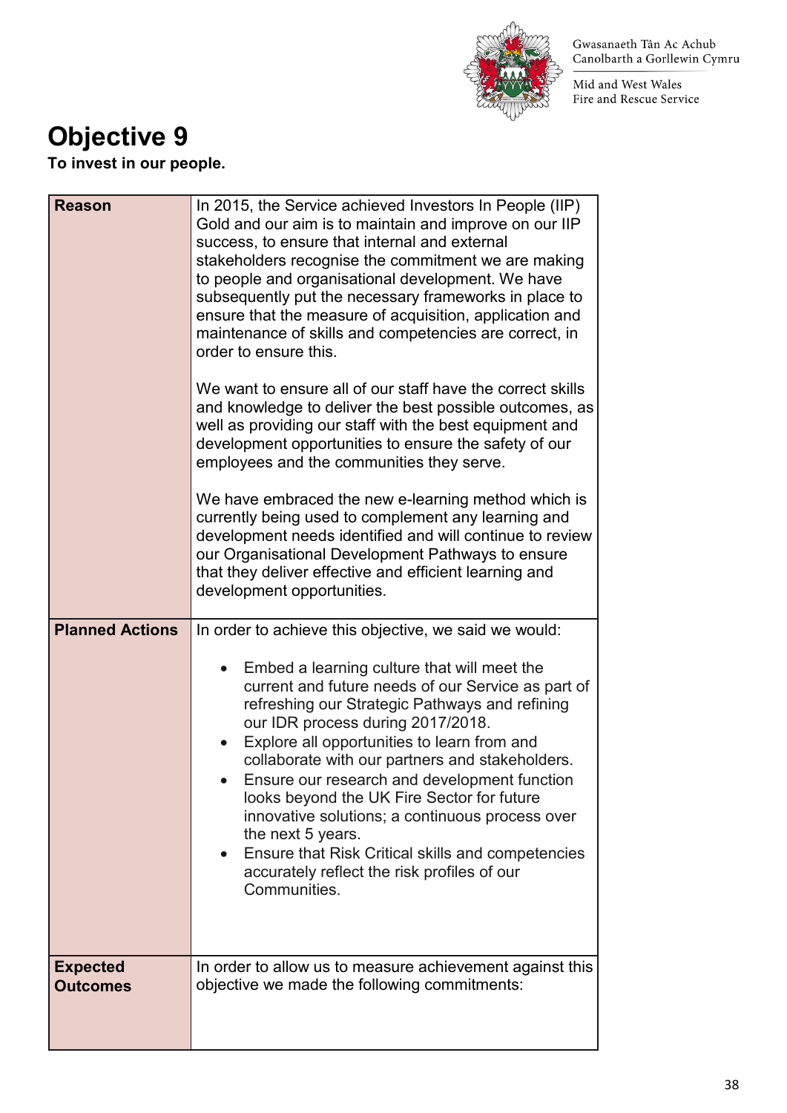

Mid and West Wales Fire and Rescue Service

### **Objective 9**

**To invest in our people.** 

| <b>Reason</b><br><b>Planned Actions</b> | In 2015, the Service achieved Investors In People (IIP)<br>Gold and our aim is to maintain and improve on our IIP<br>success, to ensure that internal and external<br>stakeholders recognise the commitment we are making<br>to people and organisational development. We have<br>subsequently put the necessary frameworks in place to<br>ensure that the measure of acquisition, application and<br>maintenance of skills and competencies are correct, in<br>order to ensure this.<br>We want to ensure all of our staff have the correct skills<br>and knowledge to deliver the best possible outcomes, as<br>well as providing our staff with the best equipment and<br>development opportunities to ensure the safety of our<br>employees and the communities they serve.<br>We have embraced the new e-learning method which is<br>currently being used to complement any learning and<br>development needs identified and will continue to review<br>our Organisational Development Pathways to ensure<br>that they deliver effective and efficient learning and<br>development opportunities.<br>In order to achieve this objective, we said we would:<br>Embed a learning culture that will meet the<br>current and future needs of our Service as part of<br>refreshing our Strategic Pathways and refining<br>our IDR process during 2017/2018.<br>Explore all opportunities to learn from and<br>collaborate with our partners and stakeholders.<br>Ensure our research and development function<br>looks beyond the UK Fire Sector for future<br>innovative solutions; a continuous process over<br>the next 5 years. |
|-----------------------------------------|-------------------------------------------------------------------------------------------------------------------------------------------------------------------------------------------------------------------------------------------------------------------------------------------------------------------------------------------------------------------------------------------------------------------------------------------------------------------------------------------------------------------------------------------------------------------------------------------------------------------------------------------------------------------------------------------------------------------------------------------------------------------------------------------------------------------------------------------------------------------------------------------------------------------------------------------------------------------------------------------------------------------------------------------------------------------------------------------------------------------------------------------------------------------------------------------------------------------------------------------------------------------------------------------------------------------------------------------------------------------------------------------------------------------------------------------------------------------------------------------------------------------------------------------------------------------------------------------------------------------------------------|
|                                         | Ensure that Risk Critical skills and competencies<br>accurately reflect the risk profiles of our<br>Communities.                                                                                                                                                                                                                                                                                                                                                                                                                                                                                                                                                                                                                                                                                                                                                                                                                                                                                                                                                                                                                                                                                                                                                                                                                                                                                                                                                                                                                                                                                                                    |
| <b>Expected</b><br><b>Outcomes</b>      | In order to allow us to measure achievement against this<br>objective we made the following commitments:                                                                                                                                                                                                                                                                                                                                                                                                                                                                                                                                                                                                                                                                                                                                                                                                                                                                                                                                                                                                                                                                                                                                                                                                                                                                                                                                                                                                                                                                                                                            |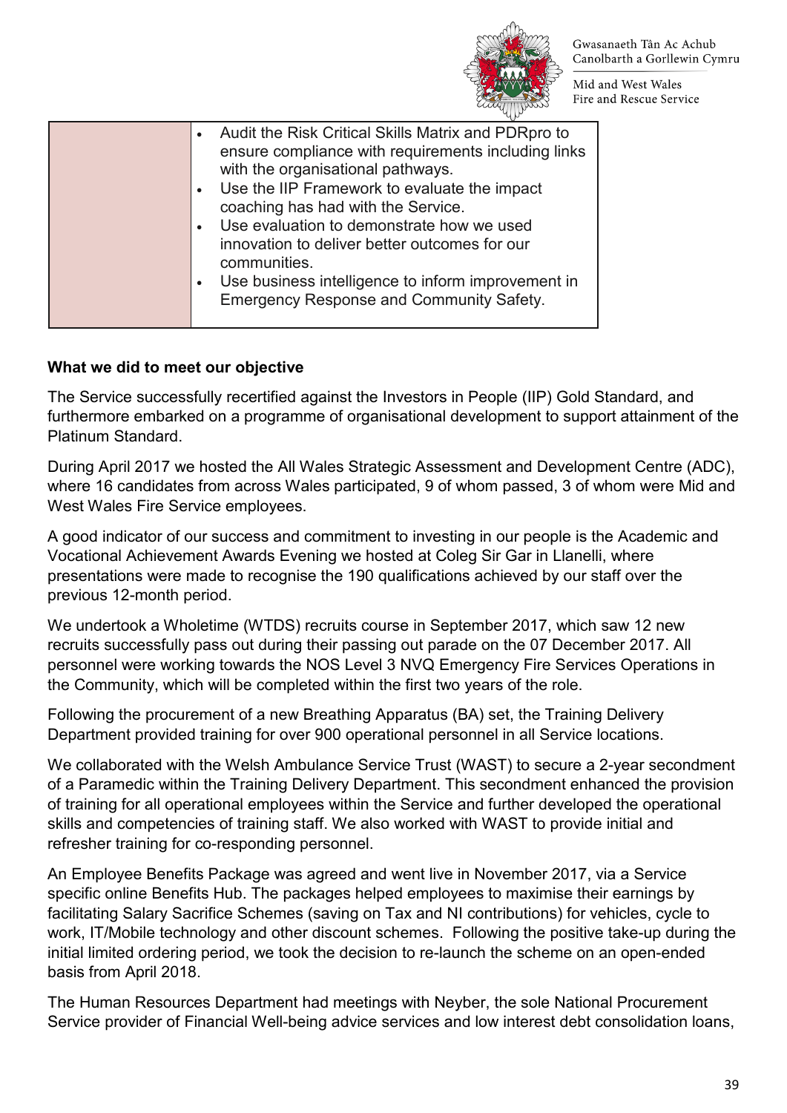

Mid and West Wales Fire and Rescue Service

| Audit the Risk Critical Skills Matrix and PDRpro to<br>ensure compliance with requirements including links<br>with the organisational pathways.<br>Use the IIP Framework to evaluate the impact<br>coaching has had with the Service.<br>Use evaluation to demonstrate how we used<br>innovation to deliver better outcomes for our<br>communities.<br>Use business intelligence to inform improvement in<br><b>Emergency Response and Community Safety.</b> |
|--------------------------------------------------------------------------------------------------------------------------------------------------------------------------------------------------------------------------------------------------------------------------------------------------------------------------------------------------------------------------------------------------------------------------------------------------------------|
|--------------------------------------------------------------------------------------------------------------------------------------------------------------------------------------------------------------------------------------------------------------------------------------------------------------------------------------------------------------------------------------------------------------------------------------------------------------|

#### **What we did to meet our objective**

The Service successfully recertified against the Investors in People (IIP) Gold Standard, and furthermore embarked on a programme of organisational development to support attainment of the Platinum Standard.

During April 2017 we hosted the All Wales Strategic Assessment and Development Centre (ADC), where 16 candidates from across Wales participated, 9 of whom passed, 3 of whom were Mid and West Wales Fire Service employees.

A good indicator of our success and commitment to investing in our people is the Academic and Vocational Achievement Awards Evening we hosted at Coleg Sir Gar in Llanelli, where presentations were made to recognise the 190 qualifications achieved by our staff over the previous 12-month period.

We undertook a Wholetime (WTDS) recruits course in September 2017, which saw 12 new recruits successfully pass out during their passing out parade on the 07 December 2017. All personnel were working towards the NOS Level 3 NVQ Emergency Fire Services Operations in the Community, which will be completed within the first two years of the role.

Following the procurement of a new Breathing Apparatus (BA) set, the Training Delivery Department provided training for over 900 operational personnel in all Service locations.

We collaborated with the Welsh Ambulance Service Trust (WAST) to secure a 2-year secondment of a Paramedic within the Training Delivery Department. This secondment enhanced the provision of training for all operational employees within the Service and further developed the operational skills and competencies of training staff. We also worked with WAST to provide initial and refresher training for co-responding personnel.

An Employee Benefits Package was agreed and went live in November 2017, via a Service specific online Benefits Hub. The packages helped employees to maximise their earnings by facilitating Salary Sacrifice Schemes (saving on Tax and NI contributions) for vehicles, cycle to work, IT/Mobile technology and other discount schemes. Following the positive take-up during the initial limited ordering period, we took the decision to re-launch the scheme on an open-ended basis from April 2018.

The Human Resources Department had meetings with Neyber, the sole National Procurement Service provider of Financial Well-being advice services and low interest debt consolidation loans,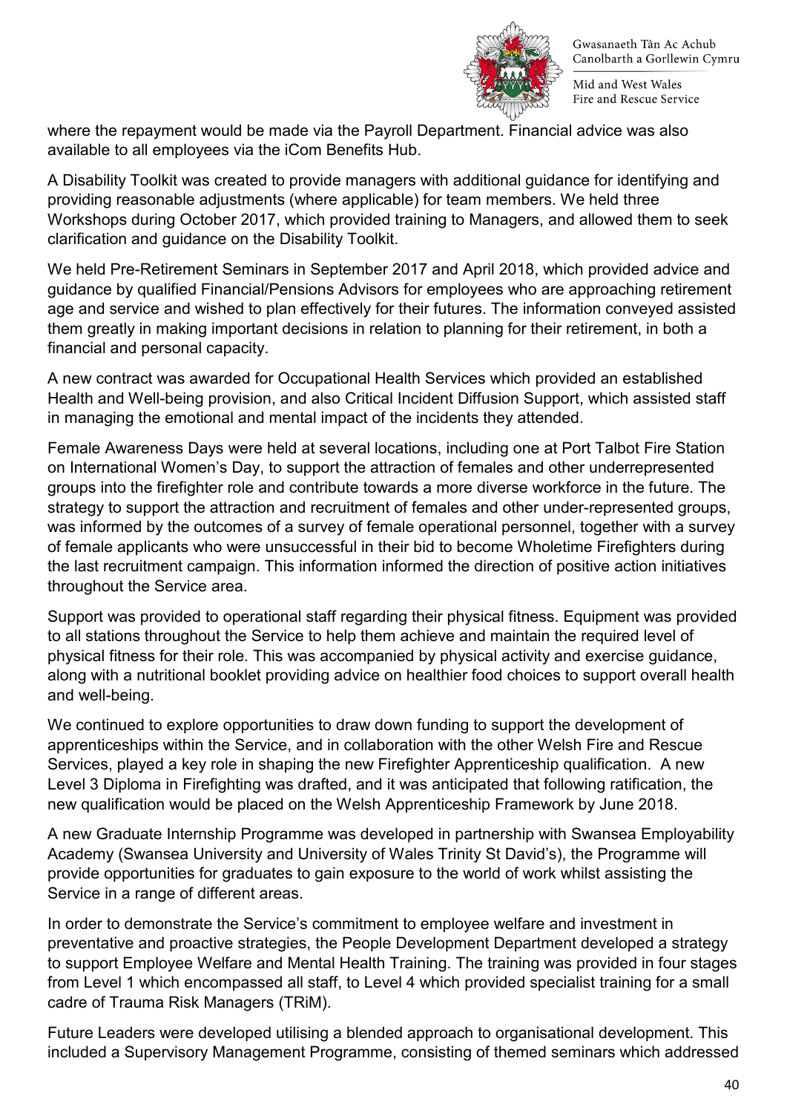

Mid and West Wales Fire and Rescue Service

where the repayment would be made via the Payroll Department. Financial advice was also available to all employees via the iCom Benefits Hub.

A Disability Toolkit was created to provide managers with additional guidance for identifying and providing reasonable adjustments (where applicable) for team members. We held three Workshops during October 2017, which provided training to Managers, and allowed them to seek clarification and guidance on the Disability Toolkit.

We held Pre-Retirement Seminars in September 2017 and April 2018, which provided advice and guidance by qualified Financial/Pensions Advisors for employees who are approaching retirement age and service and wished to plan effectively for their futures. The information conveyed assisted them greatly in making important decisions in relation to planning for their retirement, in both a financial and personal capacity.

A new contract was awarded for Occupational Health Services which provided an established Health and Well-being provision, and also Critical Incident Diffusion Support, which assisted staff in managing the emotional and mental impact of the incidents they attended.

Female Awareness Days were held at several locations, including one at Port Talbot Fire Station on International Women's Day, to support the attraction of females and other underrepresented groups into the firefighter role and contribute towards a more diverse workforce in the future. The strategy to support the attraction and recruitment of females and other under-represented groups, was informed by the outcomes of a survey of female operational personnel, together with a survey of female applicants who were unsuccessful in their bid to become Wholetime Firefighters during the last recruitment campaign. This information informed the direction of positive action initiatives throughout the Service area.

Support was provided to operational staff regarding their physical fitness. Equipment was provided to all stations throughout the Service to help them achieve and maintain the required level of physical fitness for their role. This was accompanied by physical activity and exercise guidance, along with a nutritional booklet providing advice on healthier food choices to support overall health and well-being.

We continued to explore opportunities to draw down funding to support the development of apprenticeships within the Service, and in collaboration with the other Welsh Fire and Rescue Services, played a key role in shaping the new Firefighter Apprenticeship qualification. A new Level 3 Diploma in Firefighting was drafted, and it was anticipated that following ratification, the new qualification would be placed on the Welsh Apprenticeship Framework by June 2018.

A new Graduate Internship Programme was developed in partnership with Swansea Employability Academy (Swansea University and University of Wales Trinity St David's), the Programme will provide opportunities for graduates to gain exposure to the world of work whilst assisting the Service in a range of different areas.

In order to demonstrate the Service's commitment to employee welfare and investment in preventative and proactive strategies, the People Development Department developed a strategy to support Employee Welfare and Mental Health Training. The training was provided in four stages from Level 1 which encompassed all staff, to Level 4 which provided specialist training for a small cadre of Trauma Risk Managers (TRiM).

Future Leaders were developed utilising a blended approach to organisational development. This included a Supervisory Management Programme, consisting of themed seminars which addressed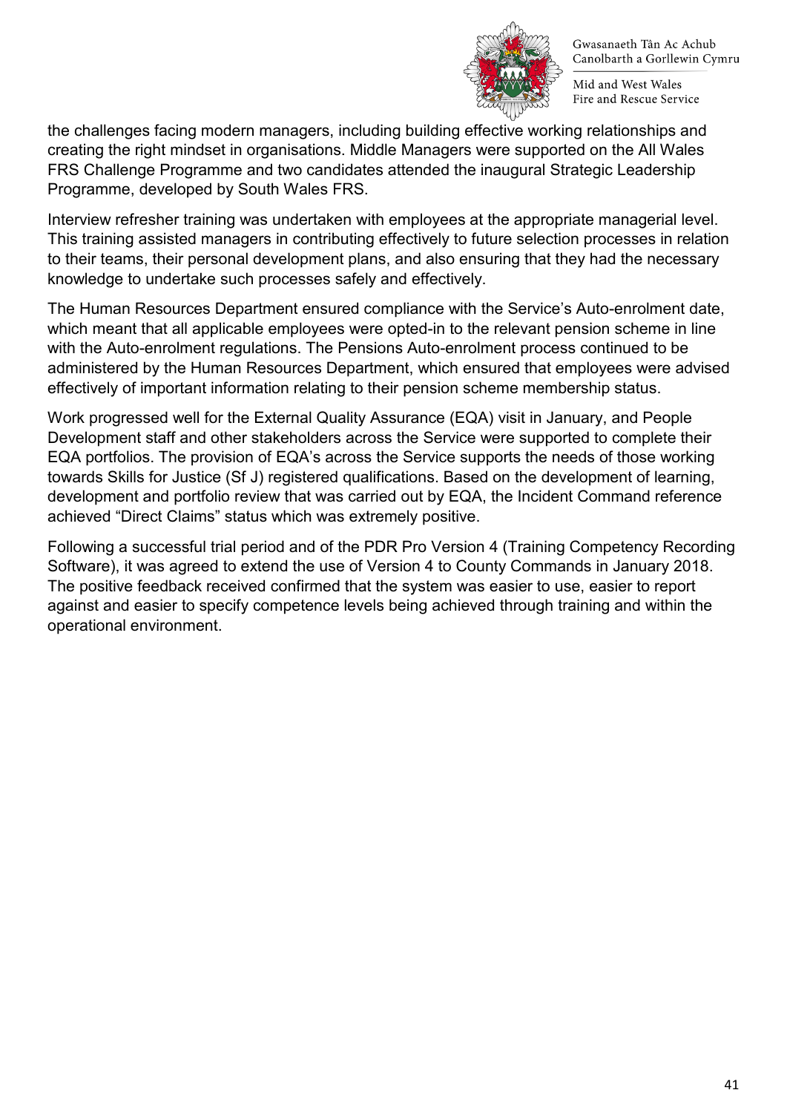

Mid and West Wales Fire and Rescue Service

the challenges facing modern managers, including building effective working relationships and creating the right mindset in organisations. Middle Managers were supported on the All Wales FRS Challenge Programme and two candidates attended the inaugural Strategic Leadership Programme, developed by South Wales FRS.

Interview refresher training was undertaken with employees at the appropriate managerial level. This training assisted managers in contributing effectively to future selection processes in relation to their teams, their personal development plans, and also ensuring that they had the necessary knowledge to undertake such processes safely and effectively.

The Human Resources Department ensured compliance with the Service's Auto-enrolment date, which meant that all applicable employees were opted-in to the relevant pension scheme in line with the Auto-enrolment regulations. The Pensions Auto-enrolment process continued to be administered by the Human Resources Department, which ensured that employees were advised effectively of important information relating to their pension scheme membership status.

Work progressed well for the External Quality Assurance (EQA) visit in January, and People Development staff and other stakeholders across the Service were supported to complete their EQA portfolios. The provision of EQA's across the Service supports the needs of those working towards Skills for Justice (Sf J) registered qualifications. Based on the development of learning, development and portfolio review that was carried out by EQA, the Incident Command reference achieved "Direct Claims" status which was extremely positive.

Following a successful trial period and of the PDR Pro Version 4 (Training Competency Recording Software), it was agreed to extend the use of Version 4 to County Commands in January 2018. The positive feedback received confirmed that the system was easier to use, easier to report against and easier to specify competence levels being achieved through training and within the operational environment.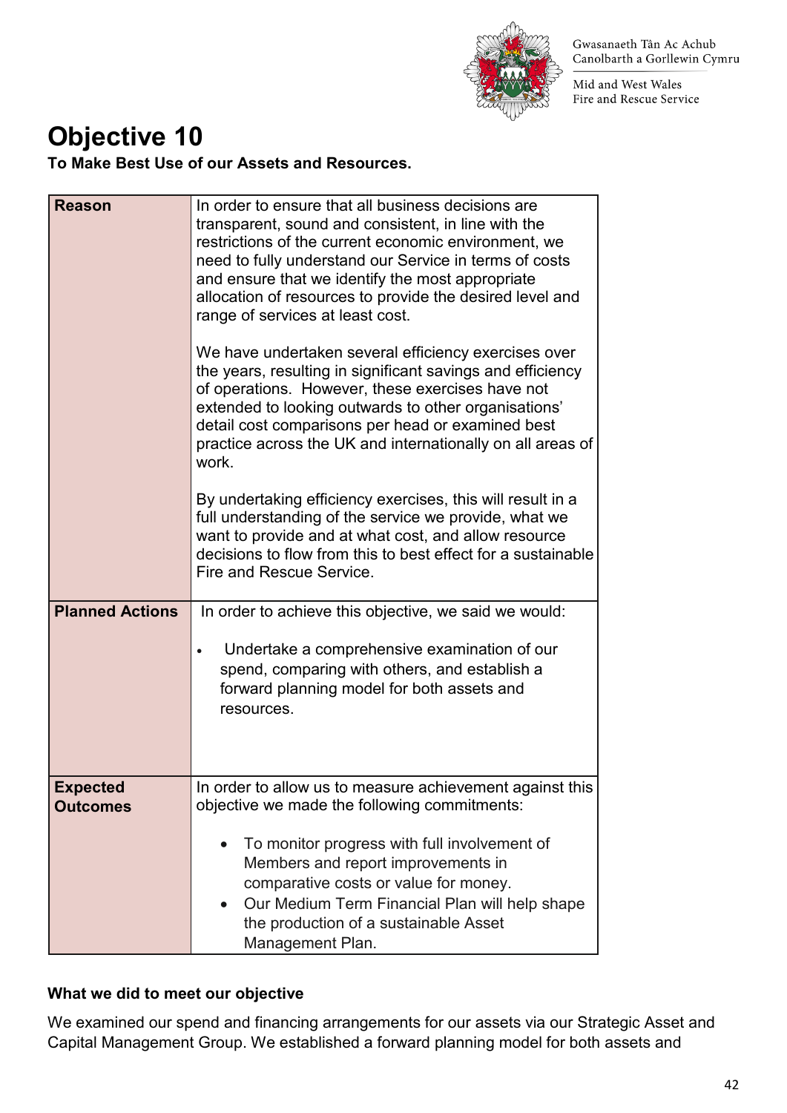

Mid and West Wales Fire and Rescue Service

### **Objective 10**

**To Make Best Use of our Assets and Resources.** 

| <b>Reason</b>                      | In order to ensure that all business decisions are<br>transparent, sound and consistent, in line with the<br>restrictions of the current economic environment, we<br>need to fully understand our Service in terms of costs<br>and ensure that we identify the most appropriate<br>allocation of resources to provide the desired level and<br>range of services at least cost. |
|------------------------------------|---------------------------------------------------------------------------------------------------------------------------------------------------------------------------------------------------------------------------------------------------------------------------------------------------------------------------------------------------------------------------------|
|                                    | We have undertaken several efficiency exercises over<br>the years, resulting in significant savings and efficiency<br>of operations. However, these exercises have not<br>extended to looking outwards to other organisations'<br>detail cost comparisons per head or examined best<br>practice across the UK and internationally on all areas of<br>work.                      |
|                                    | By undertaking efficiency exercises, this will result in a<br>full understanding of the service we provide, what we<br>want to provide and at what cost, and allow resource<br>decisions to flow from this to best effect for a sustainable<br>Fire and Rescue Service.                                                                                                         |
| <b>Planned Actions</b>             | In order to achieve this objective, we said we would:<br>Undertake a comprehensive examination of our<br>spend, comparing with others, and establish a<br>forward planning model for both assets and<br>resources.                                                                                                                                                              |
| <b>Expected</b><br><b>Outcomes</b> | In order to allow us to measure achievement against this<br>objective we made the following commitments:<br>To monitor progress with full involvement of<br>Members and report improvements in<br>comparative costs or value for money.<br>Our Medium Term Financial Plan will help shape<br>the production of a sustainable Asset<br>Management Plan.                          |

### **What we did to meet our objective**

We examined our spend and financing arrangements for our assets via our Strategic Asset and Capital Management Group. We established a forward planning model for both assets and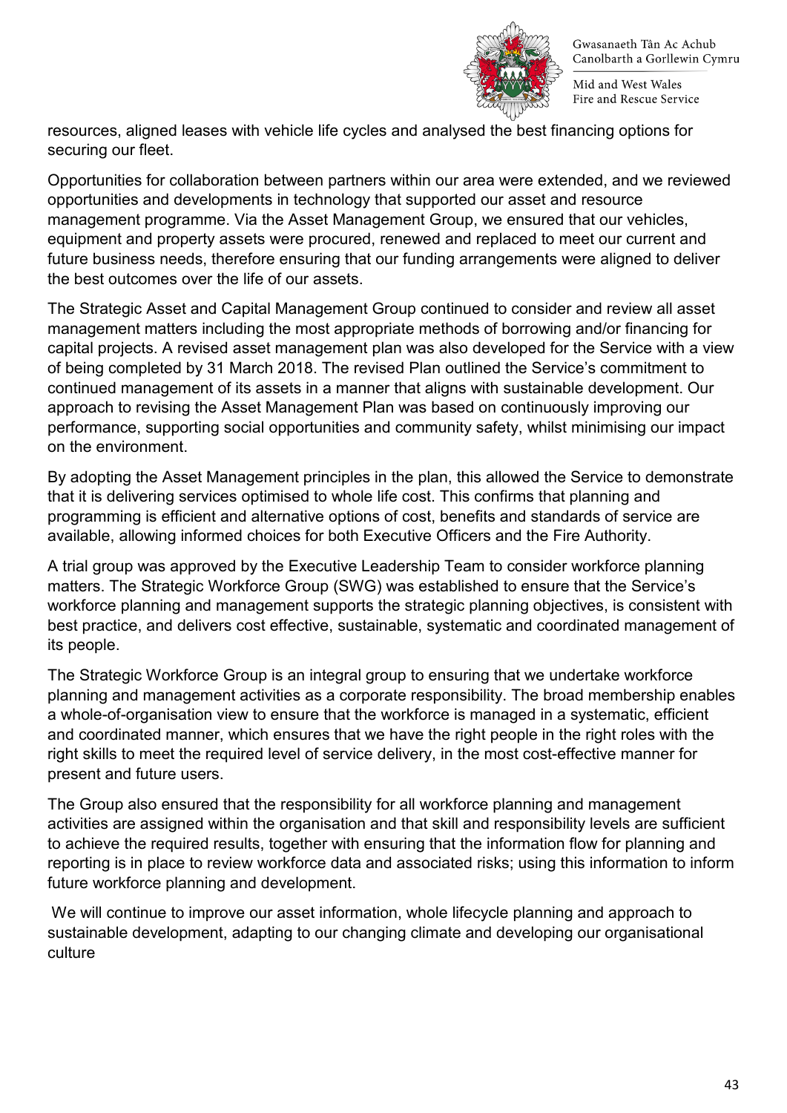

Mid and West Wales Fire and Rescue Service

resources, aligned leases with vehicle life cycles and analysed the best financing options for securing our fleet.

Opportunities for collaboration between partners within our area were extended, and we reviewed opportunities and developments in technology that supported our asset and resource management programme. Via the Asset Management Group, we ensured that our vehicles, equipment and property assets were procured, renewed and replaced to meet our current and future business needs, therefore ensuring that our funding arrangements were aligned to deliver the best outcomes over the life of our assets.

The Strategic Asset and Capital Management Group continued to consider and review all asset management matters including the most appropriate methods of borrowing and/or financing for capital projects. A revised asset management plan was also developed for the Service with a view of being completed by 31 March 2018. The revised Plan outlined the Service's commitment to continued management of its assets in a manner that aligns with sustainable development. Our approach to revising the Asset Management Plan was based on continuously improving our performance, supporting social opportunities and community safety, whilst minimising our impact on the environment.

By adopting the Asset Management principles in the plan, this allowed the Service to demonstrate that it is delivering services optimised to whole life cost. This confirms that planning and programming is efficient and alternative options of cost, benefits and standards of service are available, allowing informed choices for both Executive Officers and the Fire Authority.

A trial group was approved by the Executive Leadership Team to consider workforce planning matters. The Strategic Workforce Group (SWG) was established to ensure that the Service's workforce planning and management supports the strategic planning objectives, is consistent with best practice, and delivers cost effective, sustainable, systematic and coordinated management of its people.

The Strategic Workforce Group is an integral group to ensuring that we undertake workforce planning and management activities as a corporate responsibility. The broad membership enables a whole-of-organisation view to ensure that the workforce is managed in a systematic, efficient and coordinated manner, which ensures that we have the right people in the right roles with the right skills to meet the required level of service delivery, in the most cost-effective manner for present and future users.

The Group also ensured that the responsibility for all workforce planning and management activities are assigned within the organisation and that skill and responsibility levels are sufficient to achieve the required results, together with ensuring that the information flow for planning and reporting is in place to review workforce data and associated risks; using this information to inform future workforce planning and development.

We will continue to improve our asset information, whole lifecycle planning and approach to sustainable development, adapting to our changing climate and developing our organisational culture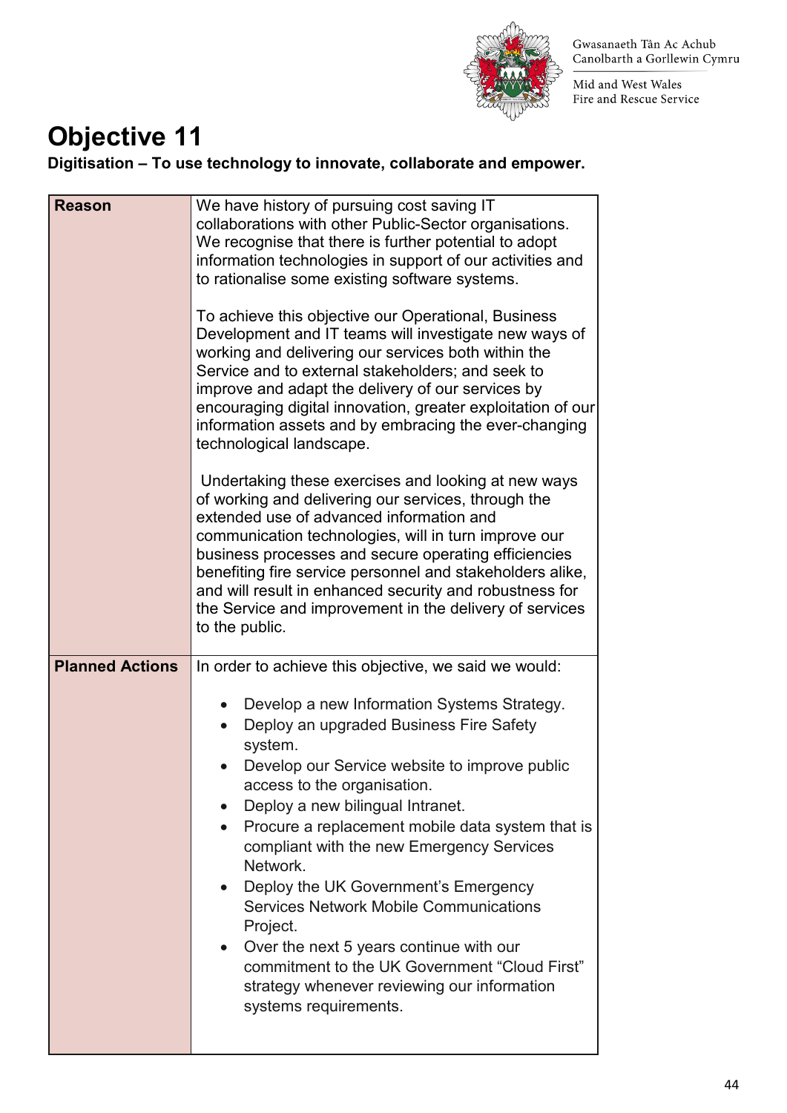

Mid and West Wales Fire and Rescue Service

### **Objective 11**

**Digitisation – To use technology to innovate, collaborate and empower.** 

| <b>Reason</b>          | We have history of pursuing cost saving IT<br>collaborations with other Public-Sector organisations.<br>We recognise that there is further potential to adopt<br>information technologies in support of our activities and<br>to rationalise some existing software systems.<br>To achieve this objective our Operational, Business<br>Development and IT teams will investigate new ways of<br>working and delivering our services both within the<br>Service and to external stakeholders; and seek to<br>improve and adapt the delivery of our services by<br>encouraging digital innovation, greater exploitation of our<br>information assets and by embracing the ever-changing<br>technological landscape.<br>Undertaking these exercises and looking at new ways<br>of working and delivering our services, through the<br>extended use of advanced information and<br>communication technologies, will in turn improve our<br>business processes and secure operating efficiencies<br>benefiting fire service personnel and stakeholders alike,<br>and will result in enhanced security and robustness for<br>the Service and improvement in the delivery of services<br>to the public. |
|------------------------|--------------------------------------------------------------------------------------------------------------------------------------------------------------------------------------------------------------------------------------------------------------------------------------------------------------------------------------------------------------------------------------------------------------------------------------------------------------------------------------------------------------------------------------------------------------------------------------------------------------------------------------------------------------------------------------------------------------------------------------------------------------------------------------------------------------------------------------------------------------------------------------------------------------------------------------------------------------------------------------------------------------------------------------------------------------------------------------------------------------------------------------------------------------------------------------------------|
| <b>Planned Actions</b> | In order to achieve this objective, we said we would:<br>Develop a new Information Systems Strategy.<br>$\bullet$<br>Deploy an upgraded Business Fire Safety<br>$\bullet$<br>system.<br>Develop our Service website to improve public<br>access to the organisation.<br>Deploy a new bilingual Intranet.<br>Procure a replacement mobile data system that is<br>compliant with the new Emergency Services<br>Network.<br>Deploy the UK Government's Emergency<br><b>Services Network Mobile Communications</b><br>Project.<br>Over the next 5 years continue with our<br>$\bullet$<br>commitment to the UK Government "Cloud First"<br>strategy whenever reviewing our information<br>systems requirements.                                                                                                                                                                                                                                                                                                                                                                                                                                                                                      |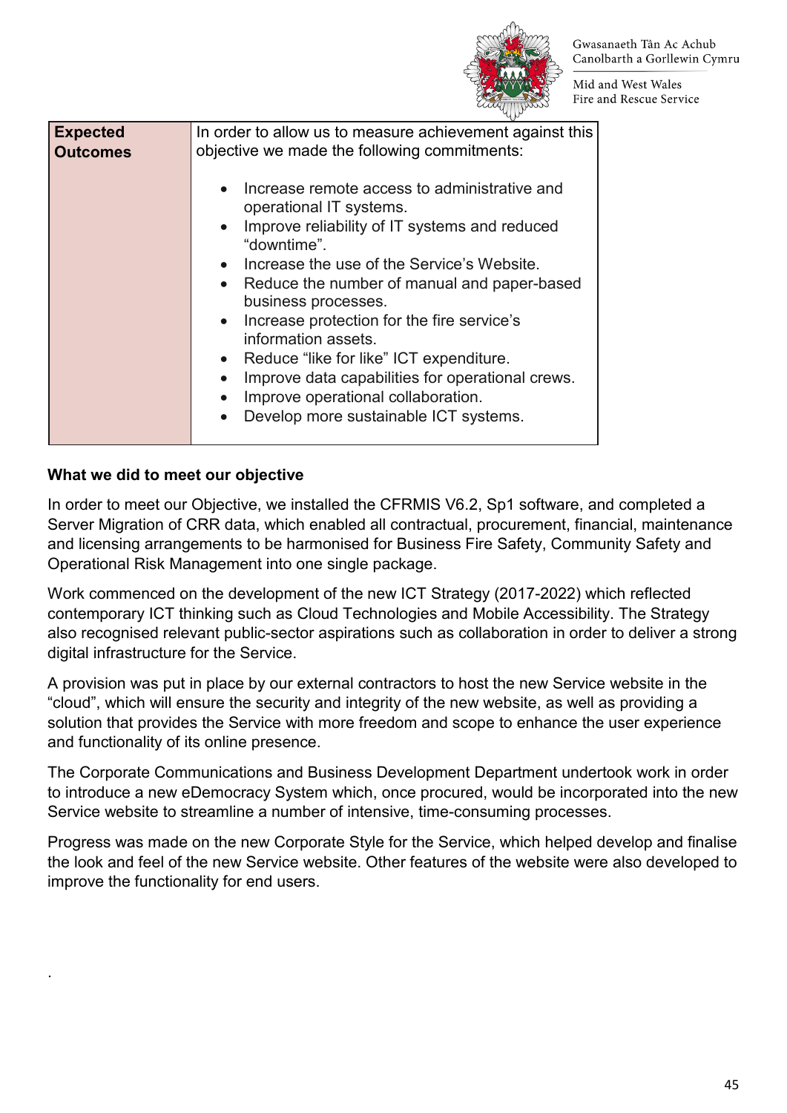

Mid and West Wales Fire and Rescue Service

| <b>Expected</b><br><b>Outcomes</b> | In order to allow us to measure achievement against this<br>objective we made the following commitments: |
|------------------------------------|----------------------------------------------------------------------------------------------------------|
|                                    | Increase remote access to administrative and<br>operational IT systems.                                  |
|                                    | • Improve reliability of IT systems and reduced<br>"downtime".                                           |
|                                    | • Increase the use of the Service's Website.                                                             |
|                                    | • Reduce the number of manual and paper-based<br>business processes.                                     |
|                                    | • Increase protection for the fire service's<br>information assets.                                      |
|                                    | • Reduce "like for like" ICT expenditure.                                                                |
|                                    | Improve data capabilities for operational crews.<br>$\bullet$                                            |
|                                    | Improve operational collaboration.<br>$\bullet$                                                          |
|                                    | Develop more sustainable ICT systems.                                                                    |
|                                    |                                                                                                          |

### **What we did to meet our objective**

.

In order to meet our Objective, we installed the CFRMIS V6.2, Sp1 software, and completed a Server Migration of CRR data, which enabled all contractual, procurement, financial, maintenance and licensing arrangements to be harmonised for Business Fire Safety, Community Safety and Operational Risk Management into one single package.

Work commenced on the development of the new ICT Strategy (2017-2022) which reflected contemporary ICT thinking such as Cloud Technologies and Mobile Accessibility. The Strategy also recognised relevant public-sector aspirations such as collaboration in order to deliver a strong digital infrastructure for the Service.

A provision was put in place by our external contractors to host the new Service website in the "cloud", which will ensure the security and integrity of the new website, as well as providing a solution that provides the Service with more freedom and scope to enhance the user experience and functionality of its online presence.

The Corporate Communications and Business Development Department undertook work in order to introduce a new eDemocracy System which, once procured, would be incorporated into the new Service website to streamline a number of intensive, time-consuming processes.

Progress was made on the new Corporate Style for the Service, which helped develop and finalise the look and feel of the new Service website. Other features of the website were also developed to improve the functionality for end users.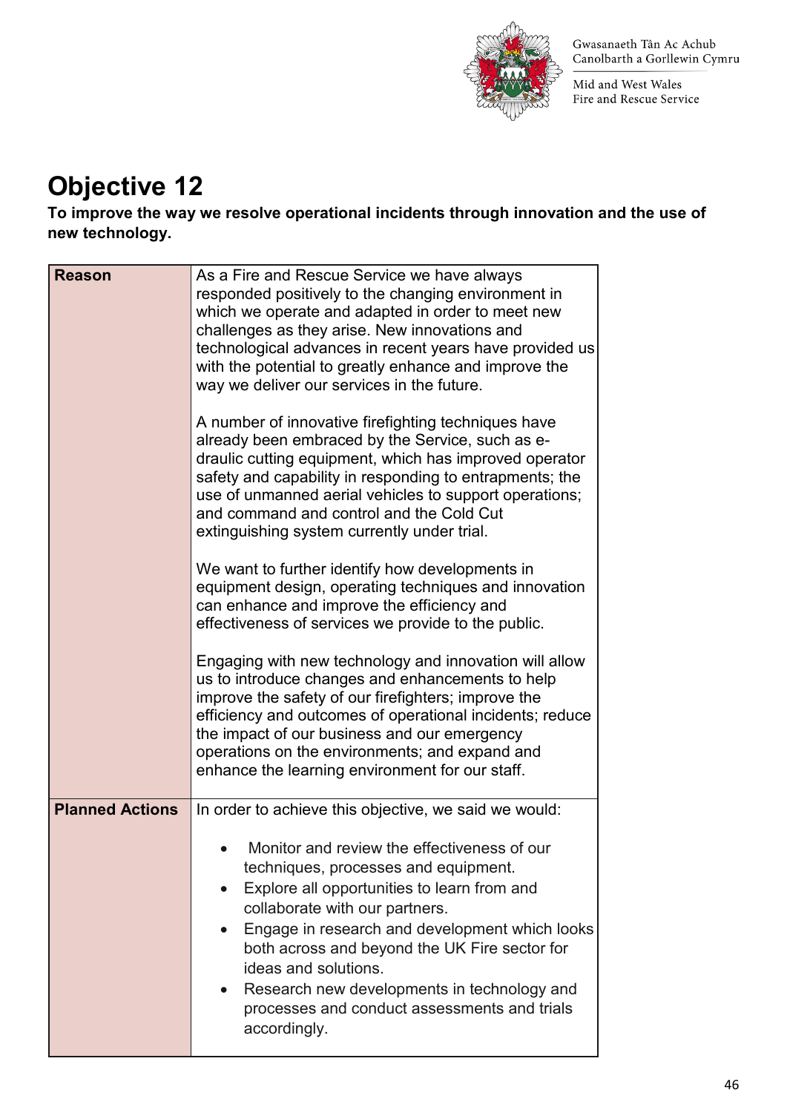

Mid and West Wales Fire and Rescue Service

### **Objective 12**

**To improve the way we resolve operational incidents through innovation and the use of new technology.** 

| <b>Reason</b>          | As a Fire and Rescue Service we have always<br>responded positively to the changing environment in<br>which we operate and adapted in order to meet new<br>challenges as they arise. New innovations and<br>technological advances in recent years have provided us<br>with the potential to greatly enhance and improve the<br>way we deliver our services in the future.<br>A number of innovative firefighting techniques have<br>already been embraced by the Service, such as e-<br>draulic cutting equipment, which has improved operator<br>safety and capability in responding to entrapments; the<br>use of unmanned aerial vehicles to support operations;<br>and command and control and the Cold Cut<br>extinguishing system currently under trial.<br>We want to further identify how developments in<br>equipment design, operating techniques and innovation<br>can enhance and improve the efficiency and<br>effectiveness of services we provide to the public.<br>Engaging with new technology and innovation will allow<br>us to introduce changes and enhancements to help<br>improve the safety of our firefighters; improve the<br>efficiency and outcomes of operational incidents; reduce |
|------------------------|-------------------------------------------------------------------------------------------------------------------------------------------------------------------------------------------------------------------------------------------------------------------------------------------------------------------------------------------------------------------------------------------------------------------------------------------------------------------------------------------------------------------------------------------------------------------------------------------------------------------------------------------------------------------------------------------------------------------------------------------------------------------------------------------------------------------------------------------------------------------------------------------------------------------------------------------------------------------------------------------------------------------------------------------------------------------------------------------------------------------------------------------------------------------------------------------------------------------|
|                        | the impact of our business and our emergency<br>operations on the environments; and expand and<br>enhance the learning environment for our staff.                                                                                                                                                                                                                                                                                                                                                                                                                                                                                                                                                                                                                                                                                                                                                                                                                                                                                                                                                                                                                                                                 |
| <b>Planned Actions</b> | In order to achieve this objective, we said we would:<br>Monitor and review the effectiveness of our<br>techniques, processes and equipment.<br>Explore all opportunities to learn from and<br>collaborate with our partners.<br>Engage in research and development which looks<br>both across and beyond the UK Fire sector for<br>ideas and solutions.<br>Research new developments in technology and<br>processes and conduct assessments and trials<br>accordingly.                                                                                                                                                                                                                                                                                                                                                                                                                                                                                                                                                                                                                                                                                                                                           |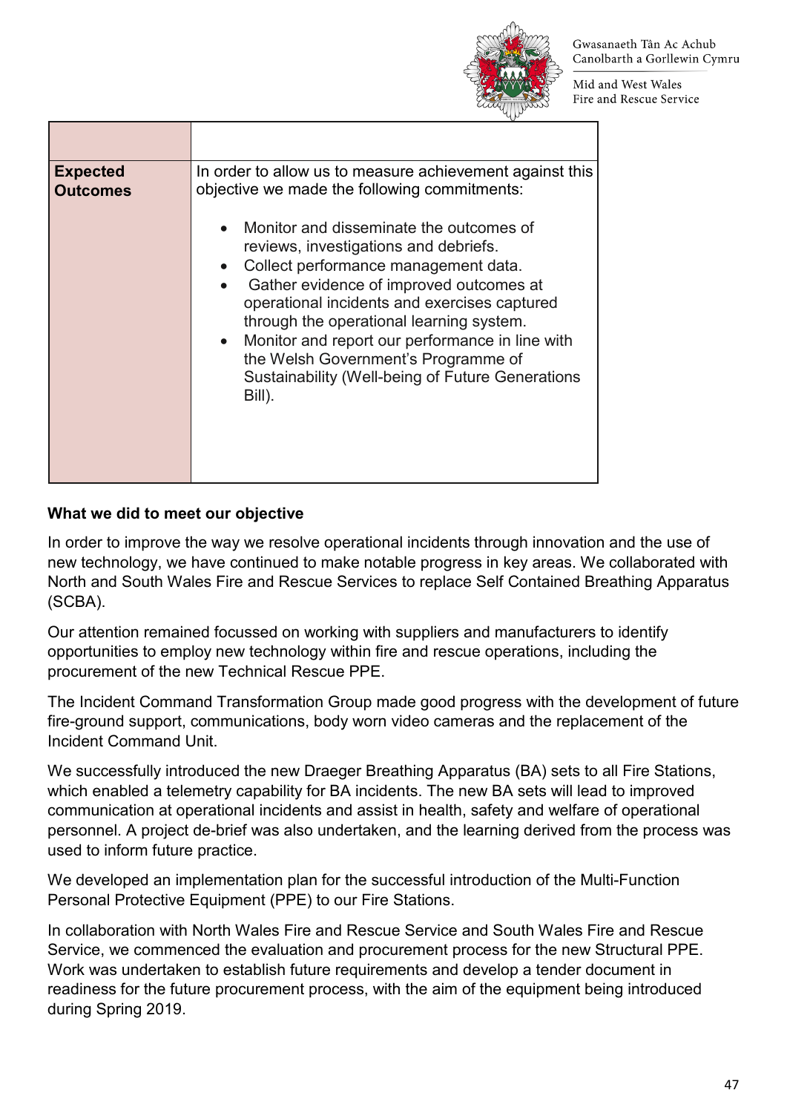

Mid and West Wales Fire and Rescue Service

| <b>Expected</b> | In order to allow us to measure achievement against this                                                                                                                                                                                                                                                                                                                                                                                                                                          |
|-----------------|---------------------------------------------------------------------------------------------------------------------------------------------------------------------------------------------------------------------------------------------------------------------------------------------------------------------------------------------------------------------------------------------------------------------------------------------------------------------------------------------------|
| <b>Outcomes</b> | objective we made the following commitments:<br>Monitor and disseminate the outcomes of<br>$\bullet$<br>reviews, investigations and debriefs.<br>Collect performance management data.<br>Gather evidence of improved outcomes at<br>operational incidents and exercises captured<br>through the operational learning system.<br>Monitor and report our performance in line with<br>$\bullet$<br>the Welsh Government's Programme of<br>Sustainability (Well-being of Future Generations<br>Bill). |

### **What we did to meet our objective**

In order to improve the way we resolve operational incidents through innovation and the use of new technology, we have continued to make notable progress in key areas. We collaborated with North and South Wales Fire and Rescue Services to replace Self Contained Breathing Apparatus (SCBA).

Our attention remained focussed on working with suppliers and manufacturers to identify opportunities to employ new technology within fire and rescue operations, including the procurement of the new Technical Rescue PPE.

The Incident Command Transformation Group made good progress with the development of future fire-ground support, communications, body worn video cameras and the replacement of the Incident Command Unit.

We successfully introduced the new Draeger Breathing Apparatus (BA) sets to all Fire Stations, which enabled a telemetry capability for BA incidents. The new BA sets will lead to improved communication at operational incidents and assist in health, safety and welfare of operational personnel. A project de-brief was also undertaken, and the learning derived from the process was used to inform future practice.

We developed an implementation plan for the successful introduction of the Multi-Function Personal Protective Equipment (PPE) to our Fire Stations.

In collaboration with North Wales Fire and Rescue Service and South Wales Fire and Rescue Service, we commenced the evaluation and procurement process for the new Structural PPE. Work was undertaken to establish future requirements and develop a tender document in readiness for the future procurement process, with the aim of the equipment being introduced during Spring 2019.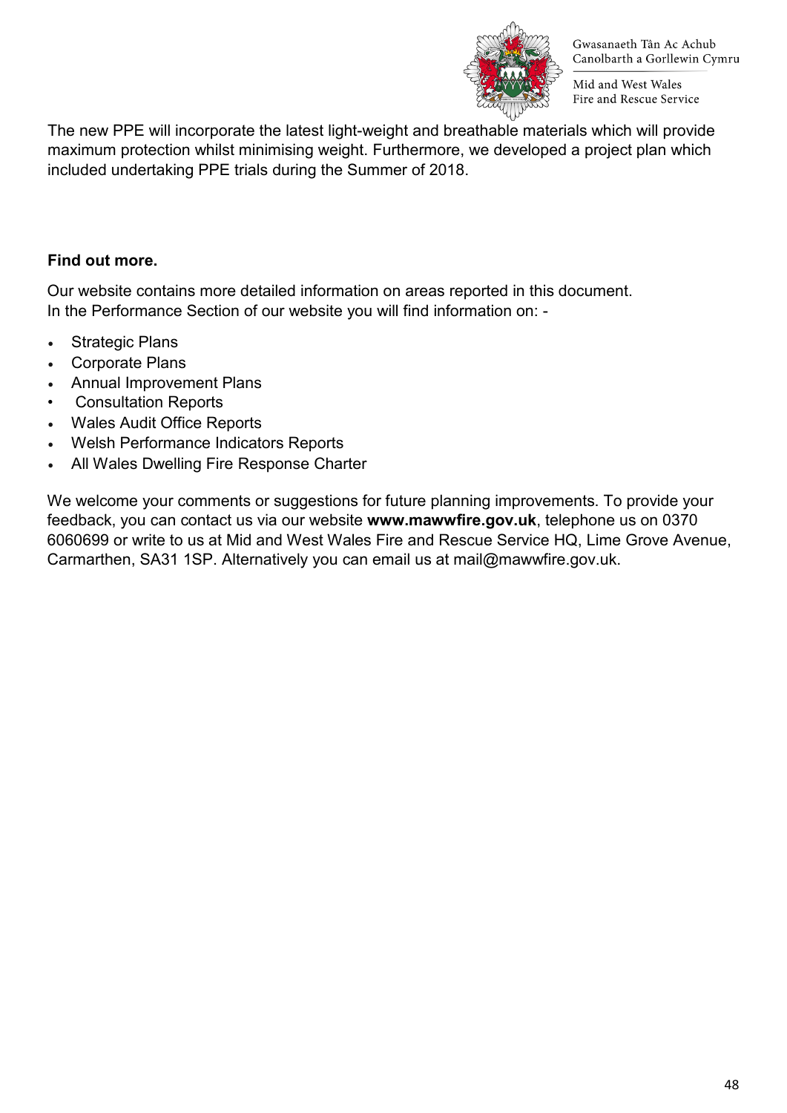

Mid and West Wales Fire and Rescue Service

The new PPE will incorporate the latest light-weight and breathable materials which will provide maximum protection whilst minimising weight. Furthermore, we developed a project plan which included undertaking PPE trials during the Summer of 2018.

#### **Find out more.**

Our website contains more detailed information on areas reported in this document. In the Performance Section of our website you will find information on: -

- **Strategic Plans**
- Corporate Plans
- Annual Improvement Plans
- Consultation Reports
- Wales Audit Office Reports
- Welsh Performance Indicators Reports
- All Wales Dwelling Fire Response Charter

We welcome your comments or suggestions for future planning improvements. To provide your feedback, you can contact us via our website **www.mawwfire.gov.uk**, telephone us on 0370 6060699 or write to us at Mid and West Wales Fire and Rescue Service HQ, Lime Grove Avenue, Carmarthen, SA31 1SP. Alternatively you can email us at mail@mawwfire.gov.uk.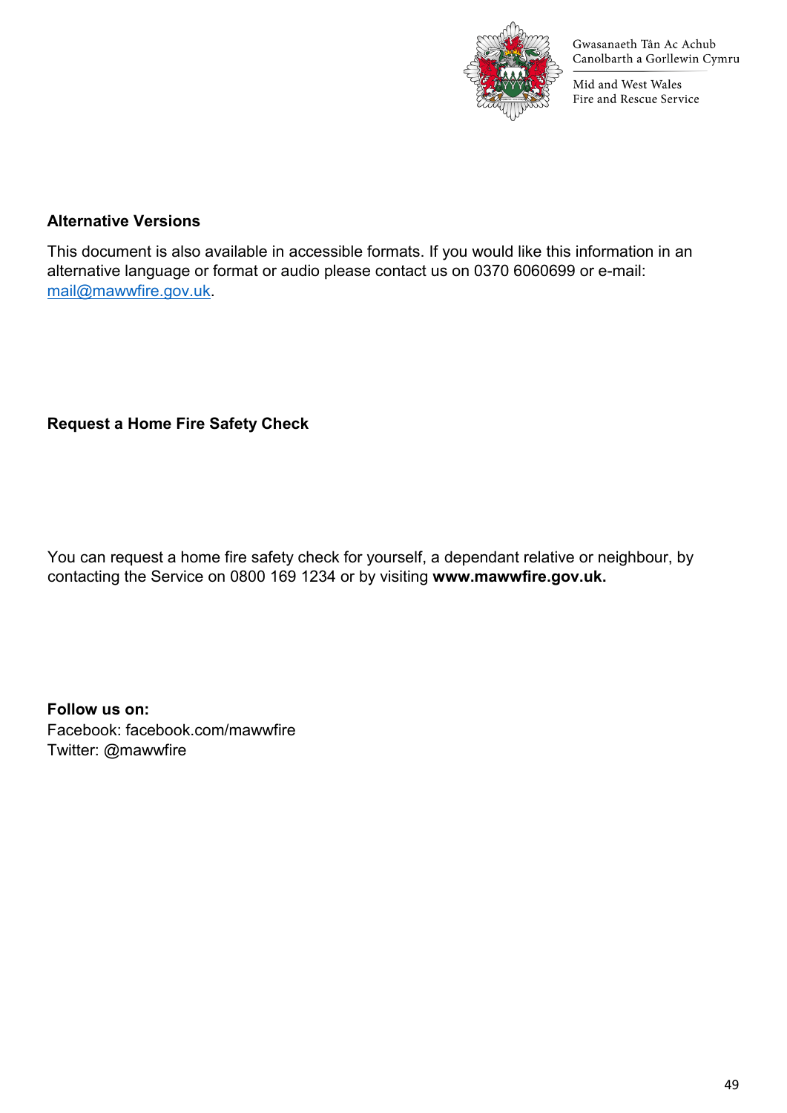

Mid and West Wales Fire and Rescue Service

#### **Alternative Versions**

This document is also available in accessible formats. If you would like this information in an alternative language or format or audio please contact us on 0370 6060699 or e-mail: [mail@mawwfire.gov.uk.](mailto:mail@mawwfire.gov.uk)

### **Request a Home Fire Safety Check**

You can request a home fire safety check for yourself, a dependant relative or neighbour, by contacting the Service on 0800 169 1234 or by visiting **www.mawwfire.gov.uk.**

**Follow us on:** Facebook: facebook.com/mawwfire Twitter: @mawwfire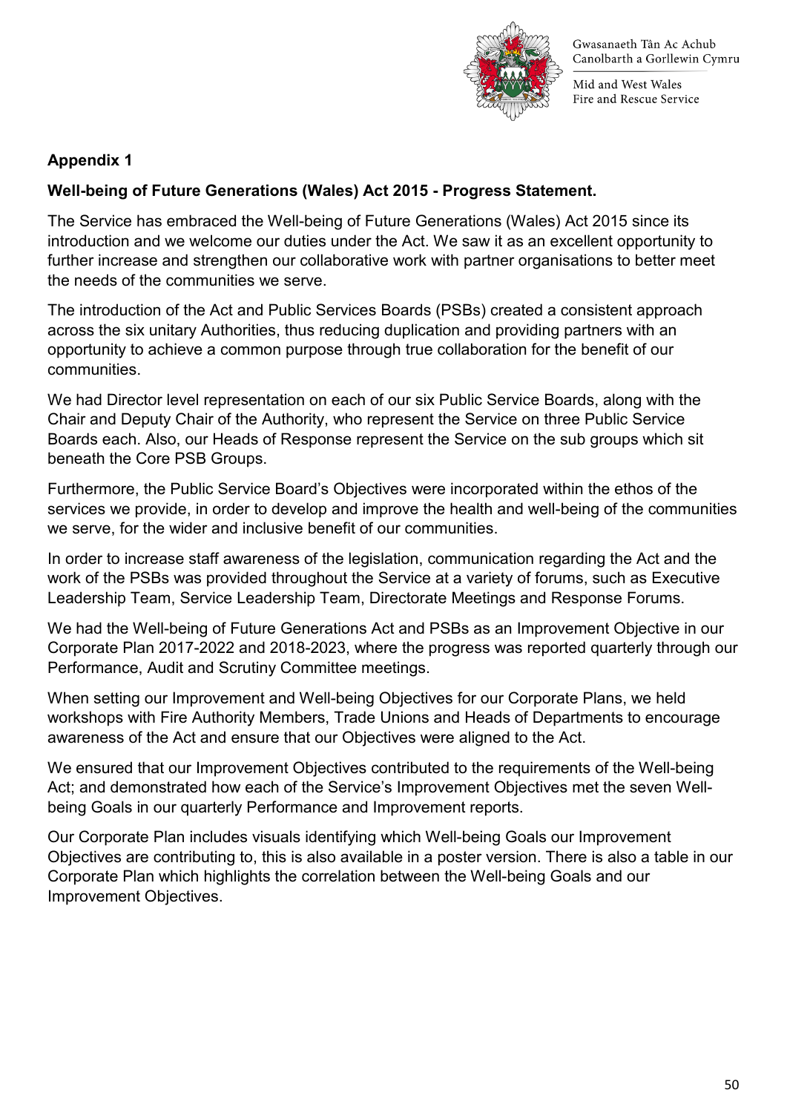

Mid and West Wales Fire and Rescue Service

### **Appendix 1**

### **Well-being of Future Generations (Wales) Act 2015 - Progress Statement.**

The Service has embraced the Well-being of Future Generations (Wales) Act 2015 since its introduction and we welcome our duties under the Act. We saw it as an excellent opportunity to further increase and strengthen our collaborative work with partner organisations to better meet the needs of the communities we serve.

The introduction of the Act and Public Services Boards (PSBs) created a consistent approach across the six unitary Authorities, thus reducing duplication and providing partners with an opportunity to achieve a common purpose through true collaboration for the benefit of our communities.

We had Director level representation on each of our six Public Service Boards, along with the Chair and Deputy Chair of the Authority, who represent the Service on three Public Service Boards each. Also, our Heads of Response represent the Service on the sub groups which sit beneath the Core PSB Groups.

Furthermore, the Public Service Board's Objectives were incorporated within the ethos of the services we provide, in order to develop and improve the health and well-being of the communities we serve, for the wider and inclusive benefit of our communities.

In order to increase staff awareness of the legislation, communication regarding the Act and the work of the PSBs was provided throughout the Service at a variety of forums, such as Executive Leadership Team, Service Leadership Team, Directorate Meetings and Response Forums.

We had the Well-being of Future Generations Act and PSBs as an Improvement Objective in our Corporate Plan 2017-2022 and 2018-2023, where the progress was reported quarterly through our Performance, Audit and Scrutiny Committee meetings.

When setting our Improvement and Well-being Objectives for our Corporate Plans, we held workshops with Fire Authority Members, Trade Unions and Heads of Departments to encourage awareness of the Act and ensure that our Objectives were aligned to the Act.

We ensured that our Improvement Objectives contributed to the requirements of the Well-being Act; and demonstrated how each of the Service's Improvement Objectives met the seven Wellbeing Goals in our quarterly Performance and Improvement reports.

Our Corporate Plan includes visuals identifying which Well-being Goals our Improvement Objectives are contributing to, this is also available in a poster version. There is also a table in our Corporate Plan which highlights the correlation between the Well-being Goals and our Improvement Objectives.